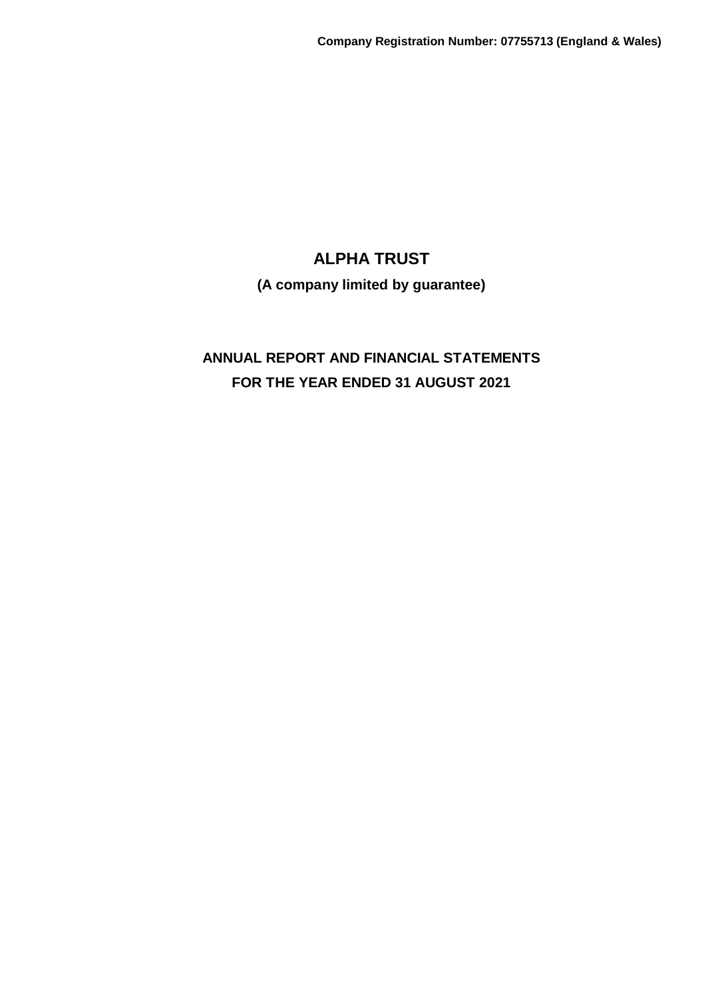**(A company limited by guarantee)**

# **ANNUAL REPORT AND FINANCIAL STATEMENTS FOR THE YEAR ENDED 31 AUGUST 2021**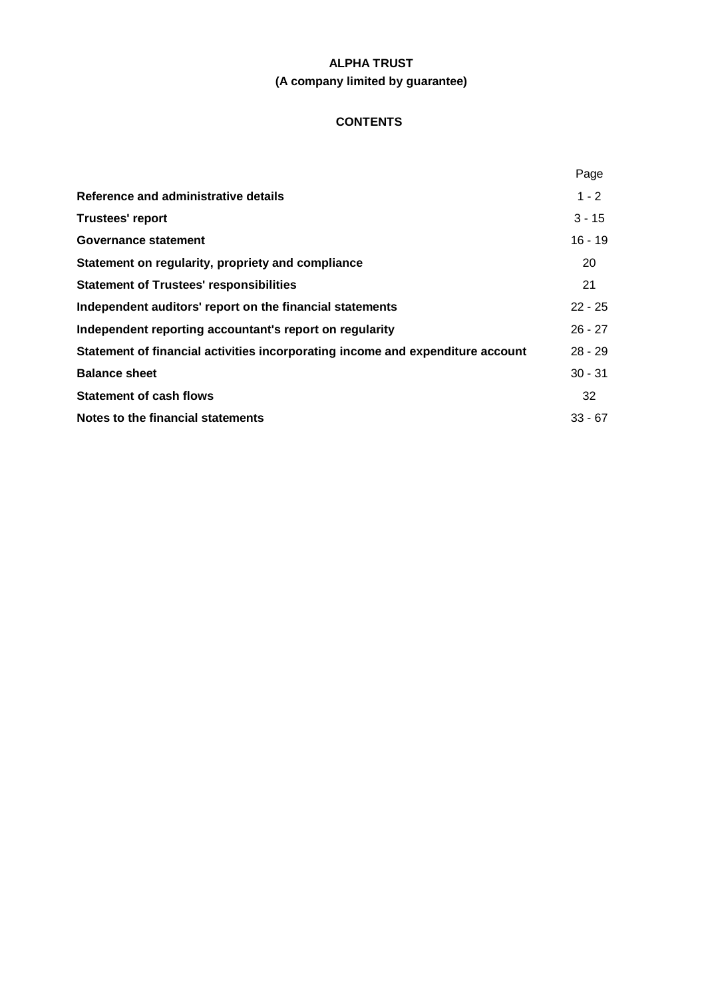# **ALPHA TRUST (A company limited by guarantee)**

# **CONTENTS**

|                                                                                | Page      |
|--------------------------------------------------------------------------------|-----------|
| Reference and administrative details                                           | $1 - 2$   |
| <b>Trustees' report</b>                                                        | $3 - 15$  |
| Governance statement                                                           | $16 - 19$ |
| Statement on regularity, propriety and compliance                              | 20        |
| <b>Statement of Trustees' responsibilities</b>                                 | 21        |
| Independent auditors' report on the financial statements                       | $22 - 25$ |
| Independent reporting accountant's report on regularity                        | $26 - 27$ |
| Statement of financial activities incorporating income and expenditure account | $28 - 29$ |
| <b>Balance sheet</b>                                                           | $30 - 31$ |
| <b>Statement of cash flows</b>                                                 | 32        |
| Notes to the financial statements                                              | $33 - 67$ |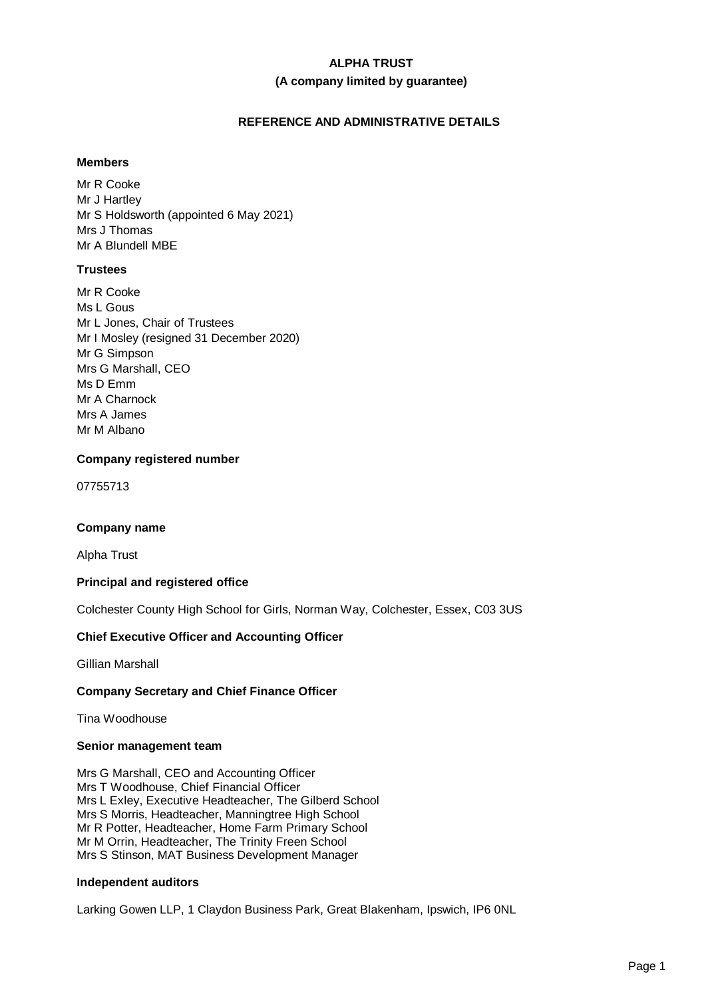# **ALPHA TRUST (A company limited by guarantee)**

# **REFERENCE AND ADMINISTRATIVE DETAILS**

# **Members**

Mr R Cooke Mr J Hartley Mr S Holdsworth (appointed 6 May 2021) Mrs J Thomas Mr A Blundell MBE

# **Trustees**

Mr R Cooke Ms L Gous Mr L Jones, Chair of Trustees Mr I Mosley (resigned 31 December 2020) Mr G Simpson Mrs G Marshall, CEO Ms D Emm Mr A Charnock Mrs A James Mr M Albano

# **Company registered number**

07755713

# **Company name**

Alpha Trust

# **Principal and registered office**

Colchester County High School for Girls, Norman Way, Colchester, Essex, C03 3US

# **Chief Executive Officer and Accounting Officer**

Gillian Marshall

# **Company Secretary and Chief Finance Officer**

Tina Woodhouse

# **Senior management team**

Mrs G Marshall, CEO and Accounting Officer Mrs T Woodhouse, Chief Financial Officer Mrs L Exley, Executive Headteacher, The Gilberd School Mrs S Morris, Headteacher, Manningtree High School Mr R Potter, Headteacher, Home Farm Primary School Mr M Orrin, Headteacher, The Trinity Freen School Mrs S Stinson, MAT Business Development Manager

# **Independent auditors**

Larking Gowen LLP, 1 Claydon Business Park, Great Blakenham, Ipswich, IP6 0NL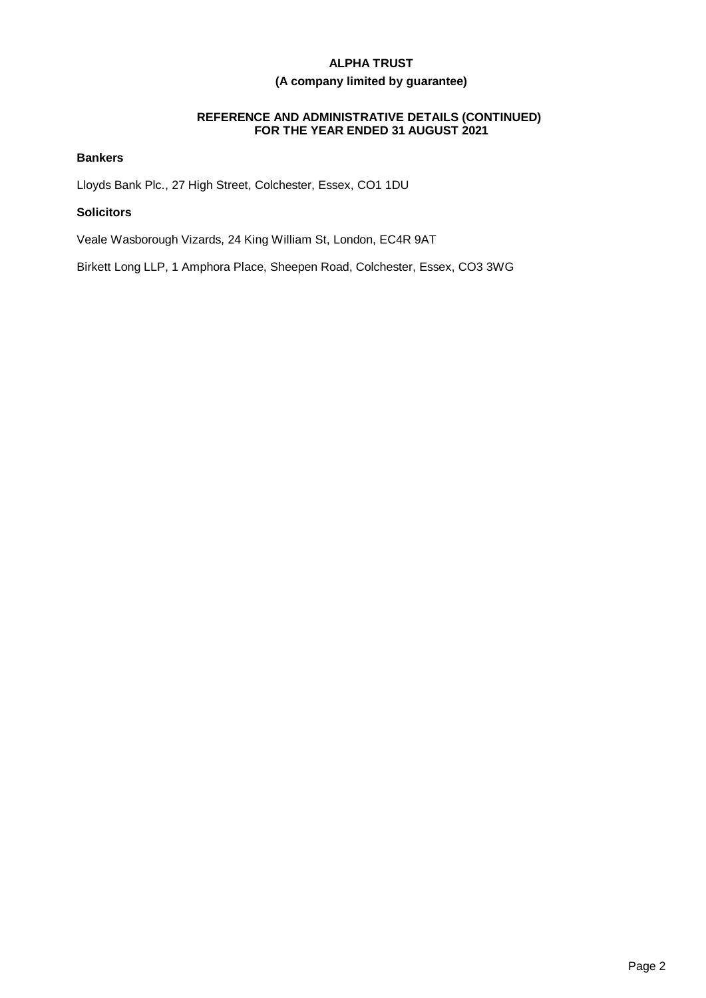# **(A company limited by guarantee)**

# **REFERENCE AND ADMINISTRATIVE DETAILS (CONTINUED) FOR THE YEAR ENDED 31 AUGUST 2021**

# **Bankers**

Lloyds Bank Plc., 27 High Street, Colchester, Essex, CO1 1DU

# **Solicitors**

Veale Wasborough Vizards, 24 King William St, London, EC4R 9AT

Birkett Long LLP, 1 Amphora Place, Sheepen Road, Colchester, Essex, CO3 3WG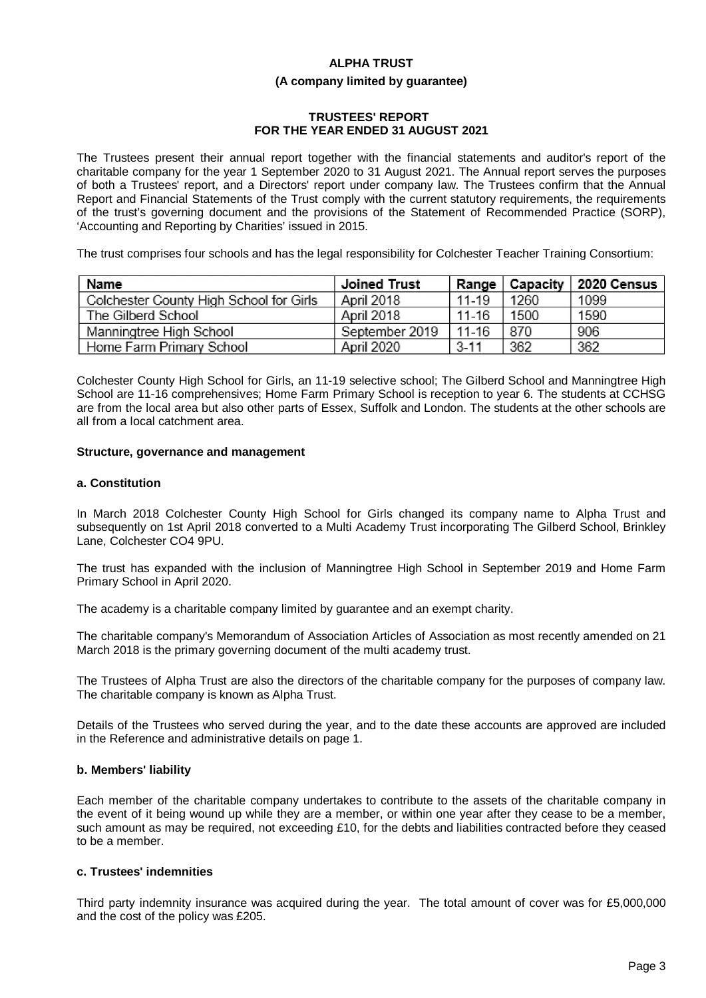# **ALPHA TRUST (A company limited by guarantee)**

# **TRUSTEES' REPORT FOR THE YEAR ENDED 31 AUGUST 2021**

The Trustees present their annual report together with the financial statements and auditor's report of the charitable company for the year 1 September 2020 to 31 August 2021. The Annual report serves the purposes of both a Trustees' report, and a Directors' report under company law. The Trustees confirm that the Annual Report and Financial Statements of the Trust comply with the current statutory requirements, the requirements of the trust's governing document and the provisions of the Statement of Recommended Practice (SORP), 'Accounting and Reporting by Charities' issued in 2015.

The trust comprises four schools and has the legal responsibility for Colchester Teacher Training Consortium:

| Name                                    | Joined Trust   | Range    | Capacity | 2020 Census |
|-----------------------------------------|----------------|----------|----------|-------------|
| Colchester County High School for Girls | April 2018     | 11-19    | 1260     | 1099        |
| The Gilberd School                      | April 2018     | 11-16    | 1500     | 1590        |
| Manningtree High School                 | September 2019 | $11-16$  | 870      | 906         |
| Home Farm Primary School                | April 2020     | $3 - 11$ | 362      | 362         |

Colchester County High School for Girls, an 11-19 selective school; The Gilberd School and Manningtree High School are 11-16 comprehensives; Home Farm Primary School is reception to year 6. The students at CCHSG are from the local area but also other parts of Essex, Suffolk and London. The students at the other schools are all from a local catchment area.

# **Structure, governance and management**

#### **a. Constitution**

In March 2018 Colchester County High School for Girls changed its company name to Alpha Trust and subsequently on 1st April 2018 converted to a Multi Academy Trust incorporating The Gilberd School, Brinkley Lane, Colchester CO4 9PU.

The trust has expanded with the inclusion of Manningtree High School in September 2019 and Home Farm Primary School in April 2020.

The academy is a charitable company limited by guarantee and an exempt charity.

The charitable company's Memorandum of Association Articles of Association as most recently amended on 21 March 2018 is the primary governing document of the multi academy trust.

The Trustees of Alpha Trust are also the directors of the charitable company for the purposes of company law. The charitable company is known as Alpha Trust.

Details of the Trustees who served during the year, and to the date these accounts are approved are included in the Reference and administrative details on page 1.

# **b. Members' liability**

Each member of the charitable company undertakes to contribute to the assets of the charitable company in the event of it being wound up while they are a member, or within one year after they cease to be a member, such amount as may be required, not exceeding £10, for the debts and liabilities contracted before they ceased to be a member.

# **c. Trustees' indemnities**

Third party indemnity insurance was acquired during the year. The total amount of cover was for £5,000,000 and the cost of the policy was £205.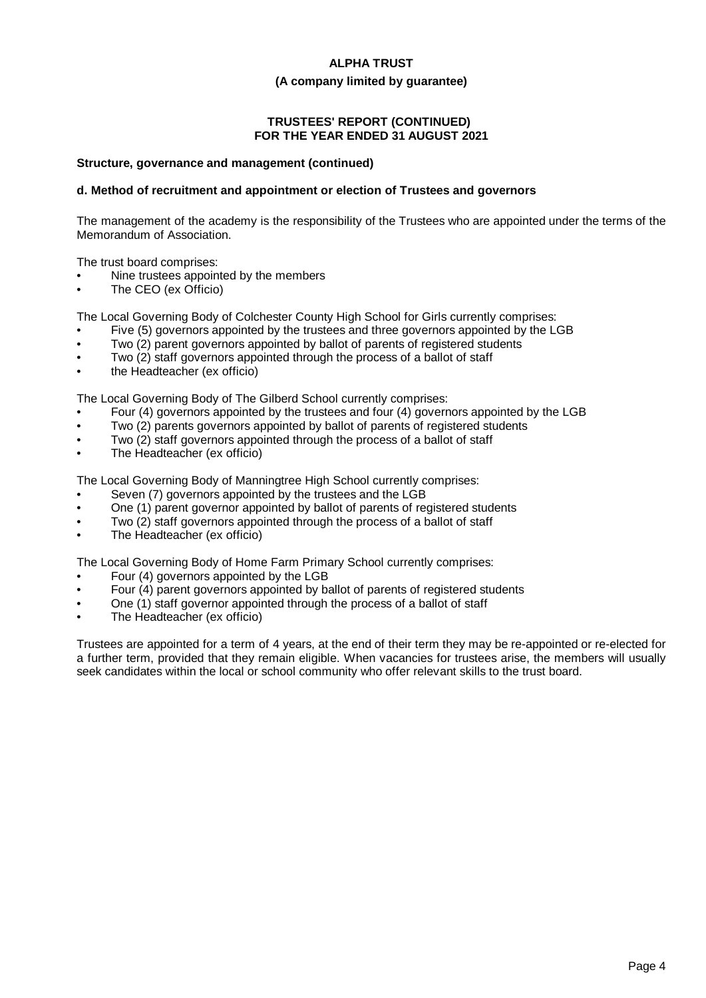#### **(A company limited by guarantee)**

# **TRUSTEES' REPORT (CONTINUED) FOR THE YEAR ENDED 31 AUGUST 2021**

#### **Structure, governance and management (continued)**

# **d. Method of recruitment and appointment or election of Trustees and governors**

The management of the academy is the responsibility of the Trustees who are appointed under the terms of the Memorandum of Association.

The trust board comprises:

- Nine trustees appointed by the members
- The CEO (ex Officio)

The Local Governing Body of Colchester County High School for Girls currently comprises:

- Five (5) governors appointed by the trustees and three governors appointed by the LGB
- Two (2) parent governors appointed by ballot of parents of registered students
- Two (2) staff governors appointed through the process of a ballot of staff
- the Headteacher (ex officio)

The Local Governing Body of The Gilberd School currently comprises:

- Four (4) governors appointed by the trustees and four (4) governors appointed by the LGB
- Two (2) parents governors appointed by ballot of parents of registered students
- Two (2) staff governors appointed through the process of a ballot of staff
- The Headteacher (ex officio)

The Local Governing Body of Manningtree High School currently comprises:

- Seven (7) governors appointed by the trustees and the LGB
- One (1) parent governor appointed by ballot of parents of registered students
- Two (2) staff governors appointed through the process of a ballot of staff
- The Headteacher (ex officio)

The Local Governing Body of Home Farm Primary School currently comprises:

- Four (4) governors appointed by the LGB
- Four (4) parent governors appointed by ballot of parents of registered students
- One (1) staff governor appointed through the process of a ballot of staff
- The Headteacher (ex officio)

Trustees are appointed for a term of 4 years, at the end of their term they may be re-appointed or re-elected for a further term, provided that they remain eligible. When vacancies for trustees arise, the members will usually seek candidates within the local or school community who offer relevant skills to the trust board.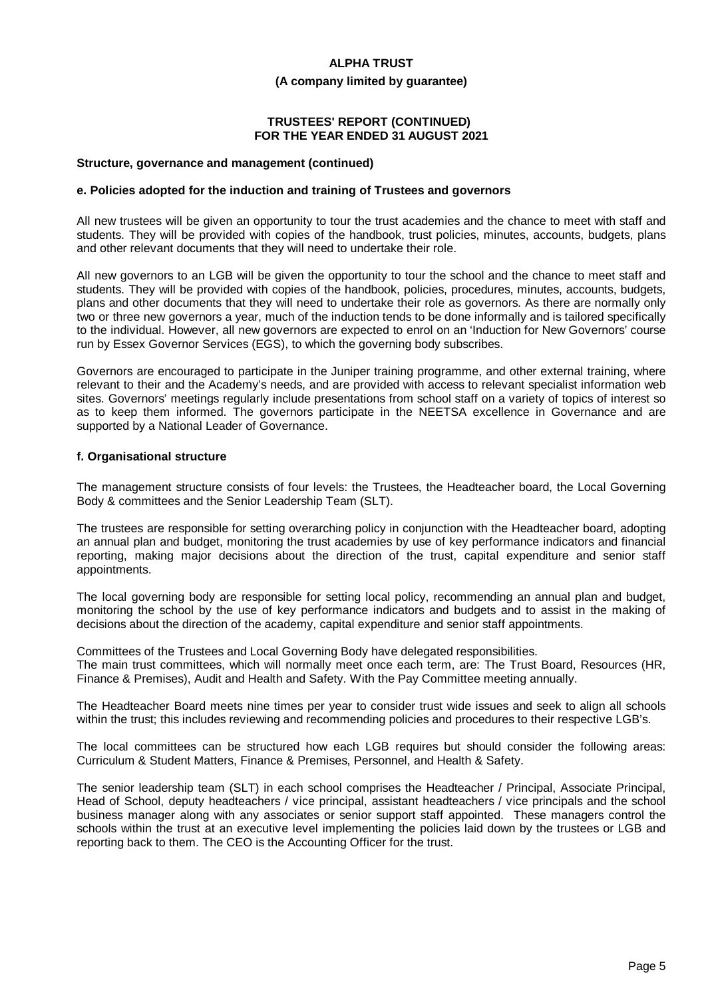#### **(A company limited by guarantee)**

### **TRUSTEES' REPORT (CONTINUED) FOR THE YEAR ENDED 31 AUGUST 2021**

#### **Structure, governance and management (continued)**

#### **e. Policies adopted for the induction and training of Trustees and governors**

All new trustees will be given an opportunity to tour the trust academies and the chance to meet with staff and students. They will be provided with copies of the handbook, trust policies, minutes, accounts, budgets, plans and other relevant documents that they will need to undertake their role.

All new governors to an LGB will be given the opportunity to tour the school and the chance to meet staff and students. They will be provided with copies of the handbook, policies, procedures, minutes, accounts, budgets, plans and other documents that they will need to undertake their role as governors. As there are normally only two or three new governors a year, much of the induction tends to be done informally and is tailored specifically to the individual. However, all new governors are expected to enrol on an 'Induction for New Governors' course run by Essex Governor Services (EGS), to which the governing body subscribes.

Governors are encouraged to participate in the Juniper training programme, and other external training, where relevant to their and the Academy's needs, and are provided with access to relevant specialist information web sites. Governors' meetings regularly include presentations from school staff on a variety of topics of interest so as to keep them informed. The governors participate in the NEETSA excellence in Governance and are supported by a National Leader of Governance.

#### **f. Organisational structure**

The management structure consists of four levels: the Trustees, the Headteacher board, the Local Governing Body & committees and the Senior Leadership Team (SLT).

The trustees are responsible for setting overarching policy in conjunction with the Headteacher board, adopting an annual plan and budget, monitoring the trust academies by use of key performance indicators and financial reporting, making major decisions about the direction of the trust, capital expenditure and senior staff appointments.

The local governing body are responsible for setting local policy, recommending an annual plan and budget, monitoring the school by the use of key performance indicators and budgets and to assist in the making of decisions about the direction of the academy, capital expenditure and senior staff appointments.

Committees of the Trustees and Local Governing Body have delegated responsibilities. The main trust committees, which will normally meet once each term, are: The Trust Board, Resources (HR, Finance & Premises), Audit and Health and Safety. With the Pay Committee meeting annually.

The Headteacher Board meets nine times per year to consider trust wide issues and seek to align all schools within the trust; this includes reviewing and recommending policies and procedures to their respective LGB's.

The local committees can be structured how each LGB requires but should consider the following areas: Curriculum & Student Matters, Finance & Premises, Personnel, and Health & Safety.

The senior leadership team (SLT) in each school comprises the Headteacher / Principal, Associate Principal, Head of School, deputy headteachers / vice principal, assistant headteachers / vice principals and the school business manager along with any associates or senior support staff appointed. These managers control the schools within the trust at an executive level implementing the policies laid down by the trustees or LGB and reporting back to them. The CEO is the Accounting Officer for the trust.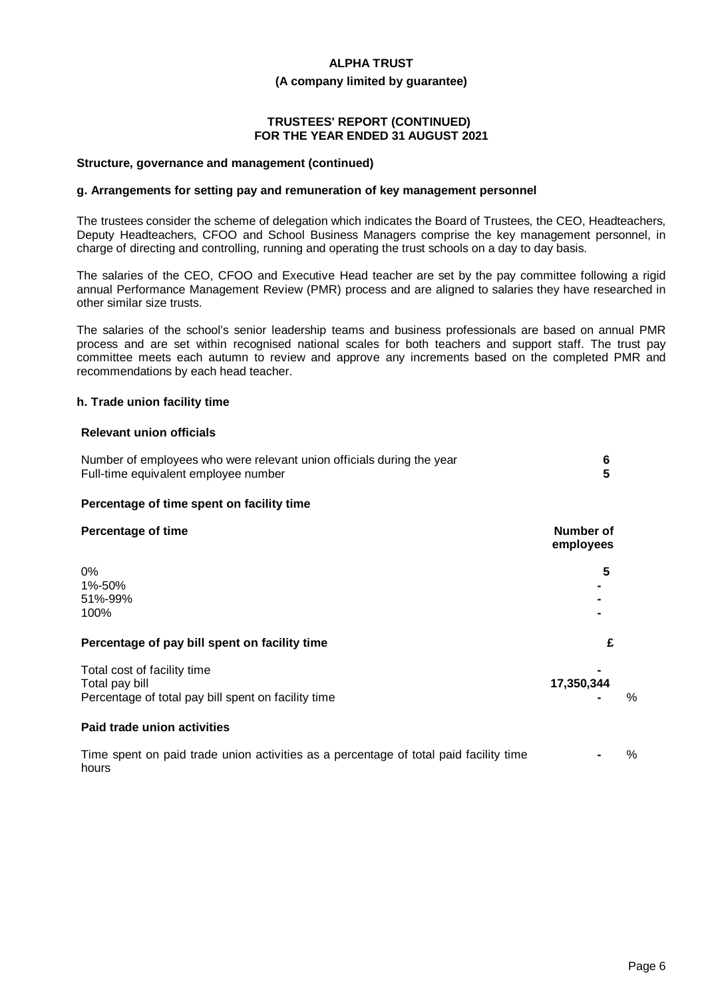#### **(A company limited by guarantee)**

# **TRUSTEES' REPORT (CONTINUED) FOR THE YEAR ENDED 31 AUGUST 2021**

#### **Structure, governance and management (continued)**

#### **g. Arrangements for setting pay and remuneration of key management personnel**

The trustees consider the scheme of delegation which indicates the Board of Trustees, the CEO, Headteachers, Deputy Headteachers, CFOO and School Business Managers comprise the key management personnel, in charge of directing and controlling, running and operating the trust schools on a day to day basis.

The salaries of the CEO, CFOO and Executive Head teacher are set by the pay committee following a rigid annual Performance Management Review (PMR) process and are aligned to salaries they have researched in other similar size trusts.

The salaries of the school's senior leadership teams and business professionals are based on annual PMR process and are set within recognised national scales for both teachers and support staff. The trust pay committee meets each autumn to review and approve any increments based on the completed PMR and recommendations by each head teacher.

# **h. Trade union facility time**

#### **Relevant union officials**

| Number of employees who were relevant union officials during the year<br>Full-time equivalent employee number |                             |  |
|---------------------------------------------------------------------------------------------------------------|-----------------------------|--|
| Percentage of time spent on facility time                                                                     |                             |  |
| <b>Percentage of time</b>                                                                                     | Number of<br>employees      |  |
| 0%<br>1%-50%<br>51%-99%<br>100%                                                                               | 5                           |  |
| Percentage of pay bill spent on facility time                                                                 | £                           |  |
| Total cost of facility time<br>Total pay bill<br>Percentage of total pay bill spent on facility time          | 17,350,344<br>$\frac{6}{2}$ |  |
| Paid trade union activities                                                                                   |                             |  |

Time spent on paid trade union activities as a percentage of total paid facility time hours **-** %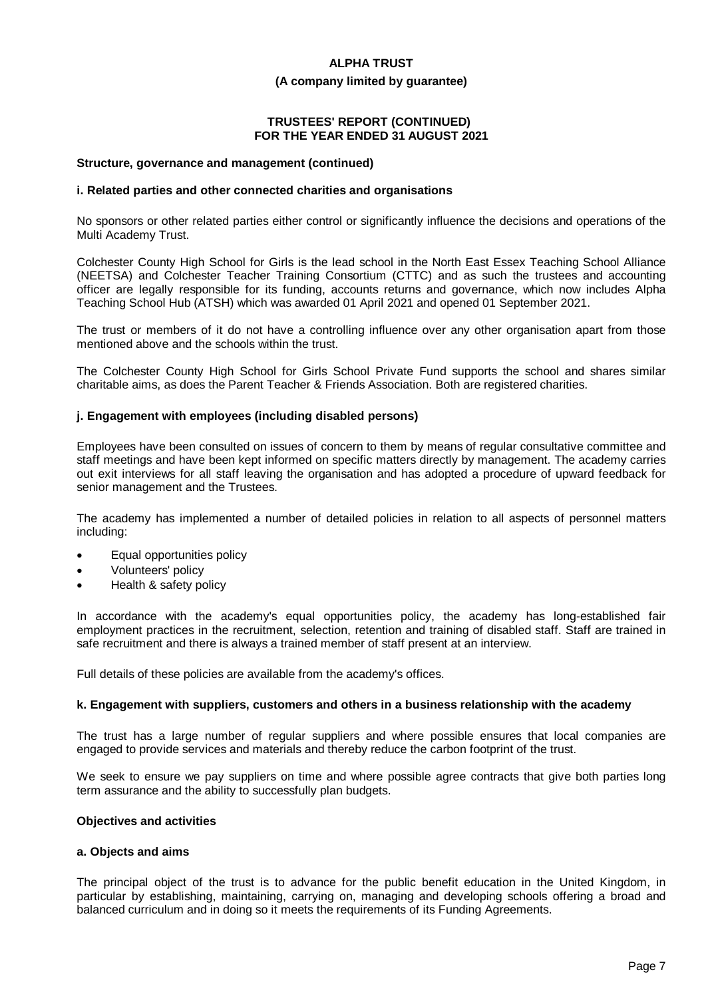#### **(A company limited by guarantee)**

# **TRUSTEES' REPORT (CONTINUED) FOR THE YEAR ENDED 31 AUGUST 2021**

#### **Structure, governance and management (continued)**

#### **i. Related parties and other connected charities and organisations**

No sponsors or other related parties either control or significantly influence the decisions and operations of the Multi Academy Trust.

Colchester County High School for Girls is the lead school in the North East Essex Teaching School Alliance (NEETSA) and Colchester Teacher Training Consortium (CTTC) and as such the trustees and accounting officer are legally responsible for its funding, accounts returns and governance, which now includes Alpha Teaching School Hub (ATSH) which was awarded 01 April 2021 and opened 01 September 2021.

The trust or members of it do not have a controlling influence over any other organisation apart from those mentioned above and the schools within the trust.

The Colchester County High School for Girls School Private Fund supports the school and shares similar charitable aims, as does the Parent Teacher & Friends Association. Both are registered charities.

#### **j. Engagement with employees (including disabled persons)**

Employees have been consulted on issues of concern to them by means of regular consultative committee and staff meetings and have been kept informed on specific matters directly by management. The academy carries out exit interviews for all staff leaving the organisation and has adopted a procedure of upward feedback for senior management and the Trustees.

The academy has implemented a number of detailed policies in relation to all aspects of personnel matters including:

- Equal opportunities policy
- Volunteers' policy
- Health & safety policy

In accordance with the academy's equal opportunities policy, the academy has long-established fair employment practices in the recruitment, selection, retention and training of disabled staff. Staff are trained in safe recruitment and there is always a trained member of staff present at an interview.

Full details of these policies are available from the academy's offices.

#### **k. Engagement with suppliers, customers and others in a business relationship with the academy**

The trust has a large number of regular suppliers and where possible ensures that local companies are engaged to provide services and materials and thereby reduce the carbon footprint of the trust.

We seek to ensure we pay suppliers on time and where possible agree contracts that give both parties long term assurance and the ability to successfully plan budgets.

#### **Objectives and activities**

#### **a. Objects and aims**

The principal object of the trust is to advance for the public benefit education in the United Kingdom, in particular by establishing, maintaining, carrying on, managing and developing schools offering a broad and balanced curriculum and in doing so it meets the requirements of its Funding Agreements.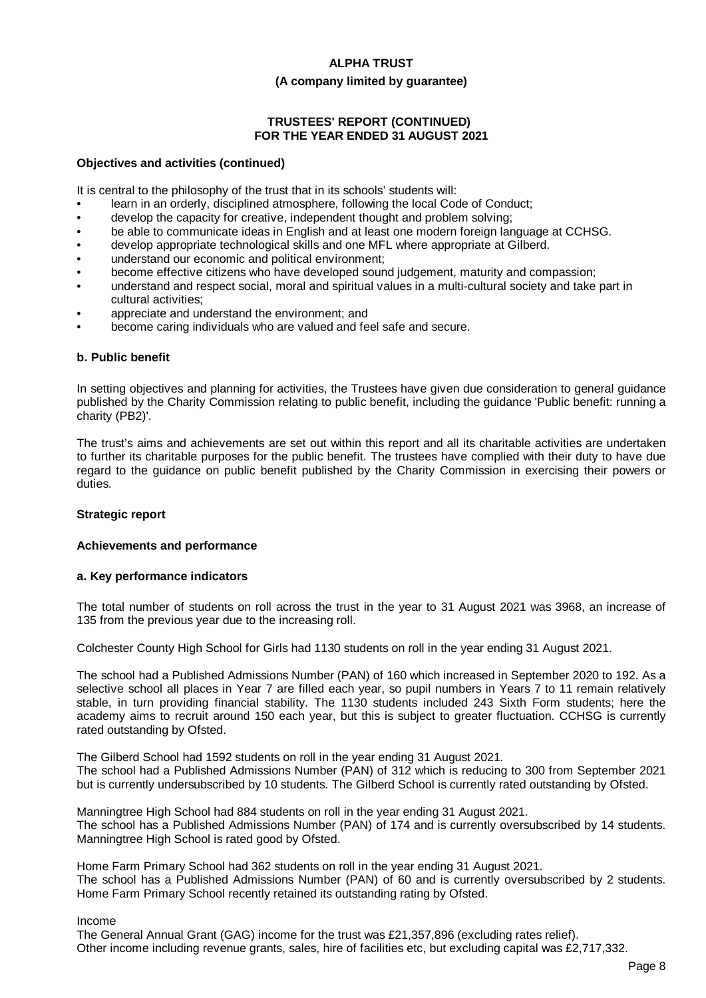#### **(A company limited by guarantee)**

# **TRUSTEES' REPORT (CONTINUED) FOR THE YEAR ENDED 31 AUGUST 2021**

#### **Objectives and activities (continued)**

It is central to the philosophy of the trust that in its schools' students will:

- learn in an orderly, disciplined atmosphere, following the local Code of Conduct;
- develop the capacity for creative, independent thought and problem solving;
- be able to communicate ideas in English and at least one modern foreign language at CCHSG.
- develop appropriate technological skills and one MFL where appropriate at Gilberd.
- understand our economic and political environment;
- become effective citizens who have developed sound judgement, maturity and compassion;
- understand and respect social, moral and spiritual values in a multi-cultural society and take part in cultural activities;
- appreciate and understand the environment; and
- become caring individuals who are valued and feel safe and secure.

#### **b. Public benefit**

In setting objectives and planning for activities, the Trustees have given due consideration to general guidance published by the Charity Commission relating to public benefit, including the guidance 'Public benefit: running a charity (PB2)'.

The trust's aims and achievements are set out within this report and all its charitable activities are undertaken to further its charitable purposes for the public benefit. The trustees have complied with their duty to have due regard to the guidance on public benefit published by the Charity Commission in exercising their powers or duties.

# **Strategic report**

#### **Achievements and performance**

#### **a. Key performance indicators**

The total number of students on roll across the trust in the year to 31 August 2021 was 3968, an increase of 135 from the previous year due to the increasing roll.

Colchester County High School for Girls had 1130 students on roll in the year ending 31 August 2021.

The school had a Published Admissions Number (PAN) of 160 which increased in September 2020 to 192. As a selective school all places in Year 7 are filled each year, so pupil numbers in Years 7 to 11 remain relatively stable, in turn providing financial stability. The 1130 students included 243 Sixth Form students; here the academy aims to recruit around 150 each year, but this is subject to greater fluctuation. CCHSG is currently rated outstanding by Ofsted.

The Gilberd School had 1592 students on roll in the year ending 31 August 2021. The school had a Published Admissions Number (PAN) of 312 which is reducing to 300 from September 2021 but is currently undersubscribed by 10 students. The Gilberd School is currently rated outstanding by Ofsted.

Manningtree High School had 884 students on roll in the year ending 31 August 2021. The school has a Published Admissions Number (PAN) of 174 and is currently oversubscribed by 14 students. Manningtree High School is rated good by Ofsted.

Home Farm Primary School had 362 students on roll in the year ending 31 August 2021. The school has a Published Admissions Number (PAN) of 60 and is currently oversubscribed by 2 students. Home Farm Primary School recently retained its outstanding rating by Ofsted.

#### Income

The General Annual Grant (GAG) income for the trust was £21,357,896 (excluding rates relief). Other income including revenue grants, sales, hire of facilities etc, but excluding capital was £2,717,332.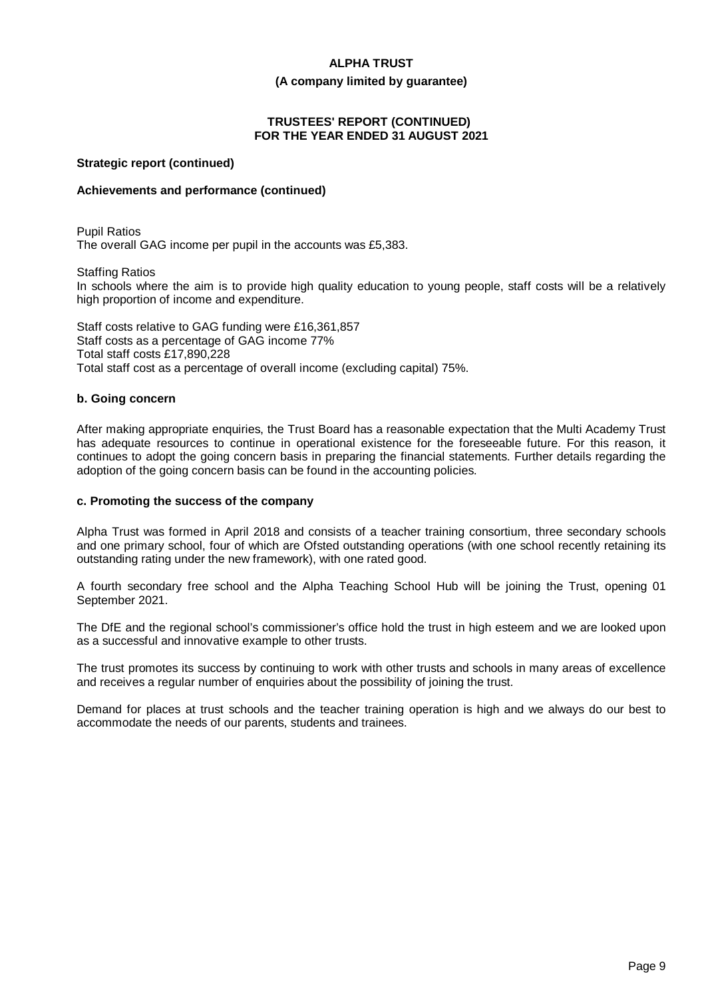#### **(A company limited by guarantee)**

# **TRUSTEES' REPORT (CONTINUED) FOR THE YEAR ENDED 31 AUGUST 2021**

#### **Strategic report (continued)**

#### **Achievements and performance (continued)**

Pupil Ratios The overall GAG income per pupil in the accounts was £5,383.

Staffing Ratios

In schools where the aim is to provide high quality education to young people, staff costs will be a relatively high proportion of income and expenditure.

Staff costs relative to GAG funding were £16,361,857 Staff costs as a percentage of GAG income 77% Total staff costs £17,890,228 Total staff cost as a percentage of overall income (excluding capital) 75%.

#### **b. Going concern**

After making appropriate enquiries, the Trust Board has a reasonable expectation that the Multi Academy Trust has adequate resources to continue in operational existence for the foreseeable future. For this reason, it continues to adopt the going concern basis in preparing the financial statements. Further details regarding the adoption of the going concern basis can be found in the accounting policies.

#### **c. Promoting the success of the company**

Alpha Trust was formed in April 2018 and consists of a teacher training consortium, three secondary schools and one primary school, four of which are Ofsted outstanding operations (with one school recently retaining its outstanding rating under the new framework), with one rated good.

A fourth secondary free school and the Alpha Teaching School Hub will be joining the Trust, opening 01 September 2021.

The DfE and the regional school's commissioner's office hold the trust in high esteem and we are looked upon as a successful and innovative example to other trusts.

The trust promotes its success by continuing to work with other trusts and schools in many areas of excellence and receives a regular number of enquiries about the possibility of joining the trust.

Demand for places at trust schools and the teacher training operation is high and we always do our best to accommodate the needs of our parents, students and trainees.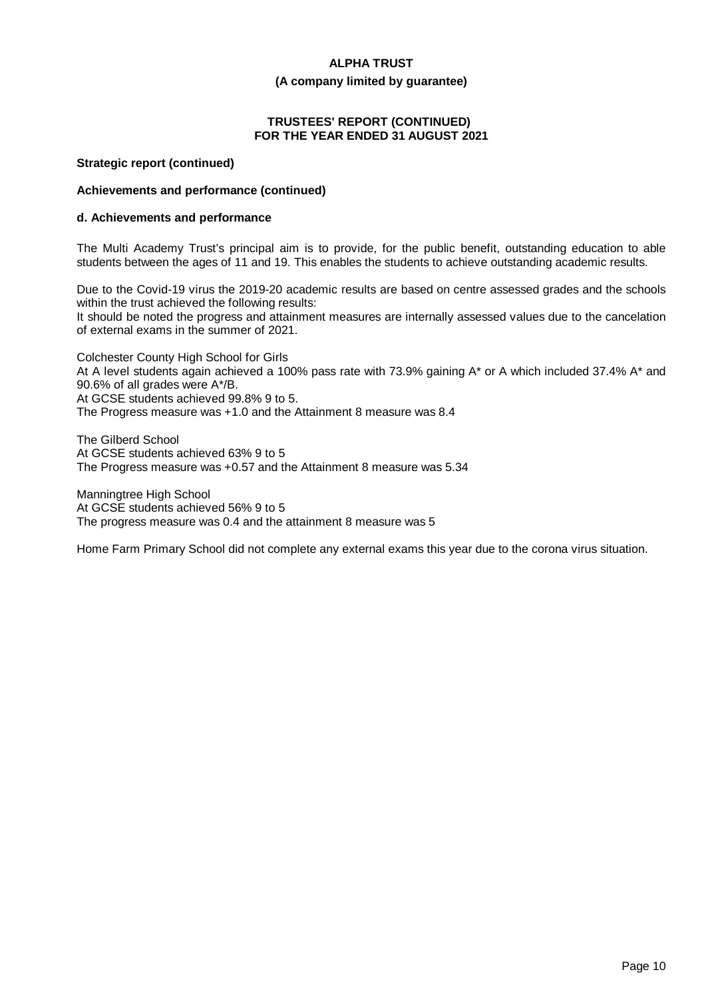#### **(A company limited by guarantee)**

# **TRUSTEES' REPORT (CONTINUED) FOR THE YEAR ENDED 31 AUGUST 2021**

#### **Strategic report (continued)**

### **Achievements and performance (continued)**

#### **d. Achievements and performance**

The Multi Academy Trust's principal aim is to provide, for the public benefit, outstanding education to able students between the ages of 11 and 19. This enables the students to achieve outstanding academic results.

Due to the Covid-19 virus the 2019-20 academic results are based on centre assessed grades and the schools within the trust achieved the following results:

It should be noted the progress and attainment measures are internally assessed values due to the cancelation of external exams in the summer of 2021.

Colchester County High School for Girls At A level students again achieved a 100% pass rate with 73.9% gaining A\* or A which included 37.4% A\* and 90.6% of all grades were A\*/B. At GCSE students achieved 99.8% 9 to 5. The Progress measure was +1.0 and the Attainment 8 measure was 8.4

The Gilberd School At GCSE students achieved 63% 9 to 5 The Progress measure was +0.57 and the Attainment 8 measure was 5.34

Manningtree High School At GCSE students achieved 56% 9 to 5 The progress measure was 0.4 and the attainment 8 measure was 5

Home Farm Primary School did not complete any external exams this year due to the corona virus situation.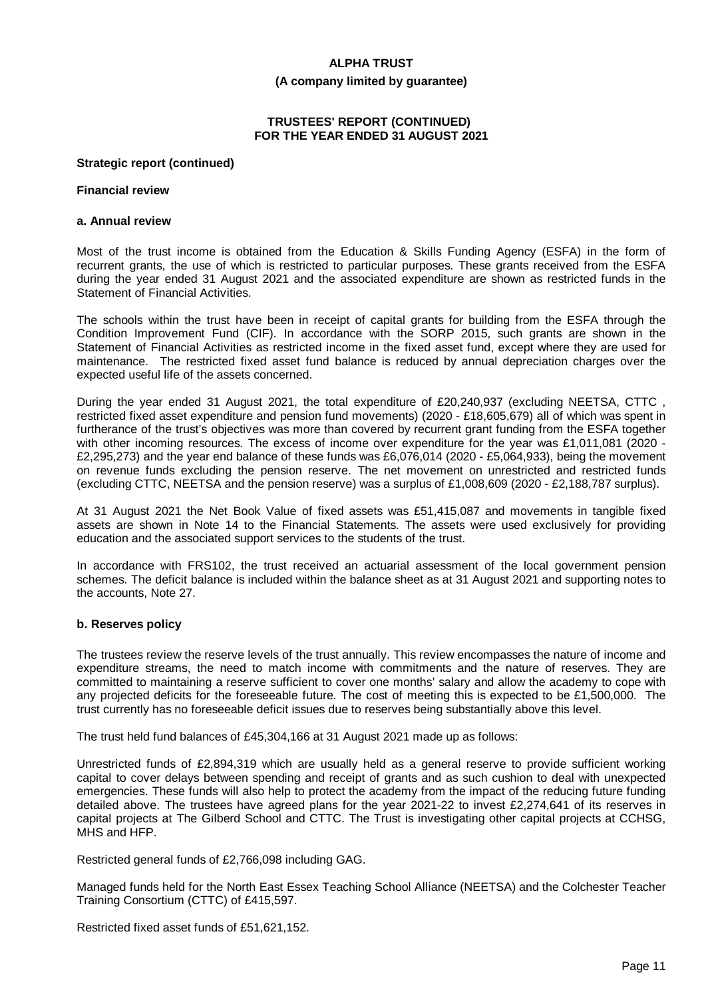#### **(A company limited by guarantee)**

# **TRUSTEES' REPORT (CONTINUED) FOR THE YEAR ENDED 31 AUGUST 2021**

#### **Strategic report (continued)**

#### **Financial review**

#### **a. Annual review**

Most of the trust income is obtained from the Education & Skills Funding Agency (ESFA) in the form of recurrent grants, the use of which is restricted to particular purposes. These grants received from the ESFA during the year ended 31 August 2021 and the associated expenditure are shown as restricted funds in the Statement of Financial Activities.

The schools within the trust have been in receipt of capital grants for building from the ESFA through the Condition Improvement Fund (CIF). In accordance with the SORP 2015, such grants are shown in the Statement of Financial Activities as restricted income in the fixed asset fund, except where they are used for maintenance. The restricted fixed asset fund balance is reduced by annual depreciation charges over the expected useful life of the assets concerned.

During the year ended 31 August 2021, the total expenditure of £20,240,937 (excluding NEETSA, CTTC , restricted fixed asset expenditure and pension fund movements) (2020 - £18,605,679) all of which was spent in furtherance of the trust's objectives was more than covered by recurrent grant funding from the ESFA together with other incoming resources. The excess of income over expenditure for the year was £1,011,081 (2020 - £2,295,273) and the year end balance of these funds was £6,076,014 (2020 - £5,064,933), being the movement on revenue funds excluding the pension reserve. The net movement on unrestricted and restricted funds (excluding CTTC, NEETSA and the pension reserve) was a surplus of £1,008,609 (2020 - £2,188,787 surplus).

At 31 August 2021 the Net Book Value of fixed assets was £51,415,087 and movements in tangible fixed assets are shown in Note 14 to the Financial Statements. The assets were used exclusively for providing education and the associated support services to the students of the trust.

In accordance with FRS102, the trust received an actuarial assessment of the local government pension schemes. The deficit balance is included within the balance sheet as at 31 August 2021 and supporting notes to the accounts, Note 27.

#### **b. Reserves policy**

The trustees review the reserve levels of the trust annually. This review encompasses the nature of income and expenditure streams, the need to match income with commitments and the nature of reserves. They are committed to maintaining a reserve sufficient to cover one months' salary and allow the academy to cope with any projected deficits for the foreseeable future. The cost of meeting this is expected to be £1,500,000. The trust currently has no foreseeable deficit issues due to reserves being substantially above this level.

The trust held fund balances of £45,304,166 at 31 August 2021 made up as follows:

Unrestricted funds of £2,894,319 which are usually held as a general reserve to provide sufficient working capital to cover delays between spending and receipt of grants and as such cushion to deal with unexpected emergencies. These funds will also help to protect the academy from the impact of the reducing future funding detailed above. The trustees have agreed plans for the year 2021-22 to invest £2,274,641 of its reserves in capital projects at The Gilberd School and CTTC. The Trust is investigating other capital projects at CCHSG, MHS and HFP.

Restricted general funds of £2,766,098 including GAG.

Managed funds held for the North East Essex Teaching School Alliance (NEETSA) and the Colchester Teacher Training Consortium (CTTC) of £415,597.

Restricted fixed asset funds of £51,621,152.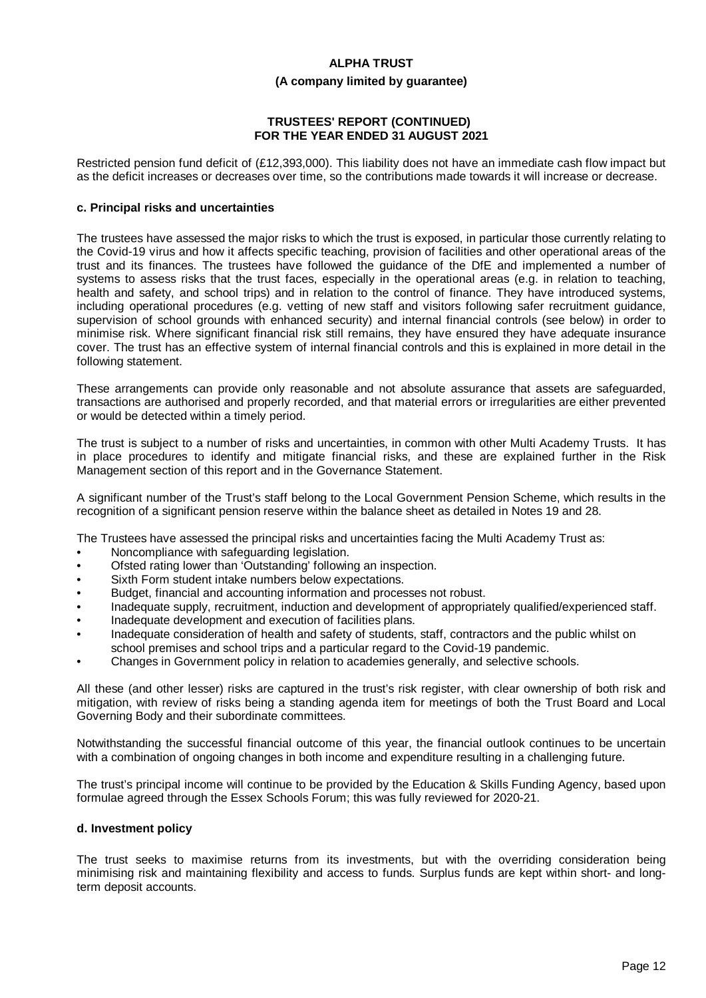#### **(A company limited by guarantee)**

### **TRUSTEES' REPORT (CONTINUED) FOR THE YEAR ENDED 31 AUGUST 2021**

Restricted pension fund deficit of (£12,393,000). This liability does not have an immediate cash flow impact but as the deficit increases or decreases over time, so the contributions made towards it will increase or decrease.

#### **c. Principal risks and uncertainties**

The trustees have assessed the major risks to which the trust is exposed, in particular those currently relating to the Covid-19 virus and how it affects specific teaching, provision of facilities and other operational areas of the trust and its finances. The trustees have followed the guidance of the DfE and implemented a number of systems to assess risks that the trust faces, especially in the operational areas (e.g. in relation to teaching, health and safety, and school trips) and in relation to the control of finance. They have introduced systems, including operational procedures (e.g. vetting of new staff and visitors following safer recruitment guidance, supervision of school grounds with enhanced security) and internal financial controls (see below) in order to minimise risk. Where significant financial risk still remains, they have ensured they have adequate insurance cover. The trust has an effective system of internal financial controls and this is explained in more detail in the following statement.

These arrangements can provide only reasonable and not absolute assurance that assets are safeguarded, transactions are authorised and properly recorded, and that material errors or irregularities are either prevented or would be detected within a timely period.

The trust is subject to a number of risks and uncertainties, in common with other Multi Academy Trusts. It has in place procedures to identify and mitigate financial risks, and these are explained further in the Risk Management section of this report and in the Governance Statement.

A significant number of the Trust's staff belong to the Local Government Pension Scheme, which results in the recognition of a significant pension reserve within the balance sheet as detailed in Notes 19 and 28.

The Trustees have assessed the principal risks and uncertainties facing the Multi Academy Trust as:

- Noncompliance with safeguarding legislation.
- Ofsted rating lower than 'Outstanding' following an inspection.
- Sixth Form student intake numbers below expectations.
- Budget, financial and accounting information and processes not robust.
- Inadequate supply, recruitment, induction and development of appropriately qualified/experienced staff.
- Inadequate development and execution of facilities plans.
- Inadequate consideration of health and safety of students, staff, contractors and the public whilst on school premises and school trips and a particular regard to the Covid-19 pandemic.
- Changes in Government policy in relation to academies generally, and selective schools.

All these (and other lesser) risks are captured in the trust's risk register, with clear ownership of both risk and mitigation, with review of risks being a standing agenda item for meetings of both the Trust Board and Local Governing Body and their subordinate committees.

Notwithstanding the successful financial outcome of this year, the financial outlook continues to be uncertain with a combination of ongoing changes in both income and expenditure resulting in a challenging future.

The trust's principal income will continue to be provided by the Education & Skills Funding Agency, based upon formulae agreed through the Essex Schools Forum; this was fully reviewed for 2020-21.

#### **d. Investment policy**

The trust seeks to maximise returns from its investments, but with the overriding consideration being minimising risk and maintaining flexibility and access to funds. Surplus funds are kept within short- and longterm deposit accounts.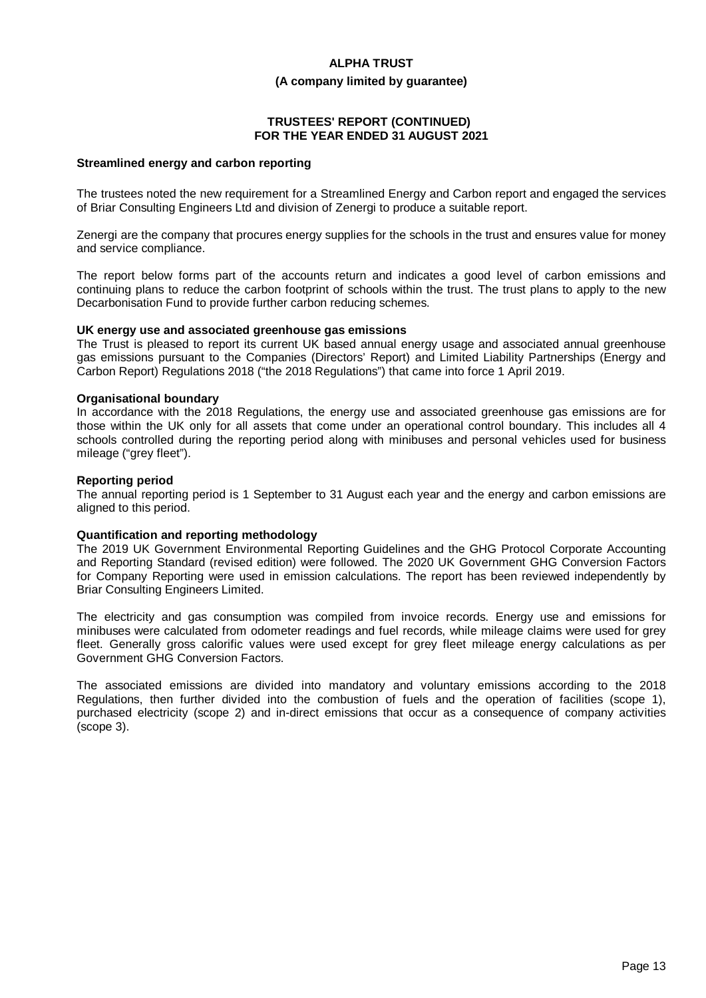#### **(A company limited by guarantee)**

# **TRUSTEES' REPORT (CONTINUED) FOR THE YEAR ENDED 31 AUGUST 2021**

#### **Streamlined energy and carbon reporting**

The trustees noted the new requirement for a Streamlined Energy and Carbon report and engaged the services of Briar Consulting Engineers Ltd and division of Zenergi to produce a suitable report.

Zenergi are the company that procures energy supplies for the schools in the trust and ensures value for money and service compliance.

The report below forms part of the accounts return and indicates a good level of carbon emissions and continuing plans to reduce the carbon footprint of schools within the trust. The trust plans to apply to the new Decarbonisation Fund to provide further carbon reducing schemes.

#### **UK energy use and associated greenhouse gas emissions**

The Trust is pleased to report its current UK based annual energy usage and associated annual greenhouse gas emissions pursuant to the Companies (Directors' Report) and Limited Liability Partnerships (Energy and Carbon Report) Regulations 2018 ("the 2018 Regulations") that came into force 1 April 2019.

#### **Organisational boundary**

In accordance with the 2018 Regulations, the energy use and associated greenhouse gas emissions are for those within the UK only for all assets that come under an operational control boundary. This includes all 4 schools controlled during the reporting period along with minibuses and personal vehicles used for business mileage ("grey fleet").

#### **Reporting period**

The annual reporting period is 1 September to 31 August each year and the energy and carbon emissions are aligned to this period.

#### **Quantification and reporting methodology**

The 2019 UK Government Environmental Reporting Guidelines and the GHG Protocol Corporate Accounting and Reporting Standard (revised edition) were followed. The 2020 UK Government GHG Conversion Factors for Company Reporting were used in emission calculations. The report has been reviewed independently by Briar Consulting Engineers Limited.

The electricity and gas consumption was compiled from invoice records. Energy use and emissions for minibuses were calculated from odometer readings and fuel records, while mileage claims were used for grey fleet. Generally gross calorific values were used except for grey fleet mileage energy calculations as per Government GHG Conversion Factors.

The associated emissions are divided into mandatory and voluntary emissions according to the 2018 Regulations, then further divided into the combustion of fuels and the operation of facilities (scope 1), purchased electricity (scope 2) and in-direct emissions that occur as a consequence of company activities (scope 3).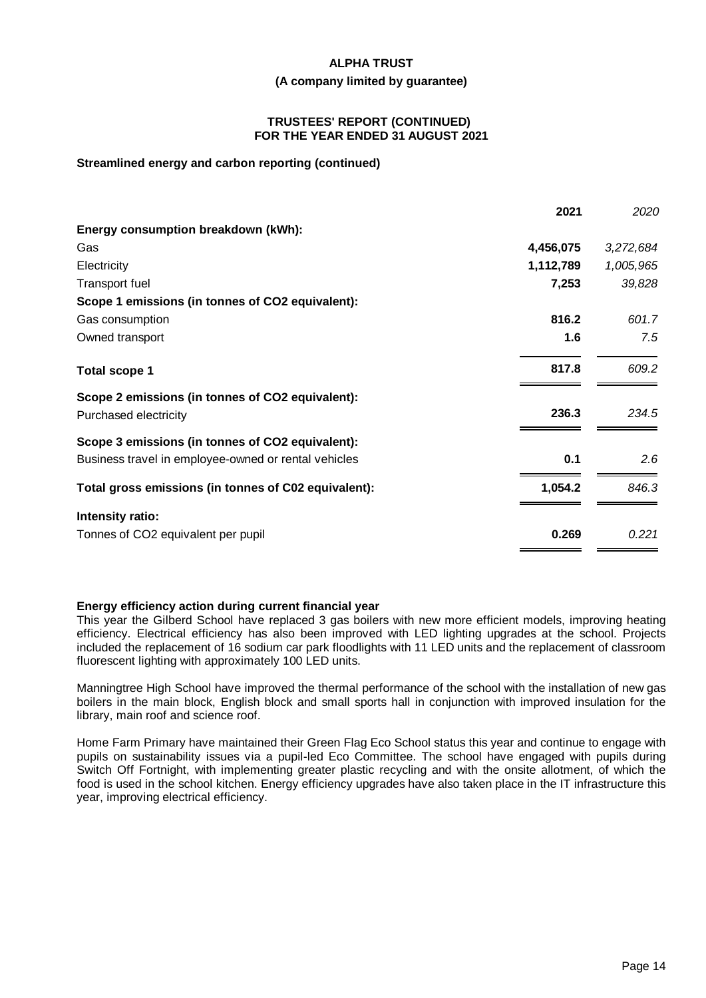#### **(A company limited by guarantee)**

#### **TRUSTEES' REPORT (CONTINUED) FOR THE YEAR ENDED 31 AUGUST 2021**

### **Streamlined energy and carbon reporting (continued)**

|                                                      | 2021      | 2020      |
|------------------------------------------------------|-----------|-----------|
| Energy consumption breakdown (kWh):                  |           |           |
| Gas                                                  | 4,456,075 | 3,272,684 |
| Electricity                                          | 1,112,789 | 1,005,965 |
| <b>Transport fuel</b>                                | 7,253     | 39,828    |
| Scope 1 emissions (in tonnes of CO2 equivalent):     |           |           |
| Gas consumption                                      | 816.2     | 601.7     |
| Owned transport                                      | 1.6       | 7.5       |
| <b>Total scope 1</b>                                 | 817.8     | 609.2     |
| Scope 2 emissions (in tonnes of CO2 equivalent):     |           |           |
| Purchased electricity                                | 236.3     | 234.5     |
| Scope 3 emissions (in tonnes of CO2 equivalent):     |           |           |
| Business travel in employee-owned or rental vehicles | 0.1       | 2.6       |
| Total gross emissions (in tonnes of C02 equivalent): | 1,054.2   | 846.3     |
| Intensity ratio:                                     |           |           |
| Tonnes of CO2 equivalent per pupil                   | 0.269     | 0.221     |

# **Energy efficiency action during current financial year**

This year the Gilberd School have replaced 3 gas boilers with new more efficient models, improving heating efficiency. Electrical efficiency has also been improved with LED lighting upgrades at the school. Projects included the replacement of 16 sodium car park floodlights with 11 LED units and the replacement of classroom fluorescent lighting with approximately 100 LED units.

Manningtree High School have improved the thermal performance of the school with the installation of new gas boilers in the main block, English block and small sports hall in conjunction with improved insulation for the library, main roof and science roof.

Home Farm Primary have maintained their Green Flag Eco School status this year and continue to engage with pupils on sustainability issues via a pupil-led Eco Committee. The school have engaged with pupils during Switch Off Fortnight, with implementing greater plastic recycling and with the onsite allotment, of which the food is used in the school kitchen. Energy efficiency upgrades have also taken place in the IT infrastructure this year, improving electrical efficiency.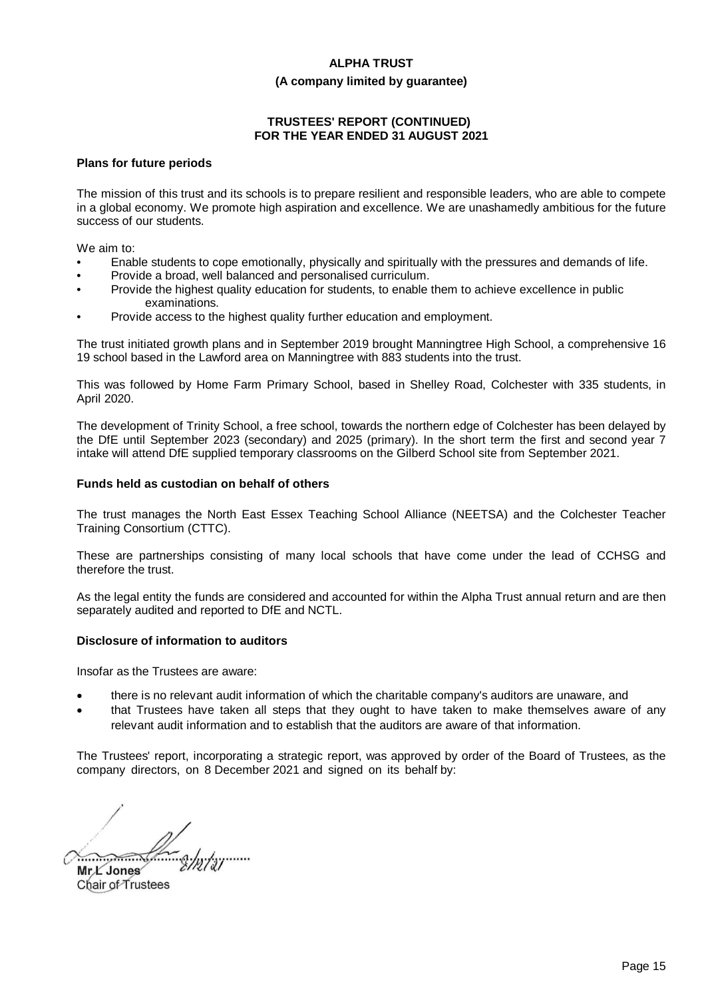#### **(A company limited by guarantee)**

# **TRUSTEES' REPORT (CONTINUED) FOR THE YEAR ENDED 31 AUGUST 2021**

#### **Plans for future periods**

The mission of this trust and its schools is to prepare resilient and responsible leaders, who are able to compete in a global economy. We promote high aspiration and excellence. We are unashamedly ambitious for the future success of our students.

We aim to:

- Enable students to cope emotionally, physically and spiritually with the pressures and demands of life.
- Provide a broad, well balanced and personalised curriculum.
- Provide the highest quality education for students, to enable them to achieve excellence in public examinations.
- Provide access to the highest quality further education and employment.

The trust initiated growth plans and in September 2019 brought Manningtree High School, a comprehensive 16 19 school based in the Lawford area on Manningtree with 883 students into the trust.

This was followed by Home Farm Primary School, based in Shelley Road, Colchester with 335 students, in April 2020.

The development of Trinity School, a free school, towards the northern edge of Colchester has been delayed by the DfE until September 2023 (secondary) and 2025 (primary). In the short term the first and second year 7 intake will attend DfE supplied temporary classrooms on the Gilberd School site from September 2021.

#### **Funds held as custodian on behalf of others**

The trust manages the North East Essex Teaching School Alliance (NEETSA) and the Colchester Teacher Training Consortium (CTTC).

These are partnerships consisting of many local schools that have come under the lead of CCHSG and therefore the trust.

As the legal entity the funds are considered and accounted for within the Alpha Trust annual return and are then separately audited and reported to DfE and NCTL.

# **Disclosure of information to auditors**

Insofar as the Trustees are aware:

- · there is no relevant audit information of which the charitable company's auditors are unaware, and
- that Trustees have taken all steps that they ought to have taken to make themselves aware of any relevant audit information and to establish that the auditors are aware of that information.

The Trustees' report, incorporating a strategic report, was approved by order of the Board of Trustees, as the company directors, on 8 December 2021 and signed on its behalf by:

 $\qquad \qquad \qquad$ 

**Mr L Jones** Chair of Trustees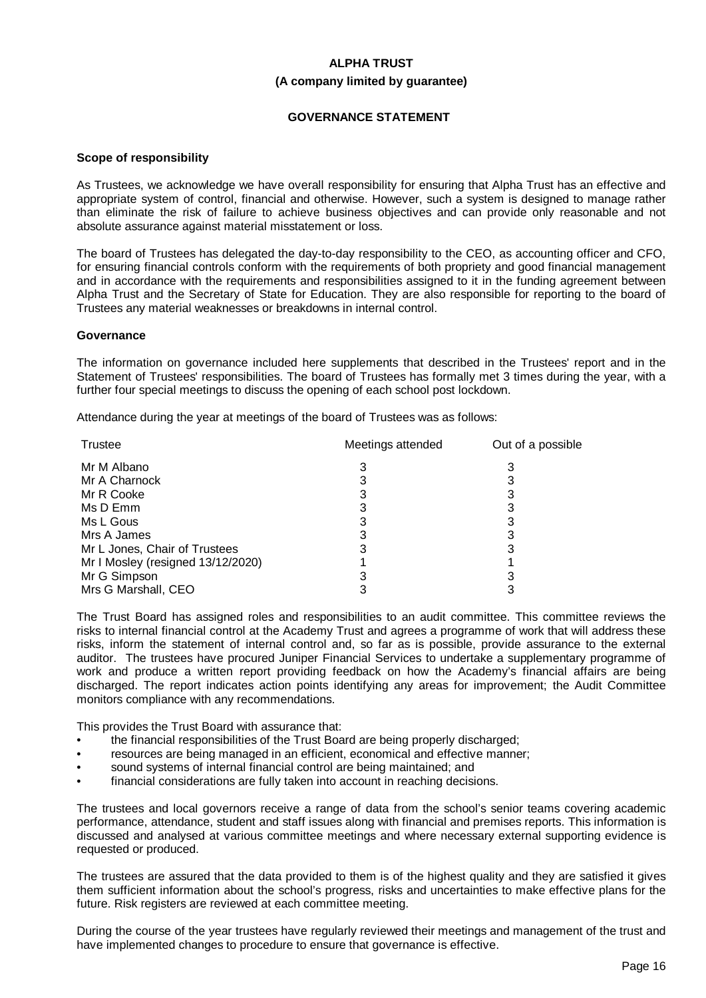# **ALPHA TRUST (A company limited by guarantee)**

# **GOVERNANCE STATEMENT**

#### **Scope of responsibility**

As Trustees, we acknowledge we have overall responsibility for ensuring that Alpha Trust has an effective and appropriate system of control, financial and otherwise. However, such a system is designed to manage rather than eliminate the risk of failure to achieve business objectives and can provide only reasonable and not absolute assurance against material misstatement or loss.

The board of Trustees has delegated the day-to-day responsibility to the CEO, as accounting officer and CFO, for ensuring financial controls conform with the requirements of both propriety and good financial management and in accordance with the requirements and responsibilities assigned to it in the funding agreement between Alpha Trust and the Secretary of State for Education. They are also responsible for reporting to the board of Trustees any material weaknesses or breakdowns in internal control.

#### **Governance**

The information on governance included here supplements that described in the Trustees' report and in the Statement of Trustees' responsibilities. The board of Trustees has formally met 3 times during the year, with a further four special meetings to discuss the opening of each school post lockdown.

Attendance during the year at meetings of the board of Trustees was as follows:

| Trustee                           | Meetings attended | Out of a possible |
|-----------------------------------|-------------------|-------------------|
| Mr M Albano                       |                   |                   |
| Mr A Charnock                     |                   |                   |
| Mr R Cooke                        |                   |                   |
| Ms D Emm                          |                   |                   |
| Ms L Gous                         |                   |                   |
| Mrs A James                       |                   |                   |
| Mr L Jones, Chair of Trustees     |                   |                   |
| Mr I Mosley (resigned 13/12/2020) |                   |                   |
| Mr G Simpson                      |                   |                   |
| Mrs G Marshall, CEO               |                   |                   |

The Trust Board has assigned roles and responsibilities to an audit committee. This committee reviews the risks to internal financial control at the Academy Trust and agrees a programme of work that will address these risks, inform the statement of internal control and, so far as is possible, provide assurance to the external auditor. The trustees have procured Juniper Financial Services to undertake a supplementary programme of work and produce a written report providing feedback on how the Academy's financial affairs are being discharged. The report indicates action points identifying any areas for improvement; the Audit Committee monitors compliance with any recommendations.

This provides the Trust Board with assurance that:

- the financial responsibilities of the Trust Board are being properly discharged;
- resources are being managed in an efficient, economical and effective manner;
- sound systems of internal financial control are being maintained; and
- financial considerations are fully taken into account in reaching decisions.

The trustees and local governors receive a range of data from the school's senior teams covering academic performance, attendance, student and staff issues along with financial and premises reports. This information is discussed and analysed at various committee meetings and where necessary external supporting evidence is requested or produced.

The trustees are assured that the data provided to them is of the highest quality and they are satisfied it gives them sufficient information about the school's progress, risks and uncertainties to make effective plans for the future. Risk registers are reviewed at each committee meeting.

During the course of the year trustees have regularly reviewed their meetings and management of the trust and have implemented changes to procedure to ensure that governance is effective.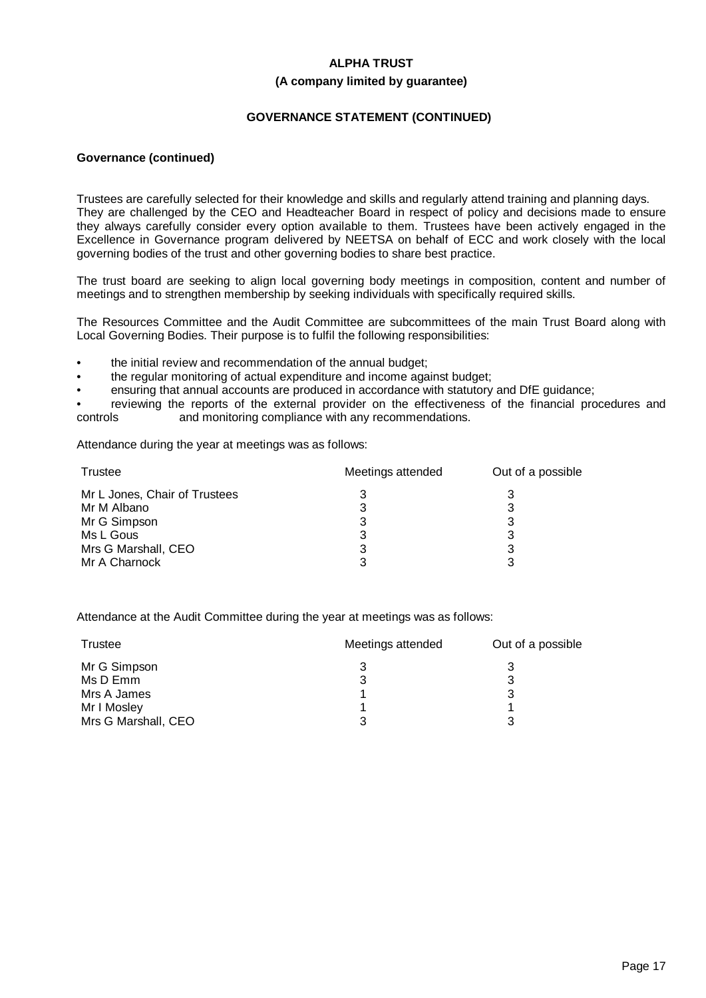#### **(A company limited by guarantee)**

# **GOVERNANCE STATEMENT (CONTINUED)**

#### **Governance (continued)**

Trustees are carefully selected for their knowledge and skills and regularly attend training and planning days. They are challenged by the CEO and Headteacher Board in respect of policy and decisions made to ensure they always carefully consider every option available to them. Trustees have been actively engaged in the Excellence in Governance program delivered by NEETSA on behalf of ECC and work closely with the local governing bodies of the trust and other governing bodies to share best practice.

The trust board are seeking to align local governing body meetings in composition, content and number of meetings and to strengthen membership by seeking individuals with specifically required skills.

The Resources Committee and the Audit Committee are subcommittees of the main Trust Board along with Local Governing Bodies. Their purpose is to fulfil the following responsibilities:

- the initial review and recommendation of the annual budget;
- the regular monitoring of actual expenditure and income against budget;
- ensuring that annual accounts are produced in accordance with statutory and DfE guidance;

reviewing the reports of the external provider on the effectiveness of the financial procedures and controls and monitoring compliance with any recommendations.

Attendance during the year at meetings was as follows:

| Trustee                       | Meetings attended | Out of a possible |
|-------------------------------|-------------------|-------------------|
| Mr L Jones, Chair of Trustees |                   |                   |
| Mr M Albano                   | 3                 |                   |
| Mr G Simpson                  | 3                 |                   |
| Ms L Gous                     | 3                 |                   |
| Mrs G Marshall, CEO           | 3                 |                   |
| Mr A Charnock                 | ર                 |                   |

Attendance at the Audit Committee during the year at meetings was as follows:

| Trustee             | Meetings attended | Out of a possible |
|---------------------|-------------------|-------------------|
| Mr G Simpson        |                   |                   |
| Ms D Emm            | 3                 | 3                 |
| Mrs A James         |                   | 3                 |
| Mr I Mosley         |                   |                   |
| Mrs G Marshall, CEO | ว                 | າ                 |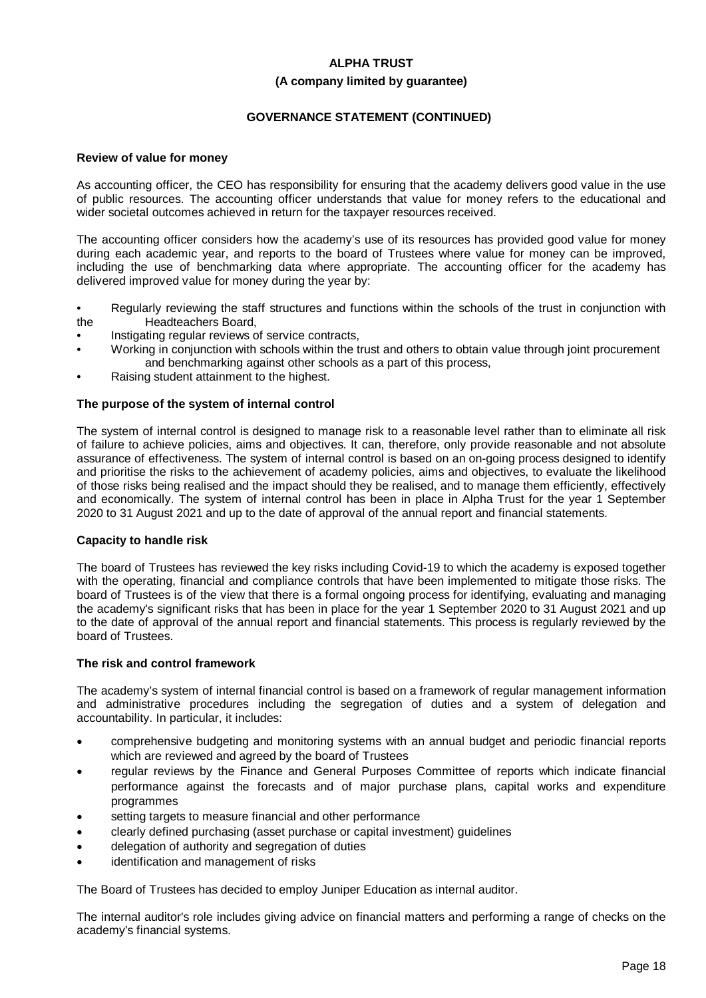# **(A company limited by guarantee)**

# **GOVERNANCE STATEMENT (CONTINUED)**

#### **Review of value for money**

As accounting officer, the CEO has responsibility for ensuring that the academy delivers good value in the use of public resources. The accounting officer understands that value for money refers to the educational and wider societal outcomes achieved in return for the taxpayer resources received.

The accounting officer considers how the academy's use of its resources has provided good value for money during each academic year, and reports to the board of Trustees where value for money can be improved, including the use of benchmarking data where appropriate. The accounting officer for the academy has delivered improved value for money during the year by:

- Regularly reviewing the staff structures and functions within the schools of the trust in conjunction with the Headteachers Board,
- Instigating regular reviews of service contracts,
- Working in conjunction with schools within the trust and others to obtain value through joint procurement and benchmarking against other schools as a part of this process,
- Raising student attainment to the highest.

#### **The purpose of the system of internal control**

The system of internal control is designed to manage risk to a reasonable level rather than to eliminate all risk of failure to achieve policies, aims and objectives. It can, therefore, only provide reasonable and not absolute assurance of effectiveness. The system of internal control is based on an on-going process designed to identify and prioritise the risks to the achievement of academy policies, aims and objectives, to evaluate the likelihood of those risks being realised and the impact should they be realised, and to manage them efficiently, effectively and economically. The system of internal control has been in place in Alpha Trust for the year 1 September 2020 to 31 August 2021 and up to the date of approval of the annual report and financial statements.

#### **Capacity to handle risk**

The board of Trustees has reviewed the key risks including Covid-19 to which the academy is exposed together with the operating, financial and compliance controls that have been implemented to mitigate those risks. The board of Trustees is of the view that there is a formal ongoing process for identifying, evaluating and managing the academy's significant risks that has been in place for the year 1 September 2020 to 31 August 2021 and up to the date of approval of the annual report and financial statements. This process is regularly reviewed by the board of Trustees.

#### **The risk and control framework**

The academy's system of internal financial control is based on a framework of regular management information and administrative procedures including the segregation of duties and a system of delegation and accountability. In particular, it includes:

- · comprehensive budgeting and monitoring systems with an annual budget and periodic financial reports which are reviewed and agreed by the board of Trustees
- regular reviews by the Finance and General Purposes Committee of reports which indicate financial performance against the forecasts and of major purchase plans, capital works and expenditure programmes
- setting targets to measure financial and other performance
- · clearly defined purchasing (asset purchase or capital investment) guidelines
- delegation of authority and segregation of duties
- identification and management of risks

The Board of Trustees has decided to employ Juniper Education as internal auditor.

The internal auditor's role includes giving advice on financial matters and performing a range of checks on the academy's financial systems.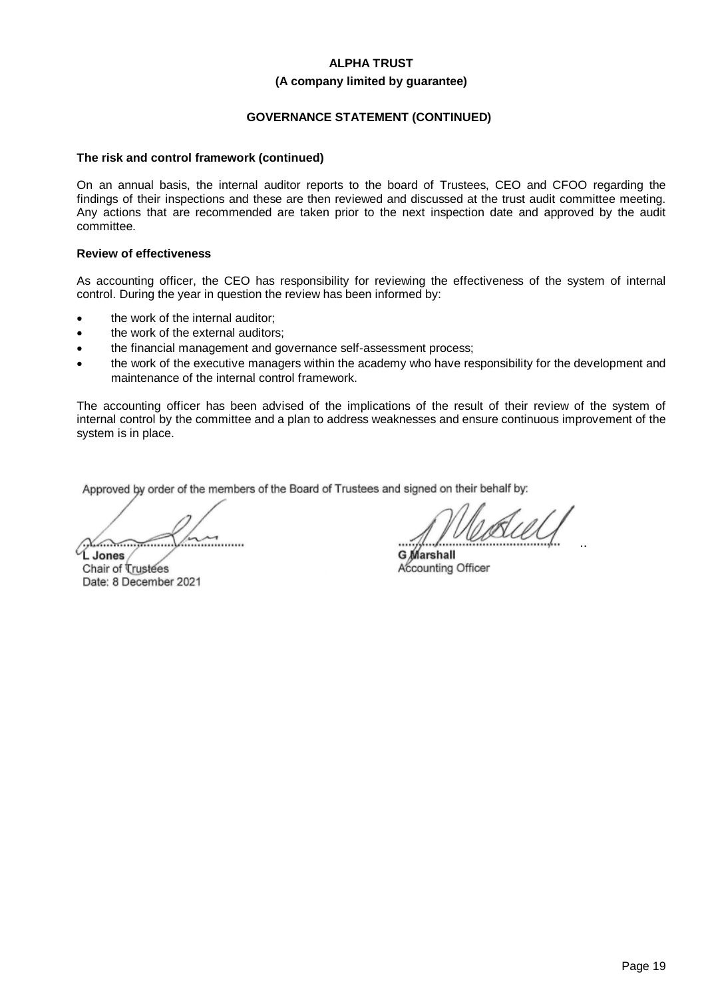#### **(A company limited by guarantee)**

# **GOVERNANCE STATEMENT (CONTINUED)**

#### **The risk and control framework (continued)**

On an annual basis, the internal auditor reports to the board of Trustees, CEO and CFOO regarding the findings of their inspections and these are then reviewed and discussed at the trust audit committee meeting. Any actions that are recommended are taken prior to the next inspection date and approved by the audit committee.

#### **Review of effectiveness**

As accounting officer, the CEO has responsibility for reviewing the effectiveness of the system of internal control. During the year in question the review has been informed by:

- the work of the internal auditor:
- the work of the external auditors:
- the financial management and governance self-assessment process;
- the work of the executive managers within the academy who have responsibility for the development and maintenance of the internal control framework.

The accounting officer has been advised of the implications of the result of their review of the system of internal control by the committee and a plan to address weaknesses and ensure continuous improvement of the system is in place.

Approved by order of the members of the Board of Trustees and signed on their behalf by:

................................................ **L Jones**

Chair of Trustees Date: 8 December 2021

................................................

**G Marshall** Accounting Officer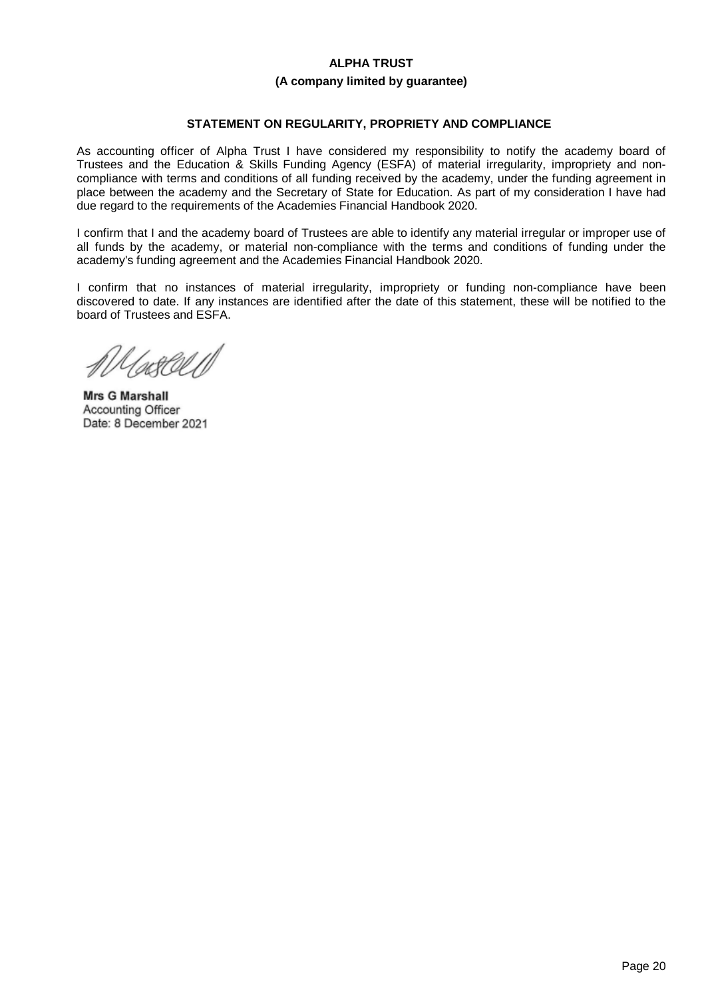#### **(A company limited by guarantee)**

# **STATEMENT ON REGULARITY, PROPRIETY AND COMPLIANCE**

As accounting officer of Alpha Trust I have considered my responsibility to notify the academy board of Trustees and the Education & Skills Funding Agency (ESFA) of material irregularity, impropriety and noncompliance with terms and conditions of all funding received by the academy, under the funding agreement in place between the academy and the Secretary of State for Education. As part of my consideration I have had due regard to the requirements of the Academies Financial Handbook 2020.

I confirm that I and the academy board of Trustees are able to identify any material irregular or improper use of all funds by the academy, or material non-compliance with the terms and conditions of funding under the academy's funding agreement and the Academies Financial Handbook 2020.

I confirm that no instances of material irregularity, impropriety or funding non-compliance have been discovered to date. If any instances are identified after the date of this statement, these will be notified to the board of Trustees and ESFA.

/sc&CU **Mrs G Marshall**

Mrs G Marshall Accounting Officer<br>Date: 8 December 2021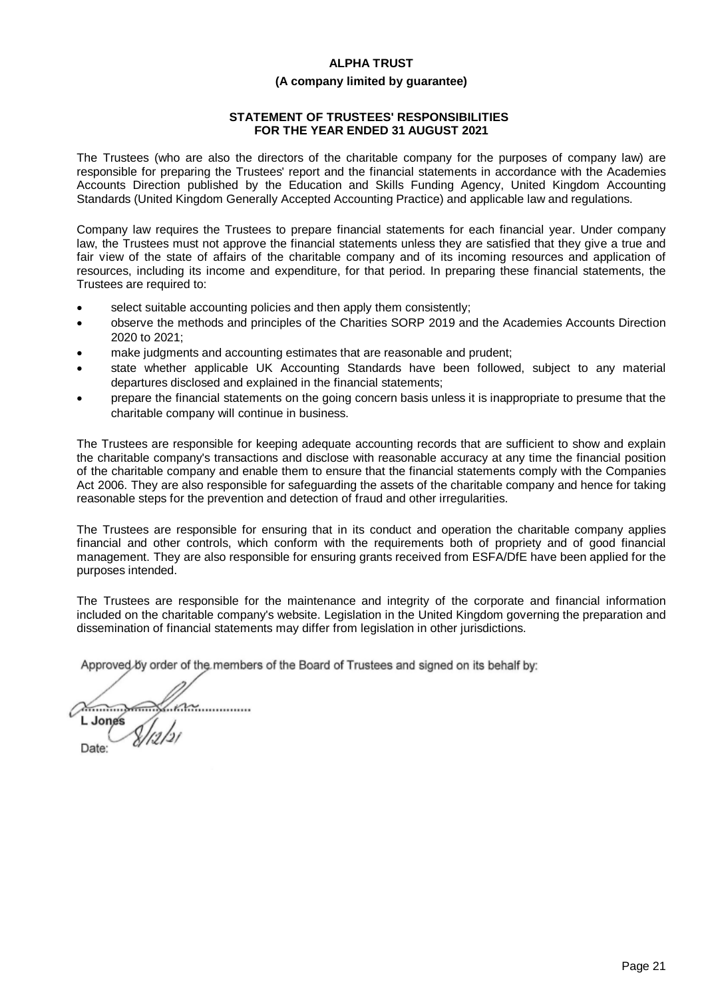# **(A company limited by guarantee)**

# **STATEMENT OF TRUSTEES' RESPONSIBILITIES FOR THE YEAR ENDED 31 AUGUST 2021**

The Trustees (who are also the directors of the charitable company for the purposes of company law) are responsible for preparing the Trustees' report and the financial statements in accordance with the Academies Accounts Direction published by the Education and Skills Funding Agency, United Kingdom Accounting Standards (United Kingdom Generally Accepted Accounting Practice) and applicable law and regulations.

Company law requires the Trustees to prepare financial statements for each financial year. Under company law, the Trustees must not approve the financial statements unless they are satisfied that they give a true and fair view of the state of affairs of the charitable company and of its incoming resources and application of resources, including its income and expenditure, for that period. In preparing these financial statements, the Trustees are required to:

- select suitable accounting policies and then apply them consistently;
- · observe the methods and principles of the Charities SORP 2019 and the Academies Accounts Direction 2020 to 2021;
- make judgments and accounting estimates that are reasonable and prudent;
- state whether applicable UK Accounting Standards have been followed, subject to any material departures disclosed and explained in the financial statements;
- · prepare the financial statements on the going concern basis unless it is inappropriate to presume that the charitable company will continue in business.

The Trustees are responsible for keeping adequate accounting records that are sufficient to show and explain the charitable company's transactions and disclose with reasonable accuracy at any time the financial position of the charitable company and enable them to ensure that the financial statements comply with the Companies Act 2006. They are also responsible for safeguarding the assets of the charitable company and hence for taking reasonable steps for the prevention and detection of fraud and other irregularities.

The Trustees are responsible for ensuring that in its conduct and operation the charitable company applies financial and other controls, which conform with the requirements both of propriety and of good financial management. They are also responsible for ensuring grants received from ESFA/DfE have been applied for the purposes intended.

The Trustees are responsible for the maintenance and integrity of the corporate and financial information included on the charitable company's website. Legislation in the United Kingdom governing the preparation and dissemination of financial statements may differ from legislation in other jurisdictions.

Approved by order of the members of the Board of Trustees and signed on its behalf by:

................................................ **L Jones** Date: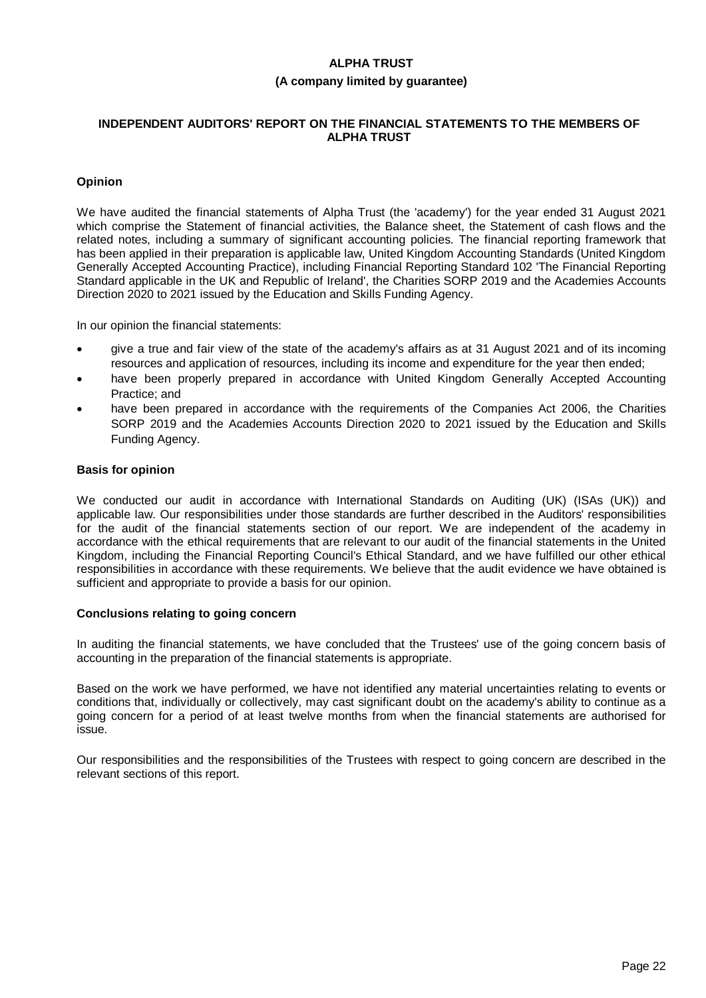#### **(A company limited by guarantee)**

#### **INDEPENDENT AUDITORS' REPORT ON THE FINANCIAL STATEMENTS TO THE MEMBERS OF ALPHA TRUST**

#### **Opinion**

We have audited the financial statements of Alpha Trust (the 'academy') for the year ended 31 August 2021 which comprise the Statement of financial activities, the Balance sheet, the Statement of cash flows and the related notes, including a summary of significant accounting policies. The financial reporting framework that has been applied in their preparation is applicable law, United Kingdom Accounting Standards (United Kingdom Generally Accepted Accounting Practice), including Financial Reporting Standard 102 'The Financial Reporting Standard applicable in the UK and Republic of Ireland', the Charities SORP 2019 and the Academies Accounts Direction 2020 to 2021 issued by the Education and Skills Funding Agency.

In our opinion the financial statements:

- · give a true and fair view of the state of the academy's affairs as at 31 August 2021 and of its incoming resources and application of resources, including its income and expenditure for the year then ended;
- have been properly prepared in accordance with United Kingdom Generally Accepted Accounting Practice; and
- have been prepared in accordance with the requirements of the Companies Act 2006, the Charities SORP 2019 and the Academies Accounts Direction 2020 to 2021 issued by the Education and Skills Funding Agency.

#### **Basis for opinion**

We conducted our audit in accordance with International Standards on Auditing (UK) (ISAs (UK)) and applicable law. Our responsibilities under those standards are further described in the Auditors' responsibilities for the audit of the financial statements section of our report. We are independent of the academy in accordance with the ethical requirements that are relevant to our audit of the financial statements in the United Kingdom, including the Financial Reporting Council's Ethical Standard, and we have fulfilled our other ethical responsibilities in accordance with these requirements. We believe that the audit evidence we have obtained is sufficient and appropriate to provide a basis for our opinion.

#### **Conclusions relating to going concern**

In auditing the financial statements, we have concluded that the Trustees' use of the going concern basis of accounting in the preparation of the financial statements is appropriate.

Based on the work we have performed, we have not identified any material uncertainties relating to events or conditions that, individually or collectively, may cast significant doubt on the academy's ability to continue as a going concern for a period of at least twelve months from when the financial statements are authorised for issue.

Our responsibilities and the responsibilities of the Trustees with respect to going concern are described in the relevant sections of this report.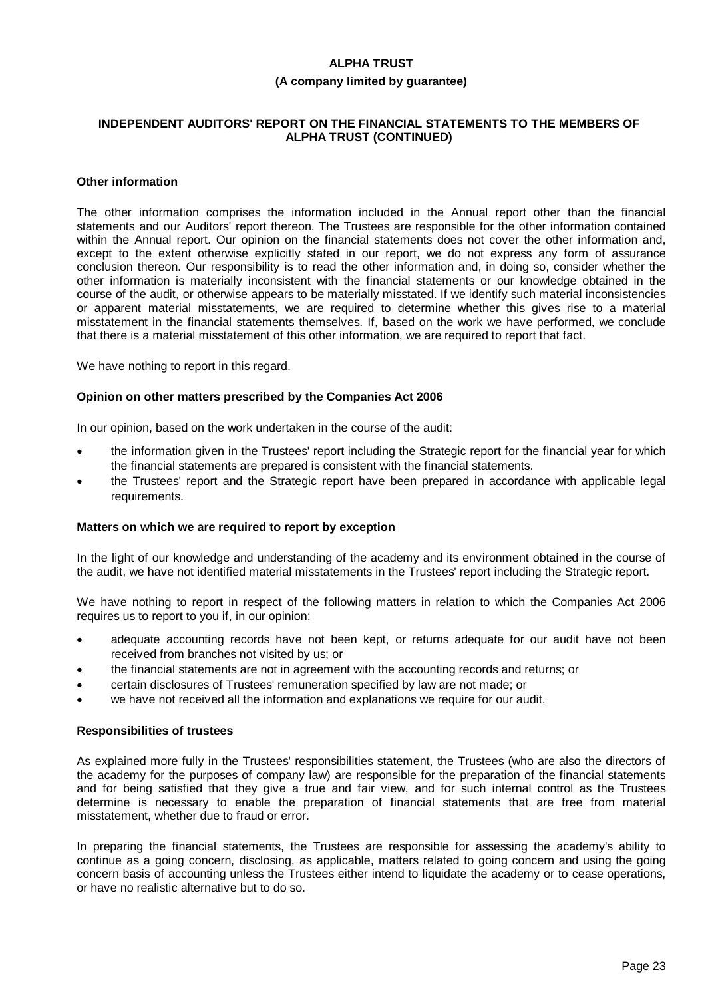#### **(A company limited by guarantee)**

#### **INDEPENDENT AUDITORS' REPORT ON THE FINANCIAL STATEMENTS TO THE MEMBERS OF ALPHA TRUST (CONTINUED)**

#### **Other information**

The other information comprises the information included in the Annual report other than the financial statements and our Auditors' report thereon. The Trustees are responsible for the other information contained within the Annual report. Our opinion on the financial statements does not cover the other information and, except to the extent otherwise explicitly stated in our report, we do not express any form of assurance conclusion thereon. Our responsibility is to read the other information and, in doing so, consider whether the other information is materially inconsistent with the financial statements or our knowledge obtained in the course of the audit, or otherwise appears to be materially misstated. If we identify such material inconsistencies or apparent material misstatements, we are required to determine whether this gives rise to a material misstatement in the financial statements themselves. If, based on the work we have performed, we conclude that there is a material misstatement of this other information, we are required to report that fact.

We have nothing to report in this regard.

#### **Opinion on other matters prescribed by the Companies Act 2006**

In our opinion, based on the work undertaken in the course of the audit:

- the information given in the Trustees' report including the Strategic report for the financial year for which the financial statements are prepared is consistent with the financial statements.
- · the Trustees' report and the Strategic report have been prepared in accordance with applicable legal requirements.

#### **Matters on which we are required to report by exception**

In the light of our knowledge and understanding of the academy and its environment obtained in the course of the audit, we have not identified material misstatements in the Trustees' report including the Strategic report.

We have nothing to report in respect of the following matters in relation to which the Companies Act 2006 requires us to report to you if, in our opinion:

- adequate accounting records have not been kept, or returns adequate for our audit have not been received from branches not visited by us; or
- · the financial statements are not in agreement with the accounting records and returns; or
- · certain disclosures of Trustees' remuneration specified by law are not made; or
- we have not received all the information and explanations we require for our audit.

#### **Responsibilities of trustees**

As explained more fully in the Trustees' responsibilities statement, the Trustees (who are also the directors of the academy for the purposes of company law) are responsible for the preparation of the financial statements and for being satisfied that they give a true and fair view, and for such internal control as the Trustees determine is necessary to enable the preparation of financial statements that are free from material misstatement, whether due to fraud or error.

In preparing the financial statements, the Trustees are responsible for assessing the academy's ability to continue as a going concern, disclosing, as applicable, matters related to going concern and using the going concern basis of accounting unless the Trustees either intend to liquidate the academy or to cease operations, or have no realistic alternative but to do so.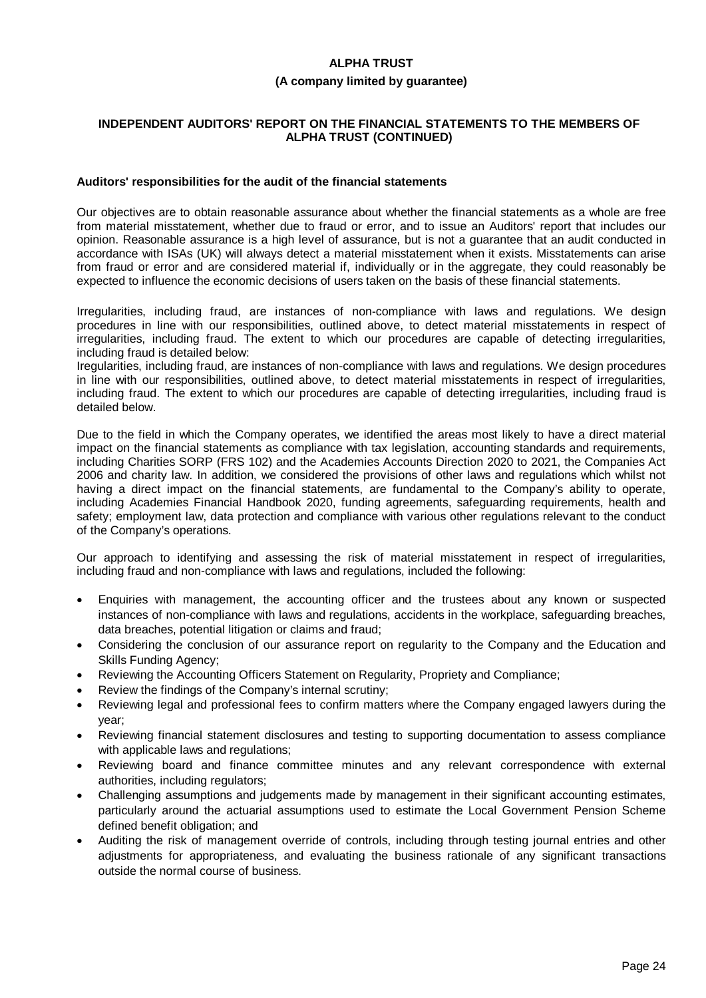#### **(A company limited by guarantee)**

### **INDEPENDENT AUDITORS' REPORT ON THE FINANCIAL STATEMENTS TO THE MEMBERS OF ALPHA TRUST (CONTINUED)**

#### **Auditors' responsibilities for the audit of the financial statements**

Our objectives are to obtain reasonable assurance about whether the financial statements as a whole are free from material misstatement, whether due to fraud or error, and to issue an Auditors' report that includes our opinion. Reasonable assurance is a high level of assurance, but is not a guarantee that an audit conducted in accordance with ISAs (UK) will always detect a material misstatement when it exists. Misstatements can arise from fraud or error and are considered material if, individually or in the aggregate, they could reasonably be expected to influence the economic decisions of users taken on the basis of these financial statements.

Irregularities, including fraud, are instances of non-compliance with laws and regulations. We design procedures in line with our responsibilities, outlined above, to detect material misstatements in respect of irregularities, including fraud. The extent to which our procedures are capable of detecting irregularities, including fraud is detailed below:

Iregularities, including fraud, are instances of non-compliance with laws and regulations. We design procedures in line with our responsibilities, outlined above, to detect material misstatements in respect of irregularities, including fraud. The extent to which our procedures are capable of detecting irregularities, including fraud is detailed below.

Due to the field in which the Company operates, we identified the areas most likely to have a direct material impact on the financial statements as compliance with tax legislation, accounting standards and requirements, including Charities SORP (FRS 102) and the Academies Accounts Direction 2020 to 2021, the Companies Act 2006 and charity law. In addition, we considered the provisions of other laws and regulations which whilst not having a direct impact on the financial statements, are fundamental to the Company's ability to operate, including Academies Financial Handbook 2020, funding agreements, safeguarding requirements, health and safety; employment law, data protection and compliance with various other regulations relevant to the conduct of the Company's operations.

Our approach to identifying and assessing the risk of material misstatement in respect of irregularities, including fraud and non-compliance with laws and regulations, included the following:

- · Enquiries with management, the accounting officer and the trustees about any known or suspected instances of non-compliance with laws and regulations, accidents in the workplace, safeguarding breaches, data breaches, potential litigation or claims and fraud;
- · Considering the conclusion of our assurance report on regularity to the Company and the Education and Skills Funding Agency;
- · Reviewing the Accounting Officers Statement on Regularity, Propriety and Compliance;
- Review the findings of the Company's internal scrutiny;
- Reviewing legal and professional fees to confirm matters where the Company engaged lawyers during the year;
- Reviewing financial statement disclosures and testing to supporting documentation to assess compliance with applicable laws and regulations;
- Reviewing board and finance committee minutes and any relevant correspondence with external authorities, including regulators;
- · Challenging assumptions and judgements made by management in their significant accounting estimates, particularly around the actuarial assumptions used to estimate the Local Government Pension Scheme defined benefit obligation; and
- · Auditing the risk of management override of controls, including through testing journal entries and other adjustments for appropriateness, and evaluating the business rationale of any significant transactions outside the normal course of business.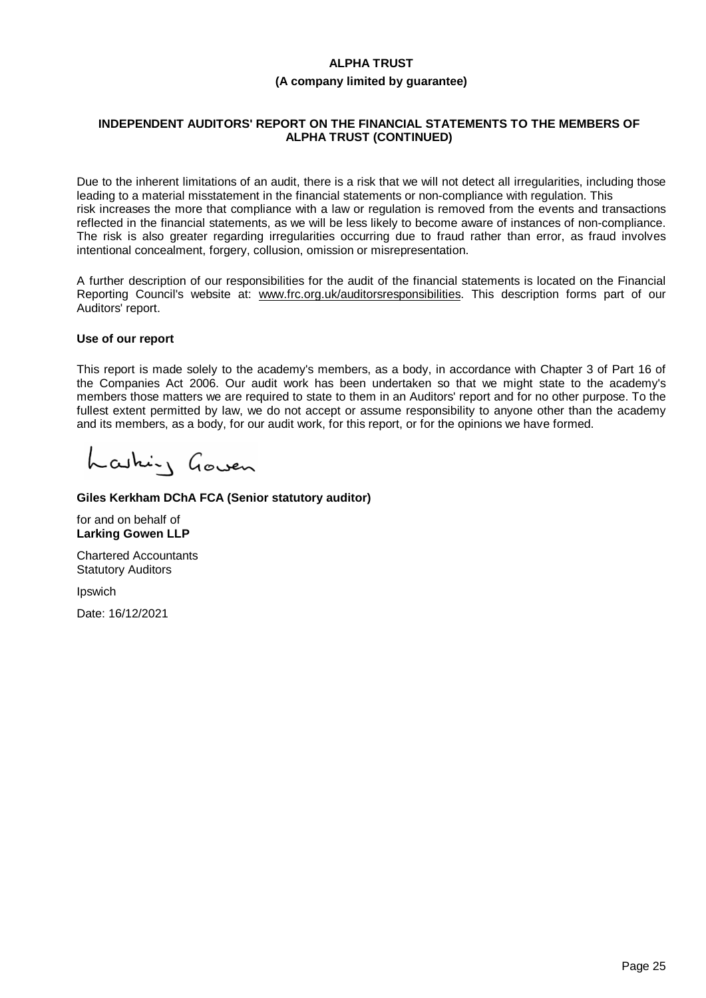#### **(A company limited by guarantee)**

# **INDEPENDENT AUDITORS' REPORT ON THE FINANCIAL STATEMENTS TO THE MEMBERS OF ALPHA TRUST (CONTINUED)**

Due to the inherent limitations of an audit, there is a risk that we will not detect all irregularities, including those leading to a material misstatement in the financial statements or non-compliance with regulation. This risk increases the more that compliance with a law or regulation is removed from the events and transactions reflected in the financial statements, as we will be less likely to become aware of instances of non-compliance. The risk is also greater regarding irregularities occurring due to fraud rather than error, as fraud involves intentional concealment, forgery, collusion, omission or misrepresentation.

A further description of our responsibilities for the audit of the financial statements is located on the Financial Reporting Council's website at: www.frc.org.uk/auditorsresponsibilities. This description forms part of our Auditors' report.

#### **Use of our report**

This report is made solely to the academy's members, as a body, in accordance with Chapter 3 of Part 16 of the Companies Act 2006. Our audit work has been undertaken so that we might state to the academy's members those matters we are required to state to them in an Auditors' report and for no other purpose. To the fullest extent permitted by law, we do not accept or assume responsibility to anyone other than the academy and its members, as a body, for our audit work, for this report, or for the opinions we have formed.

Lashing Goven

# **Giles Kerkham DChA FCA (Senior statutory auditor)**

for and on behalf of **Larking Gowen LLP**

Chartered Accountants Statutory Auditors

Ipswich

Date: 16/12/2021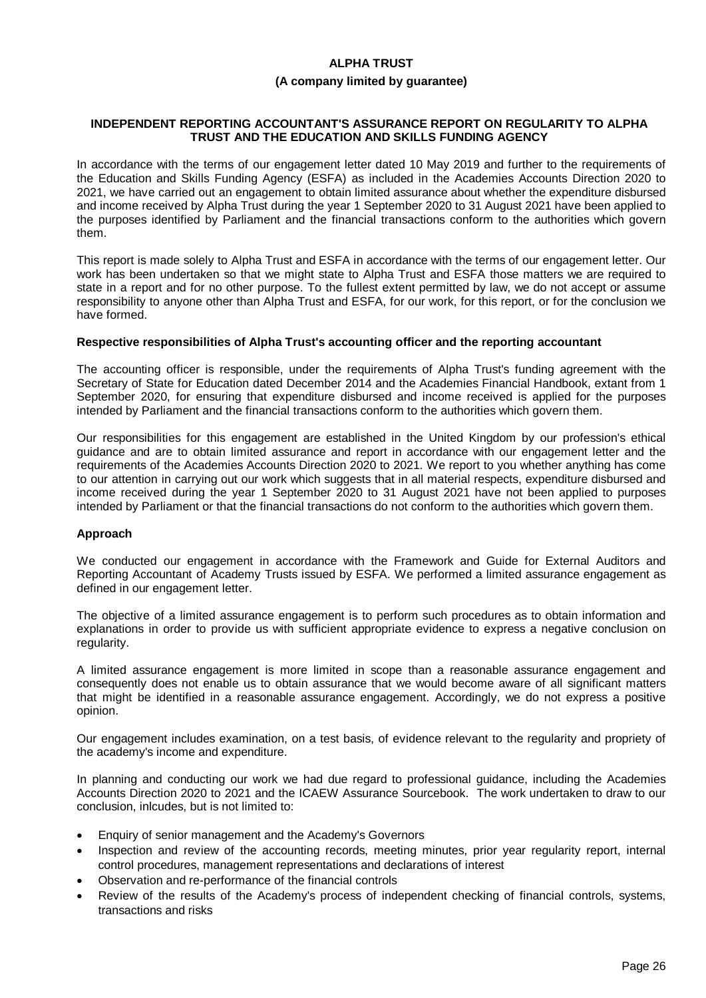#### **(A company limited by guarantee)**

#### **INDEPENDENT REPORTING ACCOUNTANT'S ASSURANCE REPORT ON REGULARITY TO ALPHA TRUST AND THE EDUCATION AND SKILLS FUNDING AGENCY**

In accordance with the terms of our engagement letter dated 10 May 2019 and further to the requirements of the Education and Skills Funding Agency (ESFA) as included in the Academies Accounts Direction 2020 to 2021, we have carried out an engagement to obtain limited assurance about whether the expenditure disbursed and income received by Alpha Trust during the year 1 September 2020 to 31 August 2021 have been applied to the purposes identified by Parliament and the financial transactions conform to the authorities which govern them.

This report is made solely to Alpha Trust and ESFA in accordance with the terms of our engagement letter. Our work has been undertaken so that we might state to Alpha Trust and ESFA those matters we are required to state in a report and for no other purpose. To the fullest extent permitted by law, we do not accept or assume responsibility to anyone other than Alpha Trust and ESFA, for our work, for this report, or for the conclusion we have formed.

#### **Respective responsibilities of Alpha Trust's accounting officer and the reporting accountant**

The accounting officer is responsible, under the requirements of Alpha Trust's funding agreement with the Secretary of State for Education dated December 2014 and the Academies Financial Handbook, extant from 1 September 2020, for ensuring that expenditure disbursed and income received is applied for the purposes intended by Parliament and the financial transactions conform to the authorities which govern them.

Our responsibilities for this engagement are established in the United Kingdom by our profession's ethical guidance and are to obtain limited assurance and report in accordance with our engagement letter and the requirements of the Academies Accounts Direction 2020 to 2021. We report to you whether anything has come to our attention in carrying out our work which suggests that in all material respects, expenditure disbursed and income received during the year 1 September 2020 to 31 August 2021 have not been applied to purposes intended by Parliament or that the financial transactions do not conform to the authorities which govern them.

#### **Approach**

We conducted our engagement in accordance with the Framework and Guide for External Auditors and Reporting Accountant of Academy Trusts issued by ESFA. We performed a limited assurance engagement as defined in our engagement letter.

The objective of a limited assurance engagement is to perform such procedures as to obtain information and explanations in order to provide us with sufficient appropriate evidence to express a negative conclusion on regularity.

A limited assurance engagement is more limited in scope than a reasonable assurance engagement and consequently does not enable us to obtain assurance that we would become aware of all significant matters that might be identified in a reasonable assurance engagement. Accordingly, we do not express a positive opinion.

Our engagement includes examination, on a test basis, of evidence relevant to the regularity and propriety of the academy's income and expenditure.

In planning and conducting our work we had due regard to professional guidance, including the Academies Accounts Direction 2020 to 2021 and the ICAEW Assurance Sourcebook. The work undertaken to draw to our conclusion, inlcudes, but is not limited to:

- · Enquiry of senior management and the Academy's Governors
- · Inspection and review of the accounting records, meeting minutes, prior year regularity report, internal control procedures, management representations and declarations of interest
- · Observation and re-performance of the financial controls
- Review of the results of the Academy's process of independent checking of financial controls, systems, transactions and risks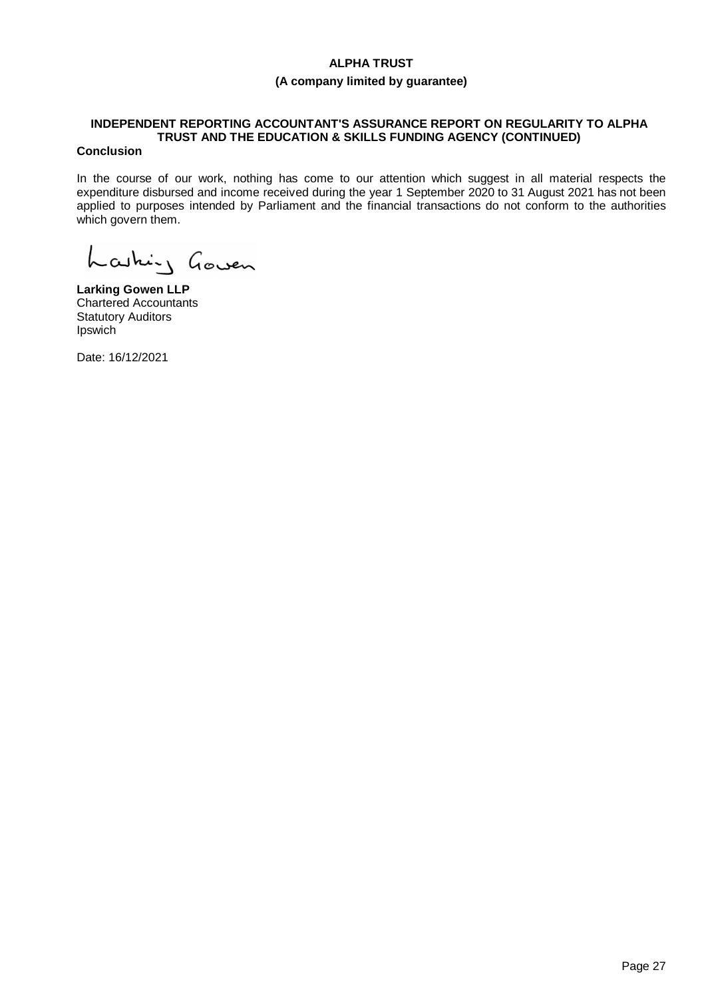# **(A company limited by guarantee)**

# **INDEPENDENT REPORTING ACCOUNTANT'S ASSURANCE REPORT ON REGULARITY TO ALPHA TRUST AND THE EDUCATION & SKILLS FUNDING AGENCY (CONTINUED)**

# **Conclusion**

In the course of our work, nothing has come to our attention which suggest in all material respects the expenditure disbursed and income received during the year 1 September 2020 to 31 August 2021 has not been applied to purposes intended by Parliament and the financial transactions do not conform to the authorities which govern them.

Lashing Goven

**Larking Gowen LLP** Chartered Accountants Statutory Auditors Ipswich

Date: 16/12/2021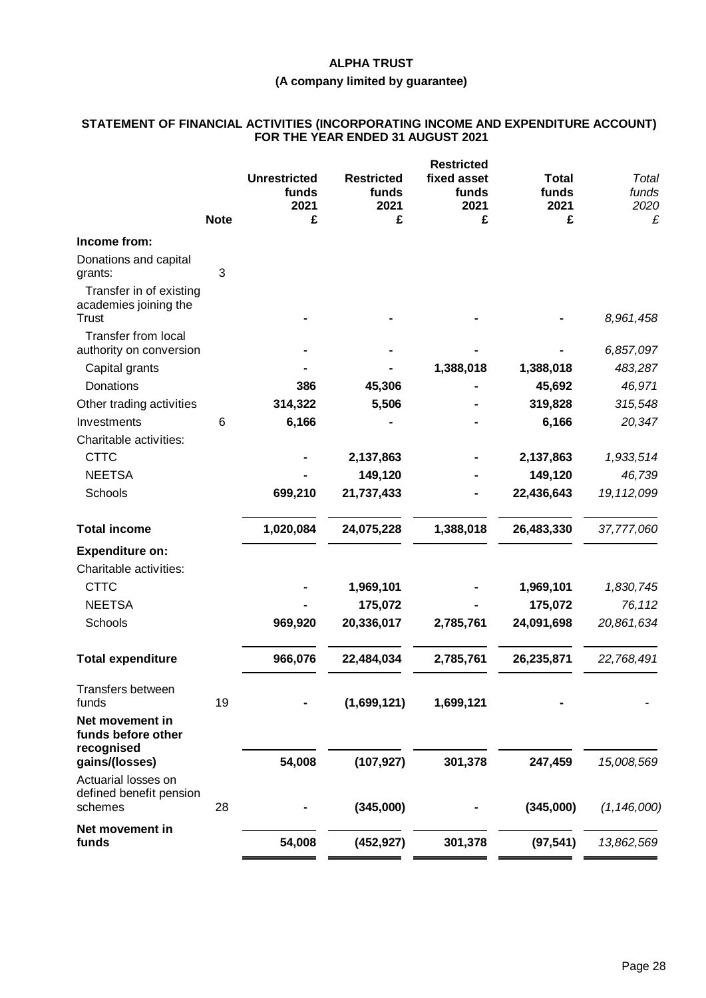# **(A company limited by guarantee)**

#### **STATEMENT OF FINANCIAL ACTIVITIES (INCORPORATING INCOME AND EXPENDITURE ACCOUNT) FOR THE YEAR ENDED 31 AUGUST 2021**

|                                                                  |             |                                      |                                    | <b>Restricted</b>            |                               |                        |
|------------------------------------------------------------------|-------------|--------------------------------------|------------------------------------|------------------------------|-------------------------------|------------------------|
|                                                                  |             | <b>Unrestricted</b><br>funds<br>2021 | <b>Restricted</b><br>funds<br>2021 | fixed asset<br>funds<br>2021 | <b>Total</b><br>funds<br>2021 | Total<br>funds<br>2020 |
|                                                                  | <b>Note</b> | £                                    | £                                  | £                            | £                             | £                      |
| Income from:                                                     |             |                                      |                                    |                              |                               |                        |
| Donations and capital<br>grants:                                 | 3           |                                      |                                    |                              |                               |                        |
| Transfer in of existing<br>academies joining the<br><b>Trust</b> |             |                                      |                                    |                              |                               | 8,961,458              |
| <b>Transfer from local</b><br>authority on conversion            |             |                                      |                                    |                              |                               | 6,857,097              |
| Capital grants                                                   |             |                                      |                                    | 1,388,018                    | 1,388,018                     | 483,287                |
| Donations                                                        |             | 386                                  | 45,306                             |                              | 45,692                        | 46,971                 |
| Other trading activities                                         |             | 314,322                              | 5,506                              |                              | 319,828                       | 315,548                |
| Investments                                                      | 6           | 6,166                                |                                    |                              | 6,166                         | 20,347                 |
| Charitable activities:                                           |             |                                      |                                    |                              |                               |                        |
| <b>CTTC</b>                                                      |             |                                      | 2,137,863                          |                              | 2,137,863                     | 1,933,514              |
| <b>NEETSA</b>                                                    |             |                                      | 149,120                            |                              | 149,120                       | 46,739                 |
| Schools                                                          |             | 699,210                              | 21,737,433                         |                              | 22,436,643                    | 19, 112, 099           |
| <b>Total income</b>                                              |             | 1,020,084                            | 24,075,228                         | 1,388,018                    | 26,483,330                    | 37,777,060             |
| <b>Expenditure on:</b>                                           |             |                                      |                                    |                              |                               |                        |
| Charitable activities:                                           |             |                                      |                                    |                              |                               |                        |
| <b>CTTC</b>                                                      |             |                                      | 1,969,101                          |                              | 1,969,101                     | 1,830,745              |
| <b>NEETSA</b>                                                    |             |                                      | 175,072                            |                              | 175,072                       | 76,112                 |
| Schools                                                          |             | 969,920                              | 20,336,017                         | 2,785,761                    | 24,091,698                    | 20,861,634             |
| <b>Total expenditure</b>                                         |             | 966,076                              | 22,484,034                         | 2,785,761                    | 26,235,871                    | 22,768,491             |
| Transfers between<br>funds                                       | 19          |                                      | (1,699,121)                        | 1,699,121                    |                               |                        |
| Net movement in<br>funds before other<br>recognised              |             |                                      |                                    |                              |                               |                        |
| gains/(losses)                                                   |             | 54,008                               | (107, 927)                         | 301,378                      | 247,459                       | 15,008,569             |
| Actuarial losses on<br>defined benefit pension<br>schemes        | 28          |                                      | (345,000)                          |                              | (345,000)                     | (1, 146, 000)          |
| Net movement in<br>funds                                         |             | 54,008                               | (452, 927)                         | 301,378                      | (97, 541)                     | 13,862,569             |
|                                                                  |             |                                      |                                    |                              |                               |                        |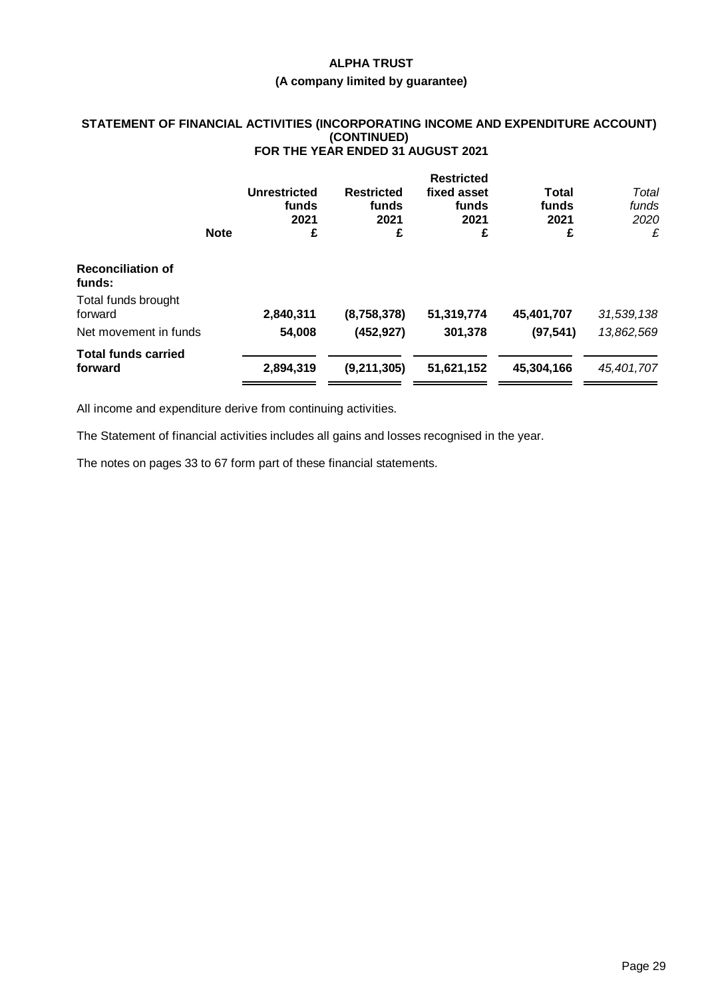#### **(A company limited by guarantee)**

#### **STATEMENT OF FINANCIAL ACTIVITIES (INCORPORATING INCOME AND EXPENDITURE ACCOUNT) (CONTINUED) FOR THE YEAR ENDED 31 AUGUST 2021**

|                                       | <b>Note</b> | <b>Unrestricted</b><br>funds<br>2021<br>£ | <b>Restricted</b><br>funds<br>2021<br>£ | <b>Restricted</b><br>fixed asset<br>funds<br>2021<br>£ | Total<br>funds<br>2021<br>£ | Total<br>funds<br>2020<br>£ |
|---------------------------------------|-------------|-------------------------------------------|-----------------------------------------|--------------------------------------------------------|-----------------------------|-----------------------------|
| <b>Reconciliation of</b><br>funds:    |             |                                           |                                         |                                                        |                             |                             |
| Total funds brought<br>forward        |             | 2,840,311                                 | (8,758,378)                             | 51,319,774                                             | 45,401,707                  | 31,539,138                  |
| Net movement in funds                 |             | 54,008                                    | (452, 927)                              | 301,378                                                | (97, 541)                   | 13,862,569                  |
| <b>Total funds carried</b><br>forward |             | 2,894,319                                 | (9,211,305)                             | 51,621,152                                             | 45,304,166                  | 45,401,707                  |

All income and expenditure derive from continuing activities.

The Statement of financial activities includes all gains and losses recognised in the year.

The notes on pages 33 to 67 form part of these financial statements.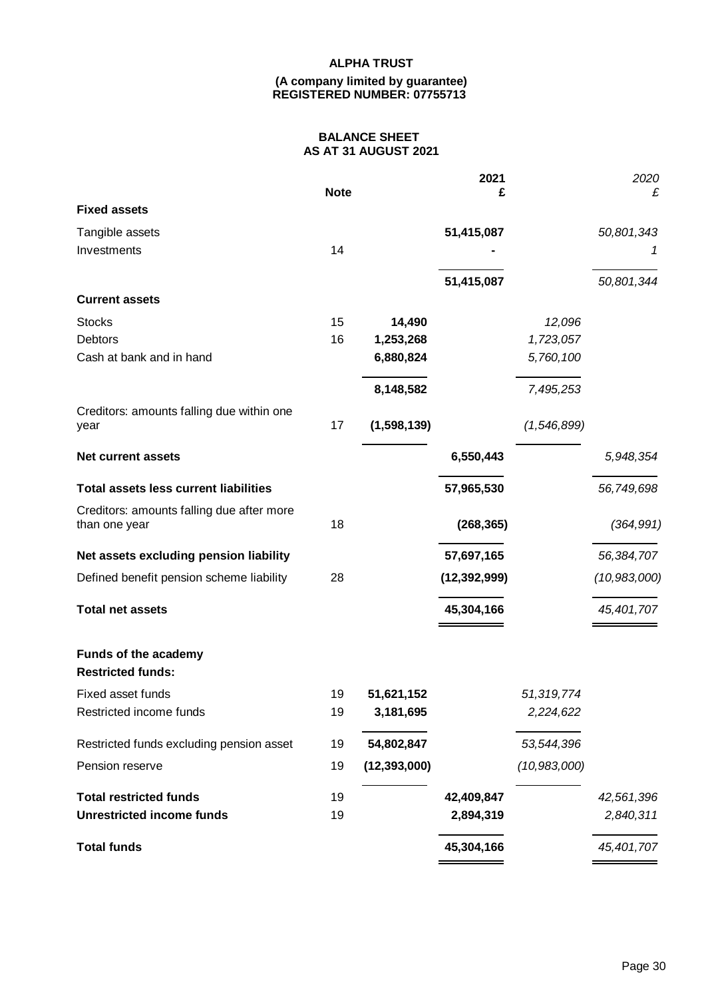#### **(A company limited by guarantee) REGISTERED NUMBER: 07755713**

# **BALANCE SHEET AS AT 31 AUGUST 2021**

|                                                  |             |                | 2021           |                | 2020           |
|--------------------------------------------------|-------------|----------------|----------------|----------------|----------------|
| <b>Fixed assets</b>                              | <b>Note</b> |                | £              |                | £              |
| Tangible assets                                  |             |                | 51,415,087     |                | 50,801,343     |
| Investments                                      | 14          |                |                |                | 1              |
|                                                  |             |                |                |                |                |
|                                                  |             |                | 51,415,087     |                | 50,801,344     |
| <b>Current assets</b>                            |             |                |                |                |                |
| <b>Stocks</b>                                    | 15          | 14,490         |                | 12,096         |                |
| Debtors                                          | 16          | 1,253,268      |                | 1,723,057      |                |
| Cash at bank and in hand                         |             | 6,880,824      |                | 5,760,100      |                |
|                                                  |             | 8,148,582      |                | 7,495,253      |                |
| Creditors: amounts falling due within one        |             |                |                |                |                |
| year                                             | 17          | (1,598,139)    |                | (1,546,899)    |                |
| <b>Net current assets</b>                        |             |                | 6,550,443      |                | 5,948,354      |
| <b>Total assets less current liabilities</b>     |             |                | 57,965,530     |                | 56,749,698     |
| Creditors: amounts falling due after more        | 18          |                |                |                | (364, 991)     |
| than one year                                    |             |                | (268, 365)     |                |                |
| Net assets excluding pension liability           |             |                | 57,697,165     |                | 56,384,707     |
| Defined benefit pension scheme liability         | 28          |                | (12, 392, 999) |                | (10, 983, 000) |
| <b>Total net assets</b>                          |             |                | 45,304,166     |                | 45,401,707     |
| Funds of the academy<br><b>Restricted funds:</b> |             |                |                |                |                |
| Fixed asset funds                                | 19          | 51,621,152     |                | 51,319,774     |                |
| Restricted income funds                          | 19          | 3,181,695      |                | 2,224,622      |                |
| Restricted funds excluding pension asset         | 19          | 54,802,847     |                | 53,544,396     |                |
| Pension reserve                                  | 19          | (12, 393, 000) |                | (10, 983, 000) |                |
| <b>Total restricted funds</b>                    | 19          |                | 42,409,847     |                | 42,561,396     |
| <b>Unrestricted income funds</b>                 | 19          |                | 2,894,319      |                | 2,840,311      |
| <b>Total funds</b>                               |             |                | 45,304,166     |                | 45,401,707     |
|                                                  |             |                |                |                |                |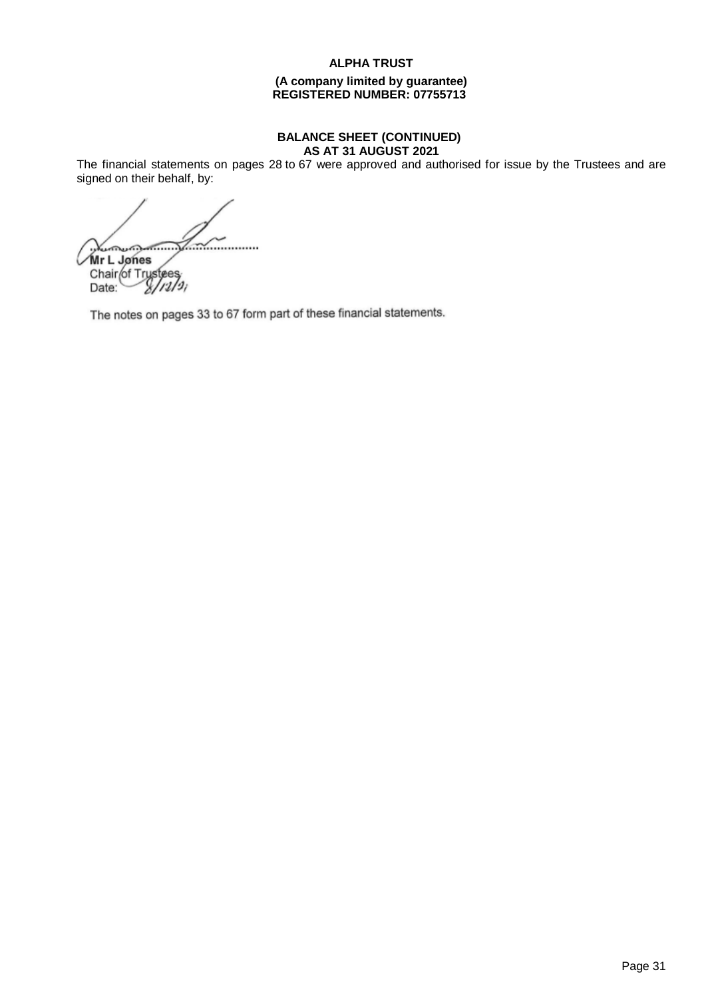#### **(A company limited by guarantee) REGISTERED NUMBER: 07755713**

#### **BALANCE SHEET (CONTINUED) AS AT 31 AUGUST 2021**

The financial statements on pages 28 to 67 were approved and authorised for issue by the Trustees and are signed on their behalf, by:

 $\frac{1}{2}$ **Mr L Jones**  $\sqrt{M}$ r L. Jones  $\sqrt{M}$ Chair of Trustees

The notes on pages 33 to 67 form part of these financial statements.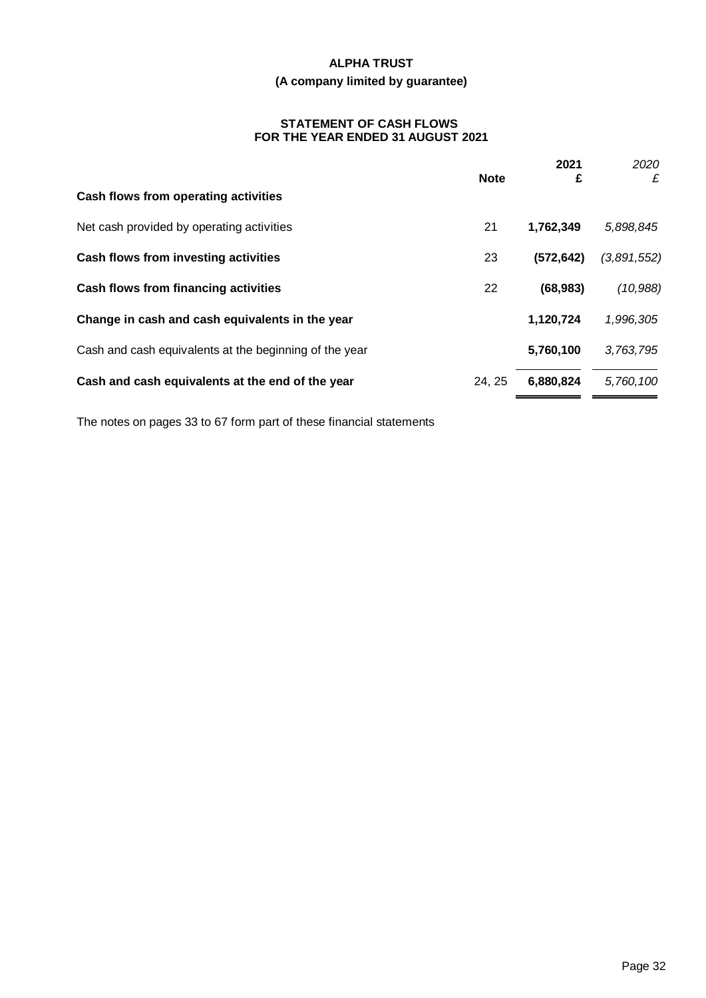# **(A company limited by guarantee)**

#### **STATEMENT OF CASH FLOWS FOR THE YEAR ENDED 31 AUGUST 2021**

|                                                        | <b>Note</b> | 2021<br>£  | 2020<br>£   |
|--------------------------------------------------------|-------------|------------|-------------|
| Cash flows from operating activities                   |             |            |             |
| Net cash provided by operating activities              | 21          | 1,762,349  | 5,898,845   |
| Cash flows from investing activities                   | 23          | (572, 642) | (3,891,552) |
| Cash flows from financing activities                   | 22          | (68, 983)  | (10, 988)   |
| Change in cash and cash equivalents in the year        |             | 1,120,724  | 1,996,305   |
| Cash and cash equivalents at the beginning of the year |             | 5,760,100  | 3,763,795   |
| Cash and cash equivalents at the end of the year       | 24, 25      | 6,880,824  | 5,760,100   |
|                                                        |             |            |             |

The notes on pages 33 to 67 form part of these financial statements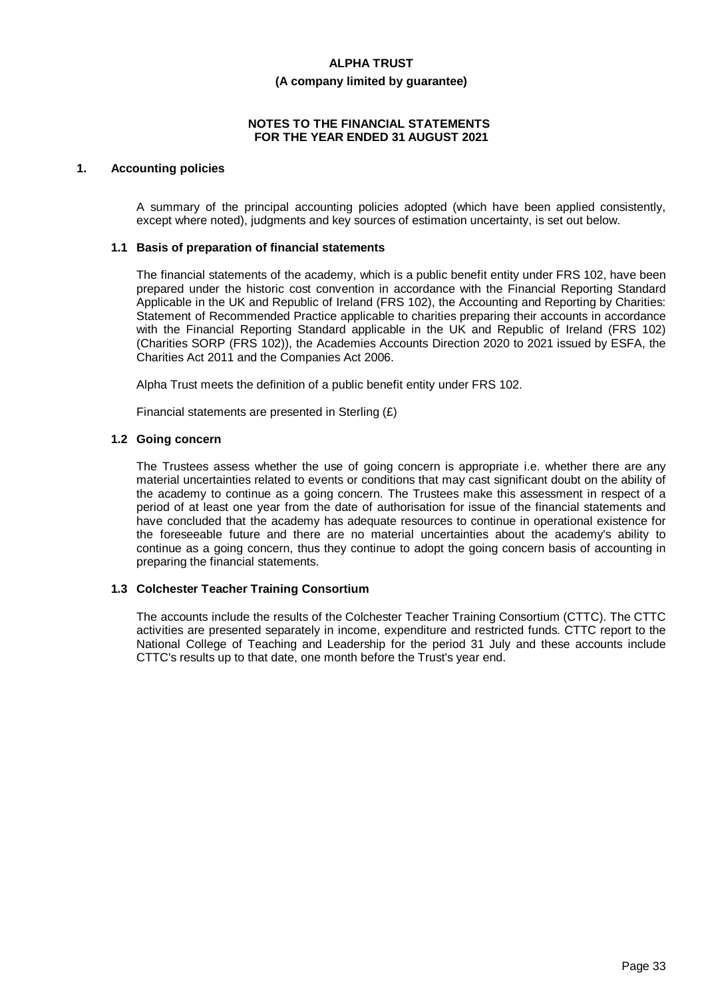#### **(A company limited by guarantee)**

#### **NOTES TO THE FINANCIAL STATEMENTS FOR THE YEAR ENDED 31 AUGUST 2021**

#### **1. Accounting policies**

A summary of the principal accounting policies adopted (which have been applied consistently, except where noted), judgments and key sources of estimation uncertainty, is set out below.

#### **1.1 Basis of preparation of financial statements**

The financial statements of the academy, which is a public benefit entity under FRS 102, have been prepared under the historic cost convention in accordance with the Financial Reporting Standard Applicable in the UK and Republic of Ireland (FRS 102), the Accounting and Reporting by Charities: Statement of Recommended Practice applicable to charities preparing their accounts in accordance with the Financial Reporting Standard applicable in the UK and Republic of Ireland (FRS 102) (Charities SORP (FRS 102)), the Academies Accounts Direction 2020 to 2021 issued by ESFA, the Charities Act 2011 and the Companies Act 2006.

Alpha Trust meets the definition of a public benefit entity under FRS 102.

Financial statements are presented in Sterling (£)

#### **1.2 Going concern**

The Trustees assess whether the use of going concern is appropriate i.e. whether there are any material uncertainties related to events or conditions that may cast significant doubt on the ability of the academy to continue as a going concern. The Trustees make this assessment in respect of a period of at least one year from the date of authorisation for issue of the financial statements and have concluded that the academy has adequate resources to continue in operational existence for the foreseeable future and there are no material uncertainties about the academy's ability to continue as a going concern, thus they continue to adopt the going concern basis of accounting in preparing the financial statements.

# **1.3 Colchester Teacher Training Consortium**

The accounts include the results of the Colchester Teacher Training Consortium (CTTC). The CTTC activities are presented separately in income, expenditure and restricted funds. CTTC report to the National College of Teaching and Leadership for the period 31 July and these accounts include CTTC's results up to that date, one month before the Trust's year end.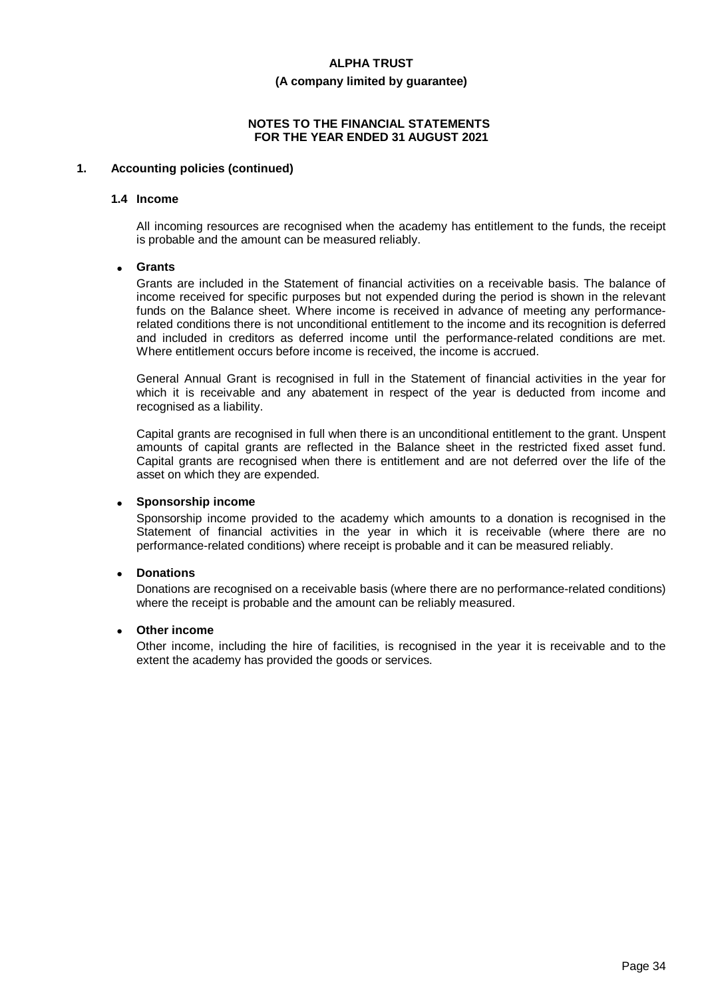### **(A company limited by guarantee)**

#### **NOTES TO THE FINANCIAL STATEMENTS FOR THE YEAR ENDED 31 AUGUST 2021**

#### **1. Accounting policies (continued)**

#### **1.4 Income**

All incoming resources are recognised when the academy has entitlement to the funds, the receipt is probable and the amount can be measured reliably.

#### · **Grants**

Grants are included in the Statement of financial activities on a receivable basis. The balance of income received for specific purposes but not expended during the period is shown in the relevant funds on the Balance sheet. Where income is received in advance of meeting any performancerelated conditions there is not unconditional entitlement to the income and its recognition is deferred and included in creditors as deferred income until the performance-related conditions are met. Where entitlement occurs before income is received, the income is accrued.

General Annual Grant is recognised in full in the Statement of financial activities in the year for which it is receivable and any abatement in respect of the year is deducted from income and recognised as a liability.

Capital grants are recognised in full when there is an unconditional entitlement to the grant. Unspent amounts of capital grants are reflected in the Balance sheet in the restricted fixed asset fund. Capital grants are recognised when there is entitlement and are not deferred over the life of the asset on which they are expended.

#### · **Sponsorship income**

Sponsorship income provided to the academy which amounts to a donation is recognised in the Statement of financial activities in the year in which it is receivable (where there are no performance-related conditions) where receipt is probable and it can be measured reliably.

#### · **Donations**

Donations are recognised on a receivable basis (where there are no performance-related conditions) where the receipt is probable and the amount can be reliably measured.

#### **Other income**

Other income, including the hire of facilities, is recognised in the year it is receivable and to the extent the academy has provided the goods or services.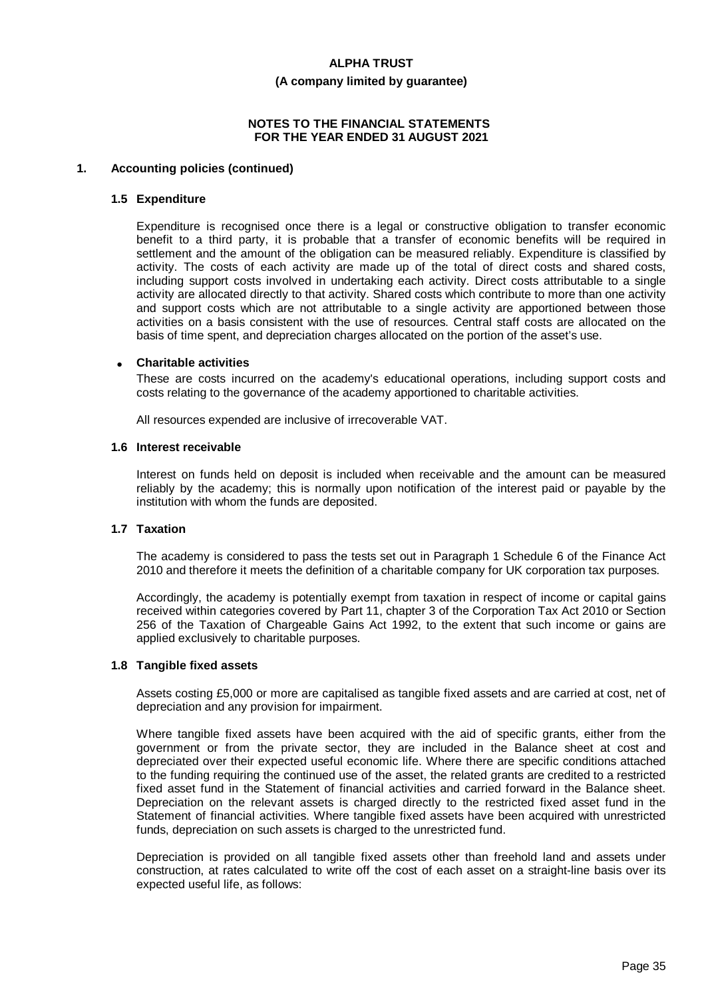#### **(A company limited by guarantee)**

#### **NOTES TO THE FINANCIAL STATEMENTS FOR THE YEAR ENDED 31 AUGUST 2021**

#### **1. Accounting policies (continued)**

#### **1.5 Expenditure**

Expenditure is recognised once there is a legal or constructive obligation to transfer economic benefit to a third party, it is probable that a transfer of economic benefits will be required in settlement and the amount of the obligation can be measured reliably. Expenditure is classified by activity. The costs of each activity are made up of the total of direct costs and shared costs, including support costs involved in undertaking each activity. Direct costs attributable to a single activity are allocated directly to that activity. Shared costs which contribute to more than one activity and support costs which are not attributable to a single activity are apportioned between those activities on a basis consistent with the use of resources. Central staff costs are allocated on the basis of time spent, and depreciation charges allocated on the portion of the asset's use.

#### · **Charitable activities**

These are costs incurred on the academy's educational operations, including support costs and costs relating to the governance of the academy apportioned to charitable activities.

All resources expended are inclusive of irrecoverable VAT.

#### **1.6 Interest receivable**

Interest on funds held on deposit is included when receivable and the amount can be measured reliably by the academy; this is normally upon notification of the interest paid or payable by the institution with whom the funds are deposited.

#### **1.7 Taxation**

The academy is considered to pass the tests set out in Paragraph 1 Schedule 6 of the Finance Act 2010 and therefore it meets the definition of a charitable company for UK corporation tax purposes.

Accordingly, the academy is potentially exempt from taxation in respect of income or capital gains received within categories covered by Part 11, chapter 3 of the Corporation Tax Act 2010 or Section 256 of the Taxation of Chargeable Gains Act 1992, to the extent that such income or gains are applied exclusively to charitable purposes.

#### **1.8 Tangible fixed assets**

Assets costing £5,000 or more are capitalised as tangible fixed assets and are carried at cost, net of depreciation and any provision for impairment.

Where tangible fixed assets have been acquired with the aid of specific grants, either from the government or from the private sector, they are included in the Balance sheet at cost and depreciated over their expected useful economic life. Where there are specific conditions attached to the funding requiring the continued use of the asset, the related grants are credited to a restricted fixed asset fund in the Statement of financial activities and carried forward in the Balance sheet. Depreciation on the relevant assets is charged directly to the restricted fixed asset fund in the Statement of financial activities. Where tangible fixed assets have been acquired with unrestricted funds, depreciation on such assets is charged to the unrestricted fund.

Depreciation is provided on all tangible fixed assets other than freehold land and assets under construction, at rates calculated to write off the cost of each asset on a straight-line basis over its expected useful life, as follows: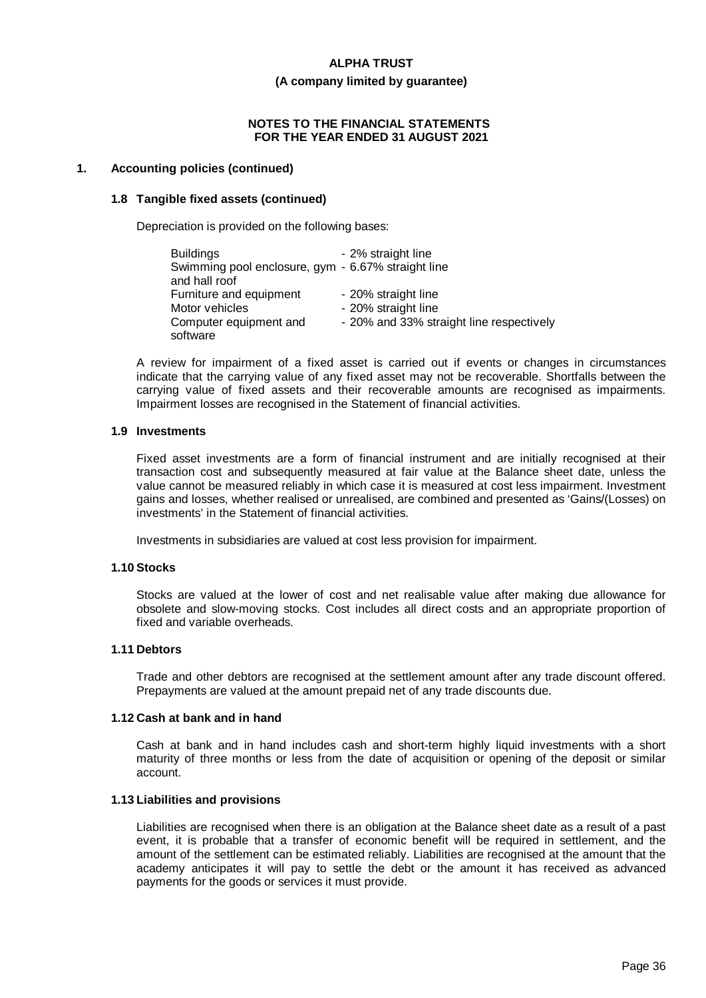#### **(A company limited by guarantee)**

#### **NOTES TO THE FINANCIAL STATEMENTS FOR THE YEAR ENDED 31 AUGUST 2021**

#### **1. Accounting policies (continued)**

#### **1.8 Tangible fixed assets (continued)**

Depreciation is provided on the following bases:

| <b>Buildings</b>                                   | - 2% straight line                       |
|----------------------------------------------------|------------------------------------------|
| Swimming pool enclosure, gym - 6.67% straight line |                                          |
| and hall roof                                      |                                          |
| Furniture and equipment                            | - 20% straight line                      |
| Motor vehicles                                     | - 20% straight line                      |
| Computer equipment and                             | - 20% and 33% straight line respectively |
| software                                           |                                          |

A review for impairment of a fixed asset is carried out if events or changes in circumstances indicate that the carrying value of any fixed asset may not be recoverable. Shortfalls between the carrying value of fixed assets and their recoverable amounts are recognised as impairments. Impairment losses are recognised in the Statement of financial activities.

#### **1.9 Investments**

Fixed asset investments are a form of financial instrument and are initially recognised at their transaction cost and subsequently measured at fair value at the Balance sheet date, unless the value cannot be measured reliably in which case it is measured at cost less impairment. Investment gains and losses, whether realised or unrealised, are combined and presented as 'Gains/(Losses) on investments' in the Statement of financial activities.

Investments in subsidiaries are valued at cost less provision for impairment.

#### **1.10 Stocks**

Stocks are valued at the lower of cost and net realisable value after making due allowance for obsolete and slow-moving stocks. Cost includes all direct costs and an appropriate proportion of fixed and variable overheads.

#### **1.11 Debtors**

Trade and other debtors are recognised at the settlement amount after any trade discount offered. Prepayments are valued at the amount prepaid net of any trade discounts due.

#### **1.12 Cash at bank and in hand**

Cash at bank and in hand includes cash and short-term highly liquid investments with a short maturity of three months or less from the date of acquisition or opening of the deposit or similar account.

#### **1.13 Liabilities and provisions**

Liabilities are recognised when there is an obligation at the Balance sheet date as a result of a past event, it is probable that a transfer of economic benefit will be required in settlement, and the amount of the settlement can be estimated reliably. Liabilities are recognised at the amount that the academy anticipates it will pay to settle the debt or the amount it has received as advanced payments for the goods or services it must provide.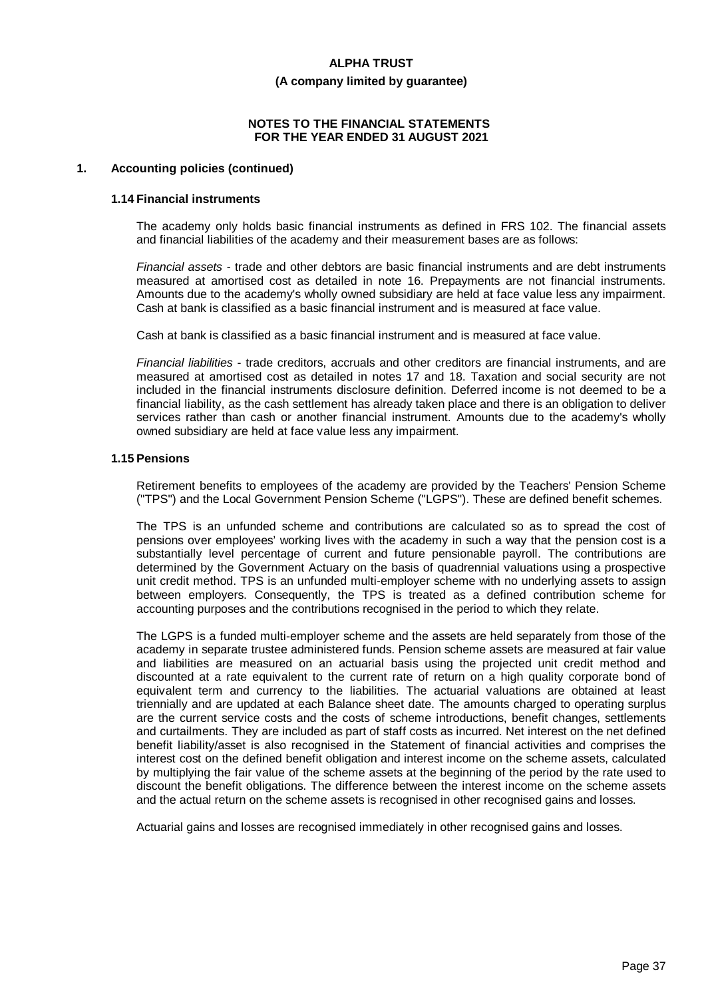#### **(A company limited by guarantee)**

#### **NOTES TO THE FINANCIAL STATEMENTS FOR THE YEAR ENDED 31 AUGUST 2021**

### **1. Accounting policies (continued)**

#### **1.14 Financial instruments**

The academy only holds basic financial instruments as defined in FRS 102. The financial assets and financial liabilities of the academy and their measurement bases are as follows:

*Financial assets* - trade and other debtors are basic financial instruments and are debt instruments measured at amortised cost as detailed in note 16. Prepayments are not financial instruments. Amounts due to the academy's wholly owned subsidiary are held at face value less any impairment. Cash at bank is classified as a basic financial instrument and is measured at face value.

Cash at bank is classified as a basic financial instrument and is measured at face value.

*Financial liabilities* - trade creditors, accruals and other creditors are financial instruments, and are measured at amortised cost as detailed in notes 17 and 18. Taxation and social security are not included in the financial instruments disclosure definition. Deferred income is not deemed to be a financial liability, as the cash settlement has already taken place and there is an obligation to deliver services rather than cash or another financial instrument. Amounts due to the academy's wholly owned subsidiary are held at face value less any impairment.

#### **1.15 Pensions**

Retirement benefits to employees of the academy are provided by the Teachers' Pension Scheme ("TPS") and the Local Government Pension Scheme ("LGPS"). These are defined benefit schemes.

The TPS is an unfunded scheme and contributions are calculated so as to spread the cost of pensions over employees' working lives with the academy in such a way that the pension cost is a substantially level percentage of current and future pensionable payroll. The contributions are determined by the Government Actuary on the basis of quadrennial valuations using a prospective unit credit method. TPS is an unfunded multi-employer scheme with no underlying assets to assign between employers. Consequently, the TPS is treated as a defined contribution scheme for accounting purposes and the contributions recognised in the period to which they relate.

The LGPS is a funded multi-employer scheme and the assets are held separately from those of the academy in separate trustee administered funds. Pension scheme assets are measured at fair value and liabilities are measured on an actuarial basis using the projected unit credit method and discounted at a rate equivalent to the current rate of return on a high quality corporate bond of equivalent term and currency to the liabilities. The actuarial valuations are obtained at least triennially and are updated at each Balance sheet date. The amounts charged to operating surplus are the current service costs and the costs of scheme introductions, benefit changes, settlements and curtailments. They are included as part of staff costs as incurred. Net interest on the net defined benefit liability/asset is also recognised in the Statement of financial activities and comprises the interest cost on the defined benefit obligation and interest income on the scheme assets, calculated by multiplying the fair value of the scheme assets at the beginning of the period by the rate used to discount the benefit obligations. The difference between the interest income on the scheme assets and the actual return on the scheme assets is recognised in other recognised gains and losses.

Actuarial gains and losses are recognised immediately in other recognised gains and losses.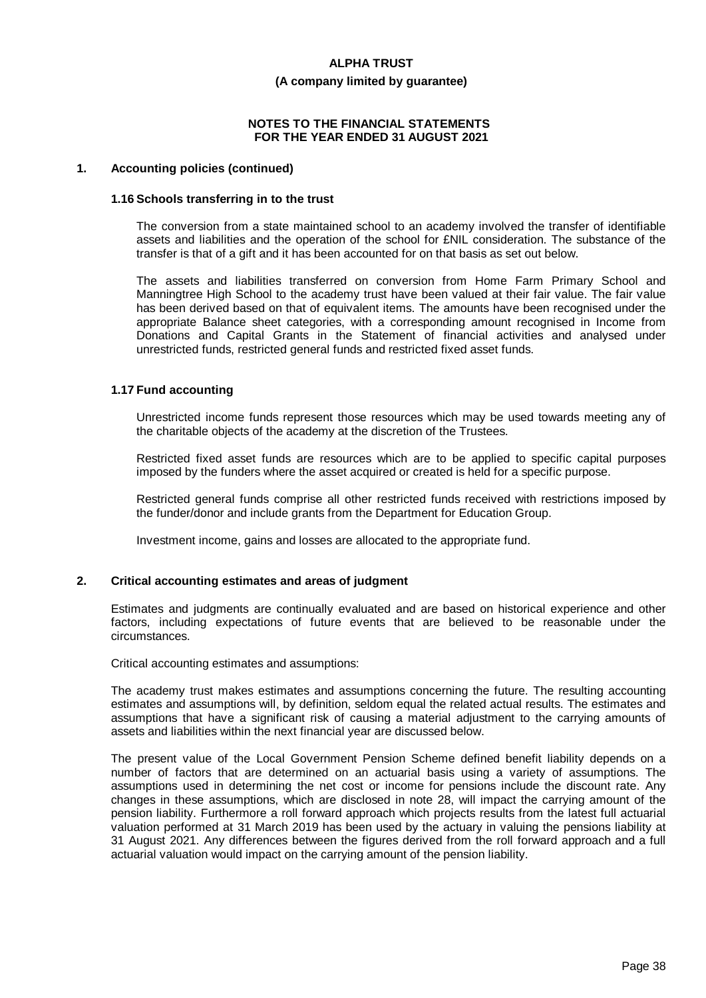#### **(A company limited by guarantee)**

#### **NOTES TO THE FINANCIAL STATEMENTS FOR THE YEAR ENDED 31 AUGUST 2021**

#### **1. Accounting policies (continued)**

#### **1.16 Schools transferring in to the trust**

The conversion from a state maintained school to an academy involved the transfer of identifiable assets and liabilities and the operation of the school for £NIL consideration. The substance of the transfer is that of a gift and it has been accounted for on that basis as set out below.

The assets and liabilities transferred on conversion from Home Farm Primary School and Manningtree High School to the academy trust have been valued at their fair value. The fair value has been derived based on that of equivalent items. The amounts have been recognised under the appropriate Balance sheet categories, with a corresponding amount recognised in Income from Donations and Capital Grants in the Statement of financial activities and analysed under unrestricted funds, restricted general funds and restricted fixed asset funds.

#### **1.17 Fund accounting**

Unrestricted income funds represent those resources which may be used towards meeting any of the charitable objects of the academy at the discretion of the Trustees.

Restricted fixed asset funds are resources which are to be applied to specific capital purposes imposed by the funders where the asset acquired or created is held for a specific purpose.

Restricted general funds comprise all other restricted funds received with restrictions imposed by the funder/donor and include grants from the Department for Education Group.

Investment income, gains and losses are allocated to the appropriate fund.

# **2. Critical accounting estimates and areas of judgment**

Estimates and judgments are continually evaluated and are based on historical experience and other factors, including expectations of future events that are believed to be reasonable under the circumstances.

Critical accounting estimates and assumptions:

The academy trust makes estimates and assumptions concerning the future. The resulting accounting estimates and assumptions will, by definition, seldom equal the related actual results. The estimates and assumptions that have a significant risk of causing a material adjustment to the carrying amounts of assets and liabilities within the next financial year are discussed below.

The present value of the Local Government Pension Scheme defined benefit liability depends on a number of factors that are determined on an actuarial basis using a variety of assumptions. The assumptions used in determining the net cost or income for pensions include the discount rate. Any changes in these assumptions, which are disclosed in note 28, will impact the carrying amount of the pension liability. Furthermore a roll forward approach which projects results from the latest full actuarial valuation performed at 31 March 2019 has been used by the actuary in valuing the pensions liability at 31 August 2021. Any differences between the figures derived from the roll forward approach and a full actuarial valuation would impact on the carrying amount of the pension liability.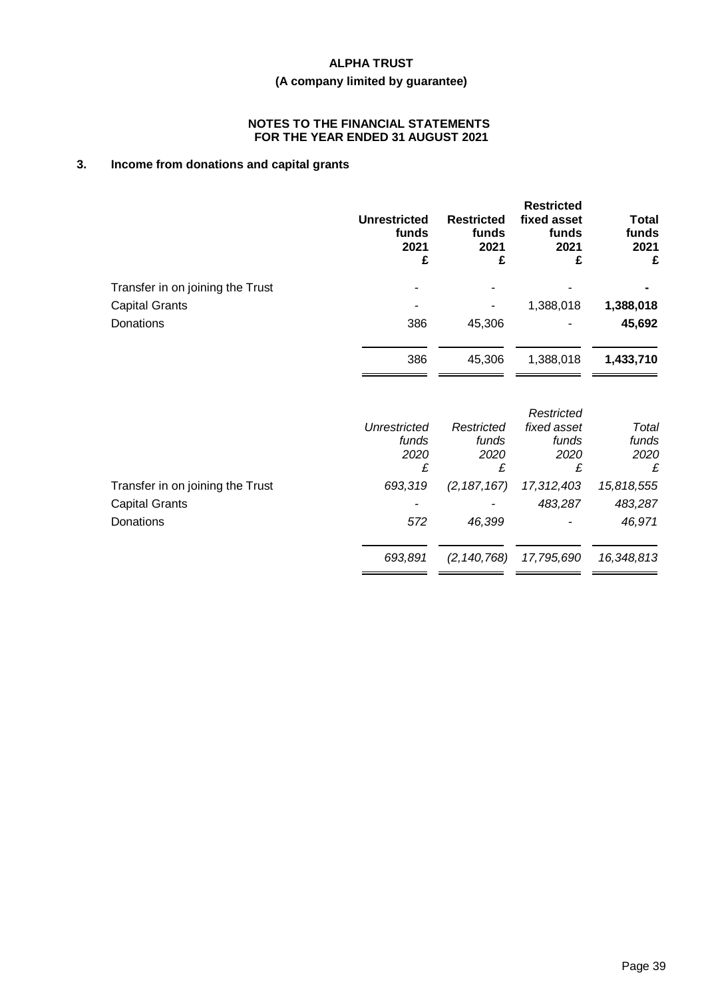# **(A company limited by guarantee)**

### **NOTES TO THE FINANCIAL STATEMENTS FOR THE YEAR ENDED 31 AUGUST 2021**

# **3. Income from donations and capital grants**

|                                  | <b>Unrestricted</b><br>funds<br>2021<br>£ | <b>Restricted</b><br>funds<br>2021<br>£ | <b>Restricted</b><br>fixed asset<br>funds<br>2021<br>£ | <b>Total</b><br>funds<br>2021<br>£ |
|----------------------------------|-------------------------------------------|-----------------------------------------|--------------------------------------------------------|------------------------------------|
| Transfer in on joining the Trust |                                           |                                         |                                                        |                                    |
| <b>Capital Grants</b>            |                                           |                                         | 1,388,018                                              | 1,388,018                          |
| Donations                        | 386                                       | 45,306                                  |                                                        | 45,692                             |
|                                  | 386                                       | 45,306                                  | 1,388,018                                              | 1,433,710                          |
|                                  |                                           |                                         | Restricted                                             |                                    |
|                                  | <b>Unrestricted</b><br>funds              | Restricted<br>funds                     | fixed asset<br>funds                                   | Total<br>funds                     |
|                                  | 2020                                      | 2020                                    | 2020                                                   | 2020                               |
|                                  | £                                         | £                                       | £                                                      | £                                  |
| Transfer in on joining the Trust | 693,319                                   | (2, 187, 167)                           | 17,312,403                                             | 15,818,555                         |
| <b>Capital Grants</b>            |                                           |                                         | 483,287                                                | 483,287                            |
| Donations                        | 572                                       | 46,399                                  |                                                        | 46,971                             |
|                                  | 693,891                                   | (2, 140, 768)                           | 17,795,690                                             | 16,348,813                         |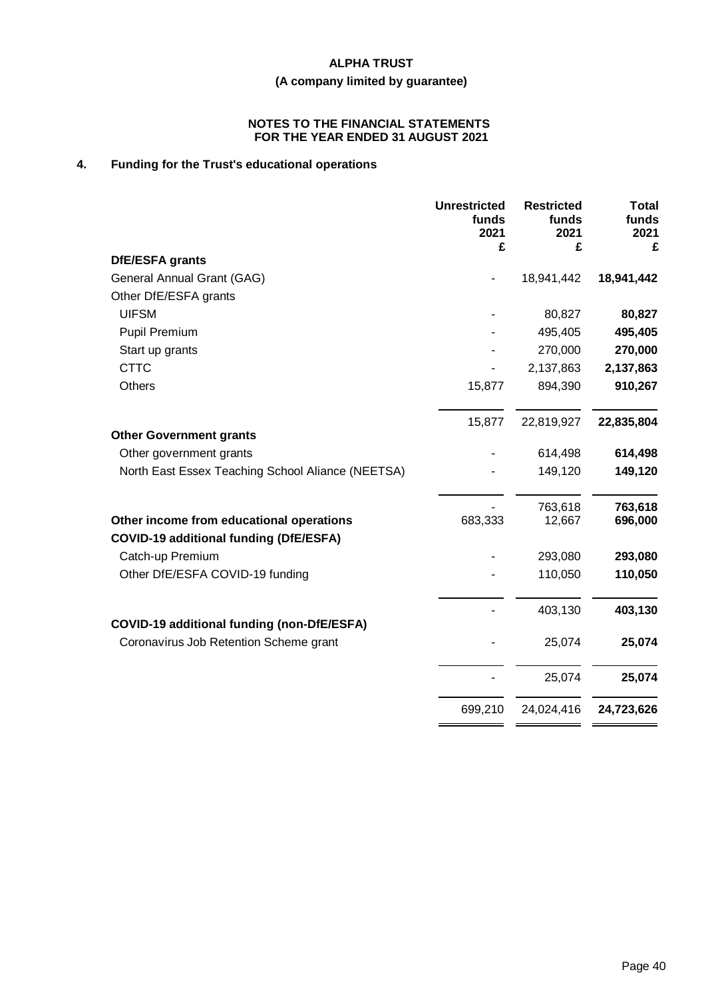# **(A company limited by guarantee)**

#### **NOTES TO THE FINANCIAL STATEMENTS FOR THE YEAR ENDED 31 AUGUST 2021**

# **4. Funding for the Trust's educational operations**

|                                                   | <b>Unrestricted</b><br>funds<br>2021<br>£ | <b>Restricted</b><br>funds<br>2021<br>£ | <b>Total</b><br>funds<br>2021<br>£ |
|---------------------------------------------------|-------------------------------------------|-----------------------------------------|------------------------------------|
| DfE/ESFA grants                                   |                                           |                                         |                                    |
| General Annual Grant (GAG)                        |                                           | 18,941,442                              | 18,941,442                         |
| Other DfE/ESFA grants                             |                                           |                                         |                                    |
| <b>UIFSM</b>                                      |                                           | 80,827                                  | 80,827                             |
| <b>Pupil Premium</b>                              |                                           | 495,405                                 | 495,405                            |
| Start up grants                                   |                                           | 270,000                                 | 270,000                            |
| <b>CTTC</b>                                       |                                           | 2,137,863                               | 2,137,863                          |
| <b>Others</b>                                     | 15,877                                    | 894,390                                 | 910,267                            |
|                                                   | 15,877                                    | 22,819,927                              | 22,835,804                         |
| <b>Other Government grants</b>                    |                                           |                                         |                                    |
| Other government grants                           |                                           | 614,498                                 | 614,498                            |
| North East Essex Teaching School Aliance (NEETSA) |                                           | 149,120                                 | 149,120                            |
|                                                   |                                           | 763,618                                 | 763,618                            |
| Other income from educational operations          | 683,333                                   | 12,667                                  | 696,000                            |
| <b>COVID-19 additional funding (DfE/ESFA)</b>     |                                           |                                         |                                    |
| Catch-up Premium                                  |                                           | 293,080                                 | 293,080                            |
| Other DfE/ESFA COVID-19 funding                   |                                           | 110,050                                 | 110,050                            |
|                                                   |                                           | 403,130                                 | 403,130                            |
| <b>COVID-19 additional funding (non-DfE/ESFA)</b> |                                           |                                         |                                    |
| Coronavirus Job Retention Scheme grant            |                                           | 25,074                                  | 25,074                             |
|                                                   |                                           | 25,074                                  | 25,074                             |
|                                                   | 699,210                                   | 24,024,416                              | 24,723,626                         |
|                                                   |                                           |                                         |                                    |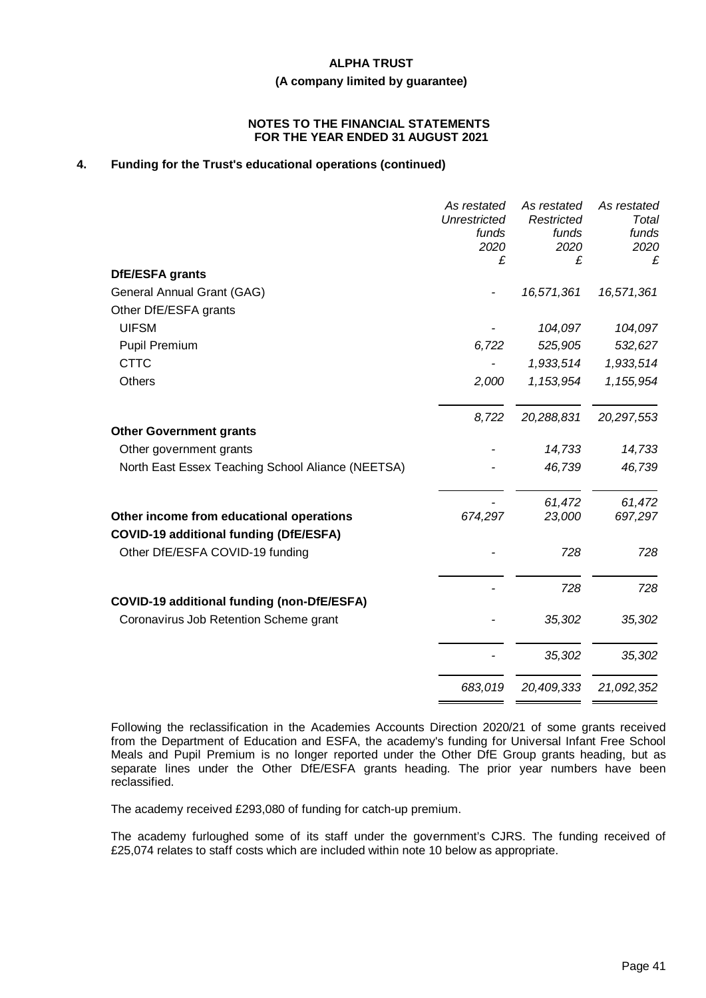# **(A company limited by guarantee)**

#### **NOTES TO THE FINANCIAL STATEMENTS FOR THE YEAR ENDED 31 AUGUST 2021**

# **4. Funding for the Trust's educational operations (continued)**

|                                                   | As restated<br>Unrestricted<br>funds<br>2020 | As restated<br>Restricted<br>funds<br>2020 | As restated<br>Total<br>funds<br>2020 |
|---------------------------------------------------|----------------------------------------------|--------------------------------------------|---------------------------------------|
|                                                   | £                                            | £                                          | £                                     |
| DfE/ESFA grants                                   |                                              |                                            |                                       |
| General Annual Grant (GAG)                        |                                              | 16,571,361                                 | 16,571,361                            |
| Other DfE/ESFA grants                             |                                              |                                            |                                       |
| <b>UIFSM</b>                                      |                                              | 104,097                                    | 104,097                               |
| Pupil Premium                                     | 6,722                                        | 525,905                                    | 532,627                               |
| <b>CTTC</b>                                       |                                              | 1,933,514                                  | 1,933,514                             |
| Others                                            | 2,000                                        | 1,153,954                                  | 1,155,954                             |
|                                                   | 8,722                                        | 20,288,831                                 | 20,297,553                            |
| <b>Other Government grants</b>                    |                                              |                                            |                                       |
| Other government grants                           |                                              | 14,733                                     | 14,733                                |
| North East Essex Teaching School Aliance (NEETSA) |                                              | 46,739                                     | 46,739                                |
|                                                   |                                              | 61,472                                     | 61,472                                |
| Other income from educational operations          | 674,297                                      | 23,000                                     | 697,297                               |
| <b>COVID-19 additional funding (DfE/ESFA)</b>     |                                              |                                            |                                       |
| Other DfE/ESFA COVID-19 funding                   |                                              | 728                                        | 728                                   |
|                                                   |                                              | 728                                        | 728                                   |
| <b>COVID-19 additional funding (non-DfE/ESFA)</b> |                                              |                                            |                                       |
| Coronavirus Job Retention Scheme grant            |                                              | 35,302                                     | 35,302                                |
|                                                   |                                              | 35,302                                     | 35,302                                |
|                                                   |                                              |                                            |                                       |
|                                                   | 683,019                                      | 20,409,333                                 | 21,092,352                            |

Following the reclassification in the Academies Accounts Direction 2020/21 of some grants received from the Department of Education and ESFA, the academy's funding for Universal Infant Free School Meals and Pupil Premium is no longer reported under the Other DfE Group grants heading, but as separate lines under the Other DfE/ESFA grants heading. The prior year numbers have been reclassified.

The academy received £293,080 of funding for catch-up premium.

The academy furloughed some of its staff under the government's CJRS. The funding received of £25,074 relates to staff costs which are included within note 10 below as appropriate.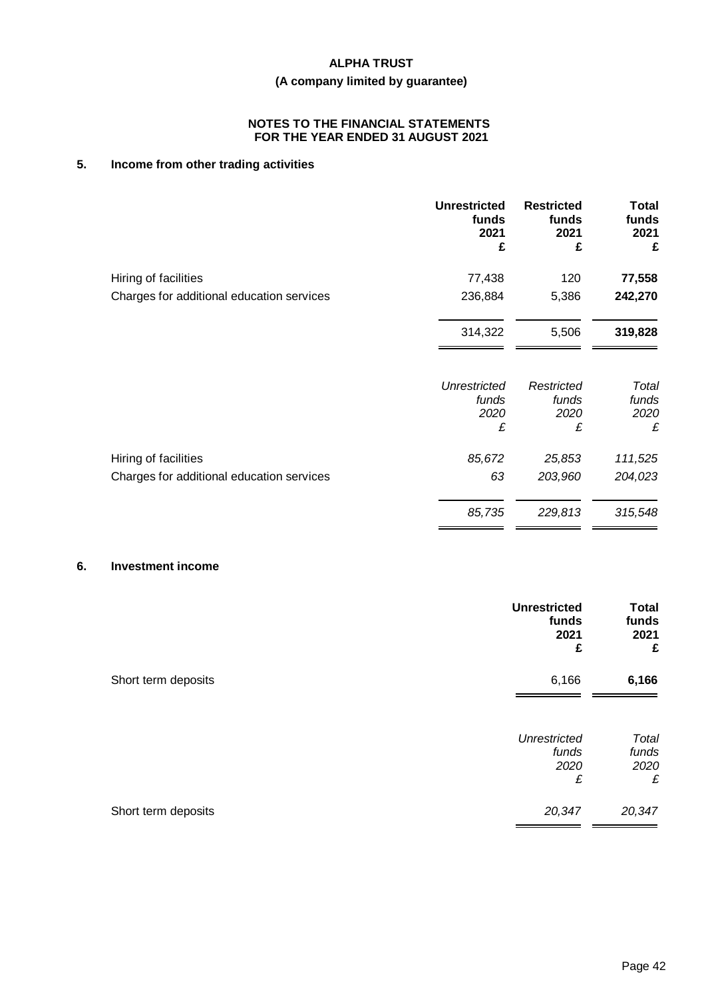# **(A company limited by guarantee)**

#### **NOTES TO THE FINANCIAL STATEMENTS FOR THE YEAR ENDED 31 AUGUST 2021**

# **5. Income from other trading activities**

|                                           | <b>Unrestricted</b><br>funds<br>2021<br>£ | <b>Restricted</b><br>funds<br>2021<br>£ | <b>Total</b><br>funds<br>2021<br>£ |
|-------------------------------------------|-------------------------------------------|-----------------------------------------|------------------------------------|
| Hiring of facilities                      | 77,438                                    | 120                                     | 77,558                             |
| Charges for additional education services | 236,884                                   | 5,386                                   | 242,270                            |
|                                           | 314,322                                   | 5,506                                   | 319,828                            |
|                                           | <b>Unrestricted</b><br>funds              | Restricted<br>funds                     | Total<br>funds                     |
|                                           | 2020<br>£                                 | 2020<br>£                               | 2020<br>£                          |
| Hiring of facilities                      | 85,672                                    | 25,853                                  | 111,525                            |
| Charges for additional education services | 63                                        | 203,960                                 | 204,023                            |
|                                           | 85,735                                    | 229,813                                 | 315,548                            |

# **6. Investment income**

|                     | <b>Unrestricted</b><br>funds<br>2021<br>£ | <b>Total</b><br>funds<br>2021<br>£ |
|---------------------|-------------------------------------------|------------------------------------|
| Short term deposits | 6,166                                     | 6,166                              |
|                     | <b>Unrestricted</b><br>funds<br>2020<br>£ | Total<br>funds<br>2020<br>£        |
| Short term deposits | 20,347                                    | 20,347                             |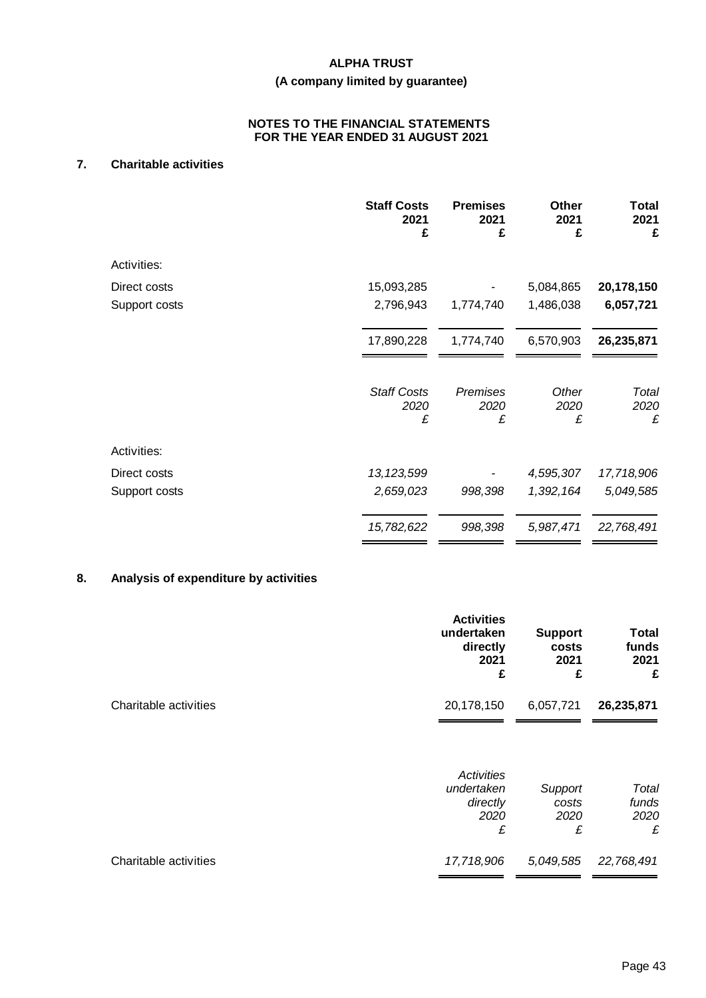# **(A company limited by guarantee)**

### **NOTES TO THE FINANCIAL STATEMENTS FOR THE YEAR ENDED 31 AUGUST 2021**

# **7. Charitable activities**

|               | <b>Staff Costs</b><br>2021<br>£ | <b>Premises</b><br>2021<br>£ | <b>Other</b><br>2021<br>£ | Total<br>2021<br>£ |
|---------------|---------------------------------|------------------------------|---------------------------|--------------------|
| Activities:   |                                 |                              |                           |                    |
| Direct costs  | 15,093,285                      |                              | 5,084,865                 | 20,178,150         |
| Support costs | 2,796,943                       | 1,774,740                    | 1,486,038                 | 6,057,721          |
|               | 17,890,228                      | 1,774,740                    | 6,570,903                 | 26,235,871         |
|               | <b>Staff Costs</b><br>2020<br>£ | Premises<br>2020<br>£        | Other<br>2020<br>£        | Total<br>2020<br>£ |
| Activities:   |                                 |                              |                           |                    |
| Direct costs  | 13, 123, 599                    |                              | 4,595,307                 | 17,718,906         |
| Support costs | 2,659,023                       | 998,398                      | 1,392,164                 | 5,049,585          |
|               | 15,782,622                      | 998,398                      | 5,987,471                 | 22,768,491         |

# **8. Analysis of expenditure by activities**

|                       | <b>Activities</b><br>undertaken<br>directly<br>2021<br>£ | <b>Support</b><br>costs<br>2021<br>£ | <b>Total</b><br>funds<br>2021<br>£ |
|-----------------------|----------------------------------------------------------|--------------------------------------|------------------------------------|
| Charitable activities | 20,178,150                                               | 6,057,721                            | 26,235,871                         |
|                       | Activities<br>undertaken<br>directly<br>2020<br>£        | Support<br>costs<br>2020<br>£        | Total<br>funds<br>2020<br>£        |
| Charitable activities | 17,718,906                                               | 5,049,585                            | 22,768,491                         |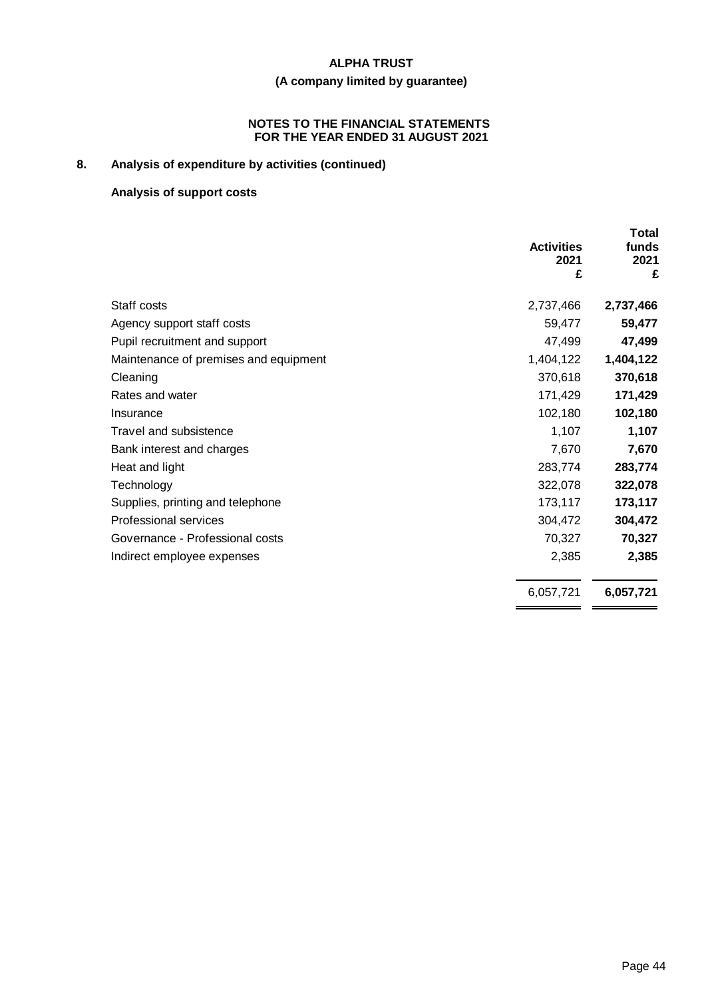# **(A company limited by guarantee)**

#### **NOTES TO THE FINANCIAL STATEMENTS FOR THE YEAR ENDED 31 AUGUST 2021**

# **8. Analysis of expenditure by activities (continued)**

# **Analysis of support costs**

|                                       | <b>Activities</b><br>2021<br>£ | Total<br>funds<br>2021<br>£ |
|---------------------------------------|--------------------------------|-----------------------------|
| Staff costs                           | 2,737,466                      | 2,737,466                   |
| Agency support staff costs            | 59,477                         | 59,477                      |
| Pupil recruitment and support         | 47,499                         | 47,499                      |
| Maintenance of premises and equipment | 1,404,122                      | 1,404,122                   |
| Cleaning                              | 370,618                        | 370,618                     |
| Rates and water                       | 171,429                        | 171,429                     |
| Insurance                             | 102,180                        | 102,180                     |
| Travel and subsistence                | 1,107                          | 1,107                       |
| Bank interest and charges             | 7,670                          | 7,670                       |
| Heat and light                        | 283,774                        | 283,774                     |
| Technology                            | 322,078                        | 322,078                     |
| Supplies, printing and telephone      | 173,117                        | 173,117                     |
| Professional services                 | 304,472                        | 304,472                     |
| Governance - Professional costs       | 70,327                         | 70,327                      |
| Indirect employee expenses            | 2,385                          | 2,385                       |
|                                       | 6,057,721                      | 6,057,721                   |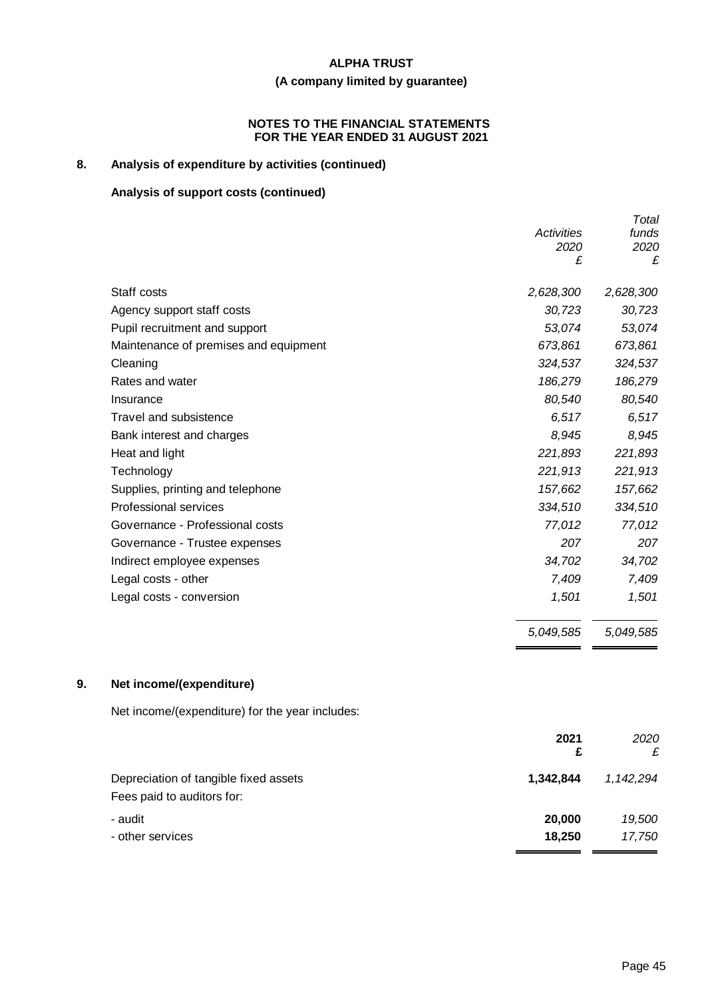# **(A company limited by guarantee)**

#### **NOTES TO THE FINANCIAL STATEMENTS FOR THE YEAR ENDED 31 AUGUST 2021**

# **8. Analysis of expenditure by activities (continued)**

# **Analysis of support costs (continued)**

| Total     |
|-----------|
| funds     |
| 2020      |
| £         |
| 2,628,300 |
| 30,723    |
| 53,074    |
| 673,861   |
| 324,537   |
| 186,279   |
| 80,540    |
| 6,517     |
| 8,945     |
| 221,893   |
| 221,913   |
| 157,662   |
| 334,510   |
| 77,012    |
| 207       |
| 34,702    |
| 7,409     |
| 1,501     |
| 5,049,585 |
|           |

# **9. Net income/(expenditure)**

Net income/(expenditure) for the year includes:

|                                                                     | 2021<br>£ | 2020<br>£ |
|---------------------------------------------------------------------|-----------|-----------|
| Depreciation of tangible fixed assets<br>Fees paid to auditors for: | 1.342.844 | 1.142.294 |
| - audit                                                             | 20,000    | 19,500    |
| - other services                                                    | 18,250    | 17,750    |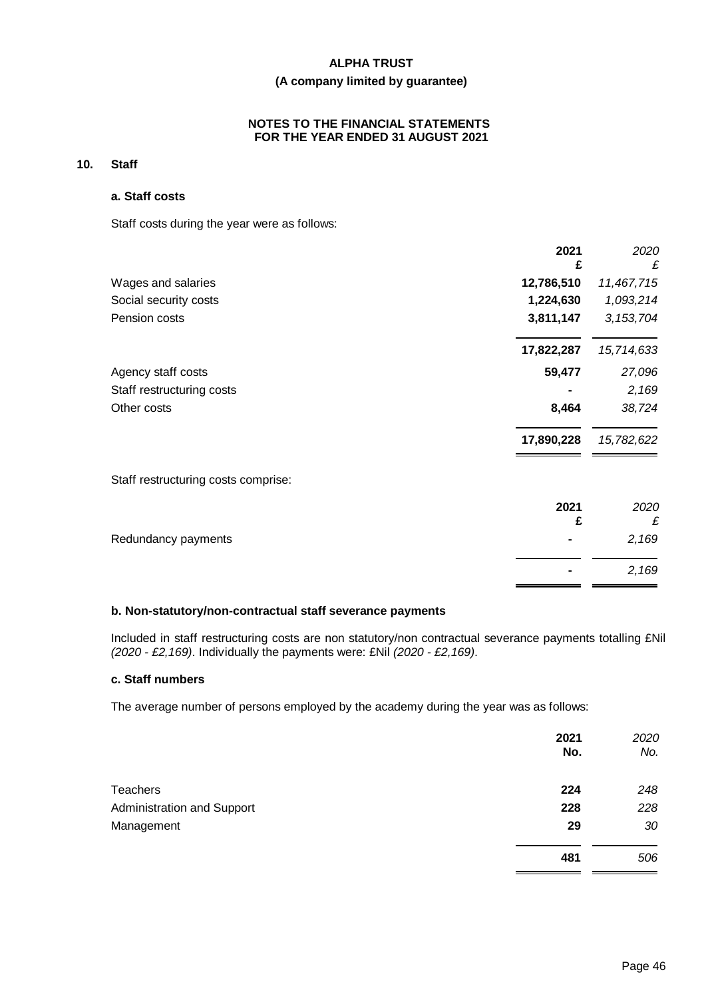# **(A company limited by guarantee)**

#### **NOTES TO THE FINANCIAL STATEMENTS FOR THE YEAR ENDED 31 AUGUST 2021**

# **10. Staff**

#### **a. Staff costs**

Staff costs during the year were as follows:

|                                     | 2021<br>£  | 2020<br>£   |
|-------------------------------------|------------|-------------|
| Wages and salaries                  | 12,786,510 | 11,467,715  |
| Social security costs               | 1,224,630  | 1,093,214   |
| Pension costs                       | 3,811,147  | 3, 153, 704 |
|                                     | 17,822,287 | 15,714,633  |
| Agency staff costs                  | 59,477     | 27,096      |
| Staff restructuring costs           |            | 2,169       |
| Other costs                         | 8,464      | 38,724      |
|                                     | 17,890,228 | 15,782,622  |
| Staff restructuring costs comprise: |            |             |
|                                     | 2021<br>£  | 2020<br>£   |
| Redundancy payments                 |            | 2,169       |
|                                     |            |             |

#### **b. Non-statutory/non-contractual staff severance payments**

Included in staff restructuring costs are non statutory/non contractual severance payments totalling £Nil *(2020 - £2,169)*. Individually the payments were: £Nil *(2020 - £2,169)*.

#### **c. Staff numbers**

The average number of persons employed by the academy during the year was as follows:

|                            | 2021<br>No. | 2020<br>No. |
|----------------------------|-------------|-------------|
| <b>Teachers</b>            | 224         | 248         |
| Administration and Support | 228         | 228         |
| Management                 | 29          | 30          |
|                            | 481         | 506         |

**-** *2,169*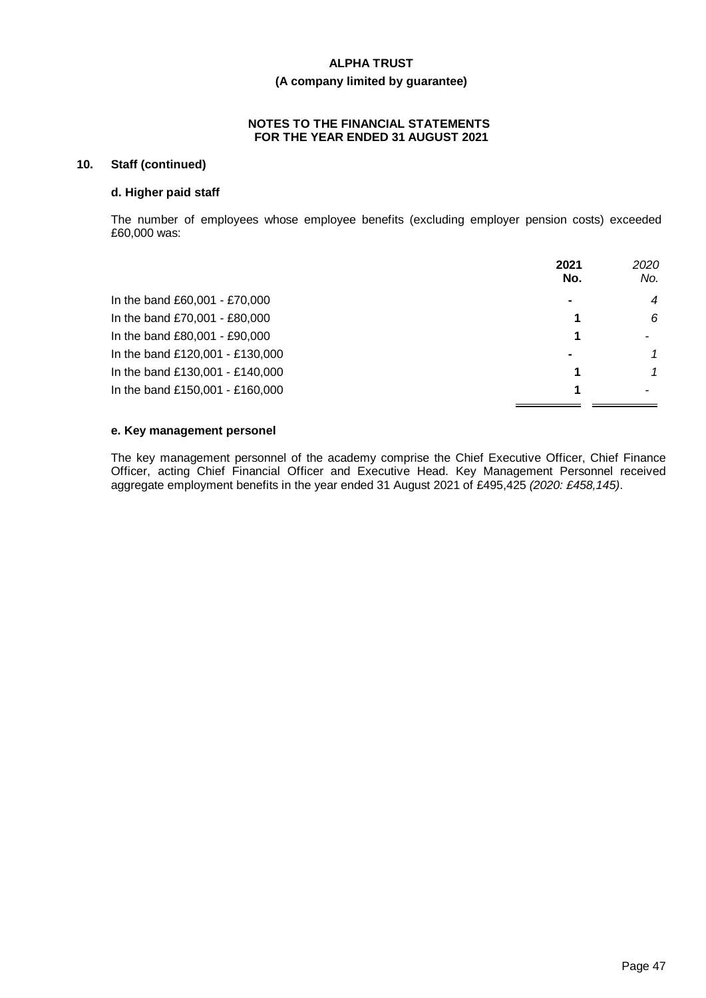# **(A company limited by guarantee)**

#### **NOTES TO THE FINANCIAL STATEMENTS FOR THE YEAR ENDED 31 AUGUST 2021**

# **10. Staff (continued)**

### **d. Higher paid staff**

The number of employees whose employee benefits (excluding employer pension costs) exceeded £60,000 was:

|                                 | 2021<br>No.    | 2020<br>No.    |
|---------------------------------|----------------|----------------|
| In the band £60,001 - £70,000   | $\blacksquare$ | $\overline{4}$ |
| In the band £70,001 - £80,000   |                | 6              |
| In the band £80,001 - £90,000   |                |                |
| In the band £120,001 - £130,000 | ۰              | 1              |
| In the band £130,001 - £140,000 |                |                |
| In the band £150,001 - £160,000 |                |                |

### **e. Key management personel**

The key management personnel of the academy comprise the Chief Executive Officer, Chief Finance Officer, acting Chief Financial Officer and Executive Head. Key Management Personnel received aggregate employment benefits in the year ended 31 August 2021 of £495,425 *(2020: £458,145)*.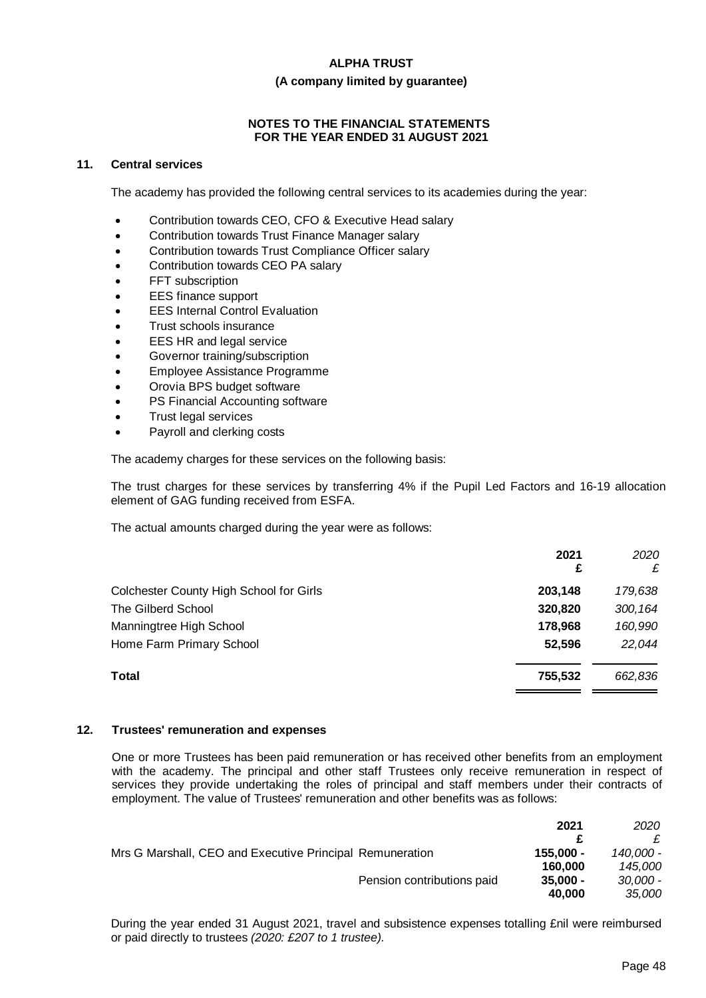#### **(A company limited by guarantee)**

# **NOTES TO THE FINANCIAL STATEMENTS FOR THE YEAR ENDED 31 AUGUST 2021**

#### **11. Central services**

The academy has provided the following central services to its academies during the year:

- Contribution towards CEO, CFO & Executive Head salary
- Contribution towards Trust Finance Manager salary
- Contribution towards Trust Compliance Officer salary
- Contribution towards CEO PA salary
- FFT subscription
- **EES** finance support
- **EES Internal Control Evaluation**
- Trust schools insurance
- EES HR and legal service
- Governor training/subscription
- Employee Assistance Programme
- Orovia BPS budget software
- PS Financial Accounting software
- Trust legal services
- Payroll and clerking costs

The academy charges for these services on the following basis:

The trust charges for these services by transferring 4% if the Pupil Led Factors and 16-19 allocation element of GAG funding received from ESFA.

The actual amounts charged during the year were as follows:

| 2021<br>£ | 2020<br>£ |
|-----------|-----------|
| 203,148   | 179,638   |
| 320,820   | 300,164   |
| 178,968   | 160,990   |
| 52,596    | 22,044    |
| 755,532   | 662,836   |
|           |           |

#### **12. Trustees' remuneration and expenses**

One or more Trustees has been paid remuneration or has received other benefits from an employment with the academy. The principal and other staff Trustees only receive remuneration in respect of services they provide undertaking the roles of principal and staff members under their contracts of employment. The value of Trustees' remuneration and other benefits was as follows:

|                                                          |                            | 2021       | 2020       |
|----------------------------------------------------------|----------------------------|------------|------------|
|                                                          |                            |            |            |
| Mrs G Marshall, CEO and Executive Principal Remuneration |                            | 155.000 -  | 140.000 -  |
|                                                          |                            | 160.000    | 145.000    |
|                                                          | Pension contributions paid | $35,000 -$ | $30,000 -$ |
|                                                          |                            | 40.000     | 35,000     |

During the year ended 31 August 2021, travel and subsistence expenses totalling £nil were reimbursed or paid directly to trustees *(2020: £207 to 1 trustee).*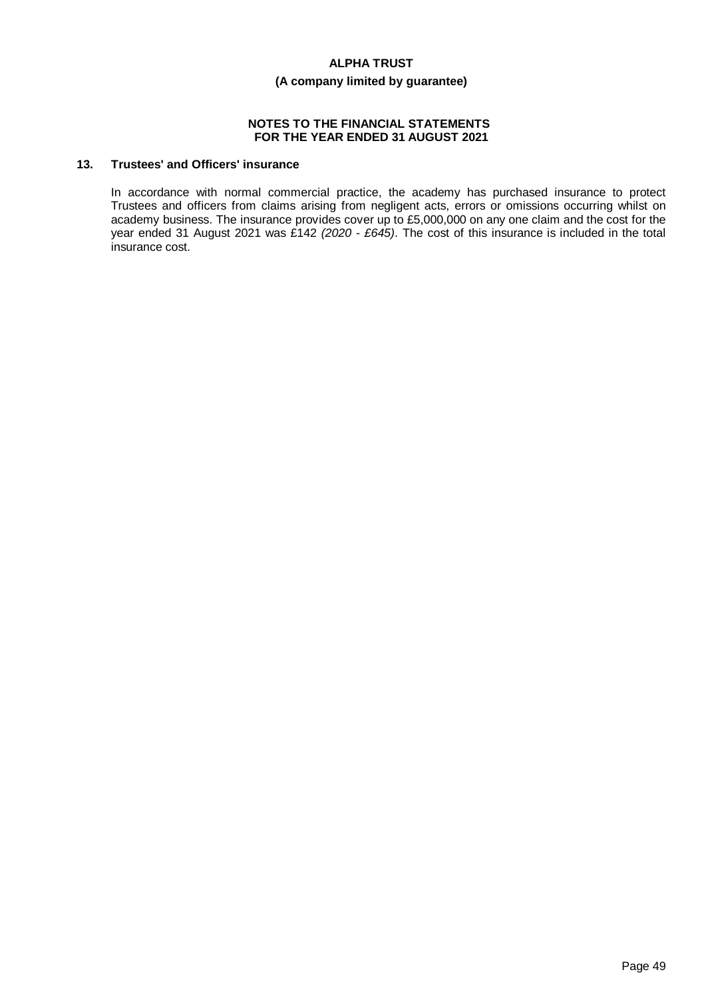### **(A company limited by guarantee)**

#### **NOTES TO THE FINANCIAL STATEMENTS FOR THE YEAR ENDED 31 AUGUST 2021**

# **13. Trustees' and Officers' insurance**

In accordance with normal commercial practice, the academy has purchased insurance to protect Trustees and officers from claims arising from negligent acts, errors or omissions occurring whilst on academy business. The insurance provides cover up to £5,000,000 on any one claim and the cost for the year ended 31 August 2021 was £142 *(2020 - £645)*. The cost of this insurance is included in the total insurance cost.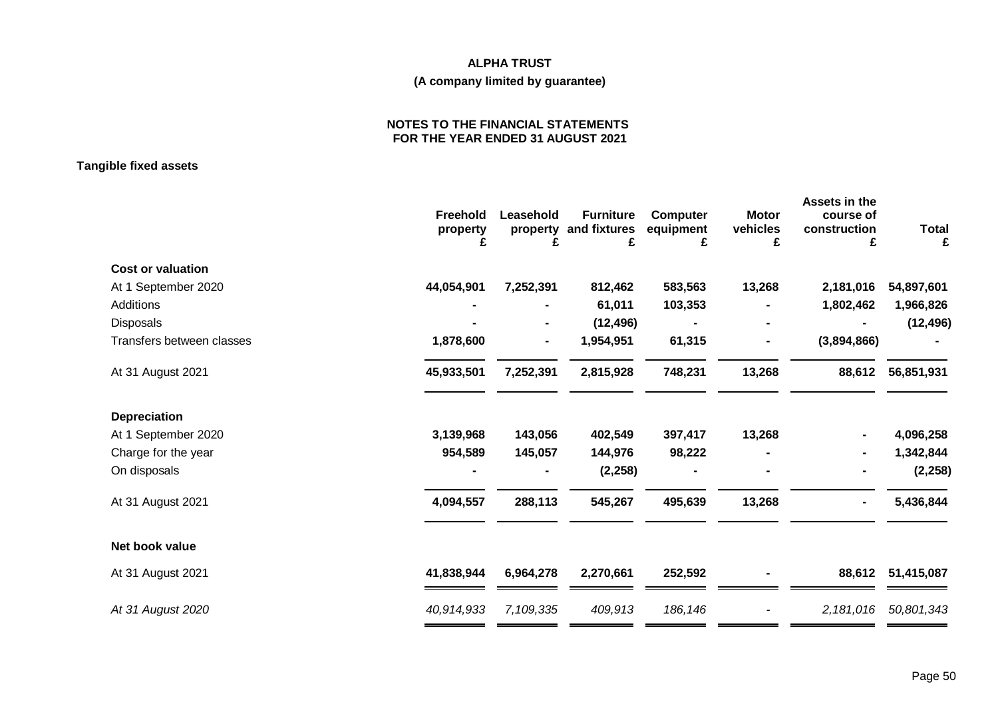# **ALPHA TRUST (A company limited by guarantee)**

### **NOTES TO THE FINANCIAL STATEMENTS FOR THE YEAR ENDED 31 AUGUST 2021**

**Tangible fixed assets**

|                           | Freehold<br>property<br>£ | Leasehold<br>property<br>£ | <b>Furniture</b><br>and fixtures<br>£ | <b>Computer</b><br>equipment<br>£ | <b>Motor</b><br>vehicles<br>£ | Assets in the<br>course of<br>construction<br>£ | <b>Total</b><br>£ |
|---------------------------|---------------------------|----------------------------|---------------------------------------|-----------------------------------|-------------------------------|-------------------------------------------------|-------------------|
| <b>Cost or valuation</b>  |                           |                            |                                       |                                   |                               |                                                 |                   |
| At 1 September 2020       | 44,054,901                | 7,252,391                  | 812,462                               | 583,563                           | 13,268                        | 2,181,016                                       | 54,897,601        |
| Additions                 |                           |                            | 61,011                                | 103,353                           |                               | 1,802,462                                       | 1,966,826         |
| Disposals                 |                           |                            | (12, 496)                             |                                   |                               |                                                 | (12, 496)         |
| Transfers between classes | 1,878,600                 |                            | 1,954,951                             | 61,315                            |                               | (3,894,866)                                     |                   |
| At 31 August 2021         | 45,933,501                | 7,252,391                  | 2,815,928                             | 748,231                           | 13,268                        | 88,612                                          | 56,851,931        |
| Depreciation              |                           |                            |                                       |                                   |                               |                                                 |                   |
| At 1 September 2020       | 3,139,968                 | 143,056                    | 402,549                               | 397,417                           | 13,268                        |                                                 | 4,096,258         |
| Charge for the year       | 954,589                   | 145,057                    | 144,976                               | 98,222                            |                               |                                                 | 1,342,844         |
| On disposals              |                           |                            | (2, 258)                              |                                   |                               |                                                 | (2, 258)          |
| At 31 August 2021         | 4,094,557                 | 288,113                    | 545,267                               | 495,639                           | 13,268                        |                                                 | 5,436,844         |
| Net book value            |                           |                            |                                       |                                   |                               |                                                 |                   |
| At 31 August 2021         | 41,838,944                | 6,964,278                  | 2,270,661                             | 252,592                           |                               | 88,612                                          | 51,415,087        |
| At 31 August 2020         | 40,914,933                | 7,109,335                  | 409,913                               | 186,146                           |                               | 2,181,016                                       | 50,801,343        |
|                           |                           |                            |                                       |                                   |                               |                                                 |                   |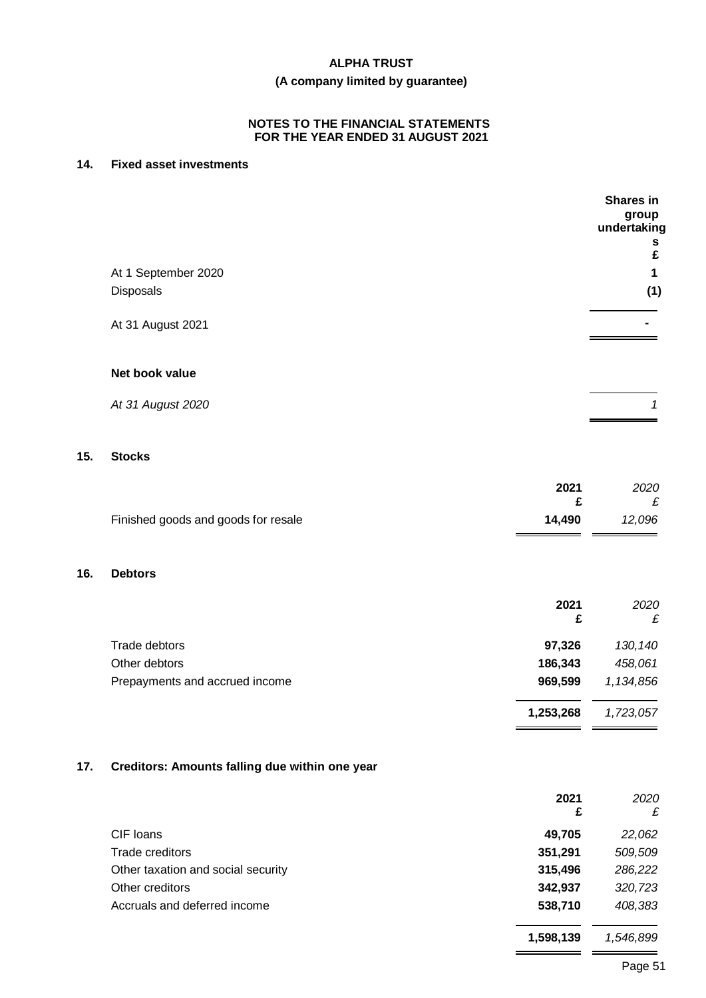# **(A company limited by guarantee)**

### **NOTES TO THE FINANCIAL STATEMENTS FOR THE YEAR ENDED 31 AUGUST 2021**

# **14. Fixed asset investments**

**15. Stocks**

**16. Debtors**

|     |                                                |           | <b>Shares in</b><br>group<br>undertaking<br>s<br>£ |
|-----|------------------------------------------------|-----------|----------------------------------------------------|
|     | At 1 September 2020                            |           | 1                                                  |
|     | Disposals                                      |           | (1)                                                |
|     |                                                |           |                                                    |
|     | At 31 August 2021                              |           |                                                    |
|     |                                                |           |                                                    |
|     | Net book value                                 |           |                                                    |
|     |                                                |           | 1                                                  |
|     | At 31 August 2020                              |           |                                                    |
|     |                                                |           |                                                    |
| 15. | <b>Stocks</b>                                  |           |                                                    |
|     |                                                | 2021      | 2020                                               |
|     |                                                | £         | £                                                  |
|     | Finished goods and goods for resale            | 14,490    | 12,096                                             |
|     |                                                |           |                                                    |
|     |                                                |           |                                                    |
| 16. | <b>Debtors</b>                                 |           |                                                    |
|     |                                                | 2021      | 2020                                               |
|     |                                                | £         | £                                                  |
|     | Trade debtors                                  | 97,326    | 130,140                                            |
|     | Other debtors                                  | 186,343   | 458,061                                            |
|     | Prepayments and accrued income                 | 969,599   | 1,134,856                                          |
|     |                                                | 1,253,268 | 1,723,057                                          |
|     |                                                |           |                                                    |
| 17. | Creditors: Amounts falling due within one year |           |                                                    |
|     |                                                | 2021      | 2020                                               |
|     |                                                | £         | £                                                  |
|     |                                                |           |                                                    |

| CIF loans                          | 49.705  | 22,062  |
|------------------------------------|---------|---------|
| Trade creditors                    | 351.291 | 509,509 |
| Other taxation and social security | 315,496 | 286,222 |
| Other creditors                    | 342.937 | 320,723 |
| Accruals and deferred income       | 538,710 | 408,383 |
|                                    |         |         |

**1,598,139** *1,546,899*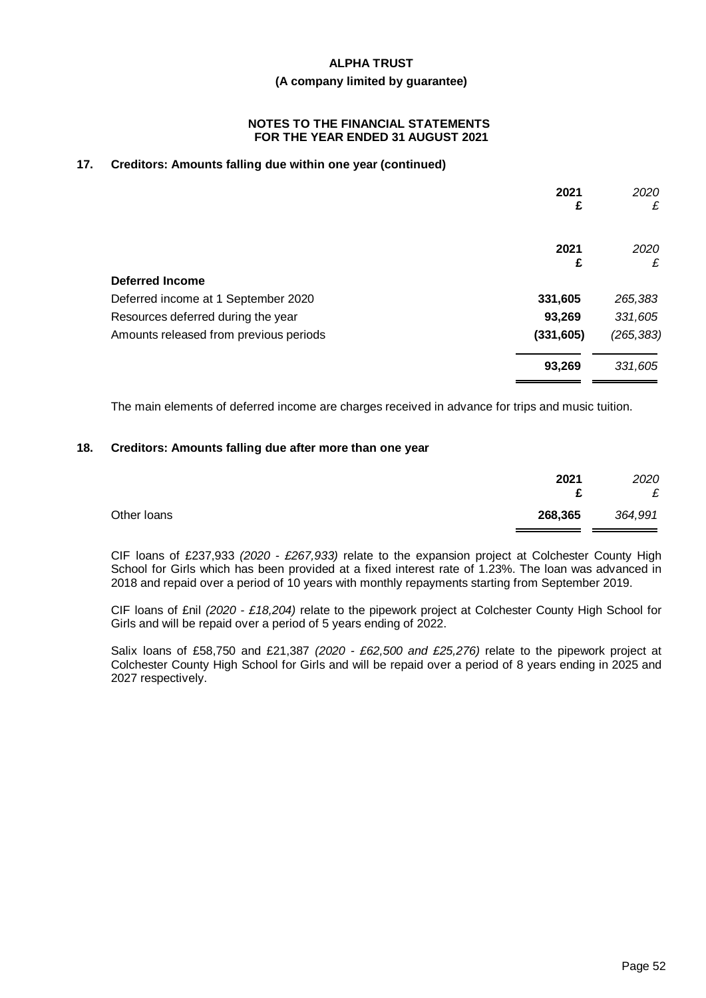#### **(A company limited by guarantee)**

#### **NOTES TO THE FINANCIAL STATEMENTS FOR THE YEAR ENDED 31 AUGUST 2021**

# **17. Creditors: Amounts falling due within one year (continued)**

|                                        | 2021<br>£  | 2020<br>£  |
|----------------------------------------|------------|------------|
|                                        | 2021<br>£  | 2020<br>£  |
| <b>Deferred Income</b>                 |            |            |
| Deferred income at 1 September 2020    | 331,605    | 265,383    |
| Resources deferred during the year     | 93,269     | 331,605    |
| Amounts released from previous periods | (331, 605) | (265, 383) |
|                                        | 93,269     | 331,605    |

The main elements of deferred income are charges received in advance for trips and music tuition.

#### **18. Creditors: Amounts falling due after more than one year**

|             | 2021<br>£ | 2020<br>£ |
|-------------|-----------|-----------|
| Other Ioans | 268,365   | 364,991   |

CIF loans of £237,933 *(2020 - £267,933)* relate to the expansion project at Colchester County High School for Girls which has been provided at a fixed interest rate of 1.23%. The loan was advanced in 2018 and repaid over a period of 10 years with monthly repayments starting from September 2019.

CIF loans of £nil *(2020 - £18,204)* relate to the pipework project at Colchester County High School for Girls and will be repaid over a period of 5 years ending of 2022.

Salix loans of £58,750 and £21,387 *(2020 - £62,500 and £25,276)* relate to the pipework project at Colchester County High School for Girls and will be repaid over a period of 8 years ending in 2025 and 2027 respectively.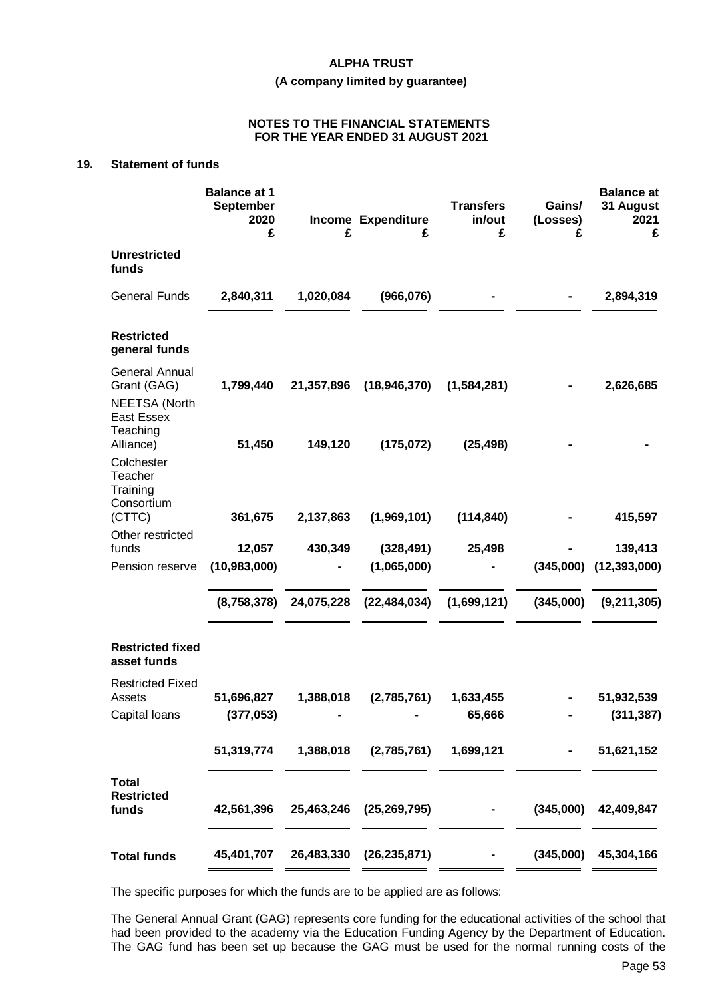#### **(A company limited by guarantee)**

#### **NOTES TO THE FINANCIAL STATEMENTS FOR THE YEAR ENDED 31 AUGUST 2021**

# **19. Statement of funds**

|                                                                     | <b>Balance at 1</b><br><b>September</b><br>2020<br>£ | £          | Income Expenditure<br>£ | <b>Transfers</b><br>in/out<br>£ | Gains/<br>(Losses)<br>£ | <b>Balance at</b><br>31 August<br>2021<br>£ |
|---------------------------------------------------------------------|------------------------------------------------------|------------|-------------------------|---------------------------------|-------------------------|---------------------------------------------|
| <b>Unrestricted</b><br>funds                                        |                                                      |            |                         |                                 |                         |                                             |
| <b>General Funds</b>                                                | 2,840,311                                            | 1,020,084  | (966, 076)              |                                 |                         | 2,894,319                                   |
| <b>Restricted</b><br>general funds                                  |                                                      |            |                         |                                 |                         |                                             |
| <b>General Annual</b><br>Grant (GAG)<br><b>NEETSA (North</b>        | 1,799,440                                            | 21,357,896 | (18, 946, 370)          | (1,584,281)                     |                         | 2,626,685                                   |
| <b>East Essex</b><br>Teaching<br>Alliance)<br>Colchester<br>Teacher | 51,450                                               | 149,120    | (175, 072)              | (25, 498)                       |                         |                                             |
| Training<br>Consortium<br>(CTTC)<br>Other restricted                | 361,675                                              | 2,137,863  | (1,969,101)             | (114, 840)                      |                         | 415,597                                     |
| funds                                                               | 12,057                                               | 430,349    | (328, 491)              | 25,498                          |                         | 139,413                                     |
| Pension reserve                                                     | (10,983,000)                                         |            | (1,065,000)             |                                 | (345,000)               | (12, 393, 000)                              |
|                                                                     | (8,758,378)                                          | 24,075,228 | (22, 484, 034)          | (1,699,121)                     | (345,000)               | (9, 211, 305)                               |
| <b>Restricted fixed</b><br>asset funds                              |                                                      |            |                         |                                 |                         |                                             |
| <b>Restricted Fixed</b><br>Assets                                   | 51,696,827                                           | 1,388,018  | (2,785,761)             | 1,633,455                       |                         | 51,932,539                                  |
| Capital Ioans                                                       | (377, 053)                                           |            |                         | 65,666                          |                         | (311, 387)                                  |
|                                                                     |                                                      |            |                         |                                 |                         |                                             |
|                                                                     | 51,319,774                                           | 1,388,018  | (2,785,761)             | 1,699,121                       |                         | 51,621,152                                  |
| <b>Total</b><br><b>Restricted</b><br>funds                          | 42,561,396                                           | 25,463,246 | (25, 269, 795)          |                                 | (345,000)               | 42,409,847                                  |
| <b>Total funds</b>                                                  | 45,401,707                                           | 26,483,330 | (26, 235, 871)          |                                 | (345,000)               | 45,304,166                                  |

The specific purposes for which the funds are to be applied are as follows:

The General Annual Grant (GAG) represents core funding for the educational activities of the school that had been provided to the academy via the Education Funding Agency by the Department of Education. The GAG fund has been set up because the GAG must be used for the normal running costs of the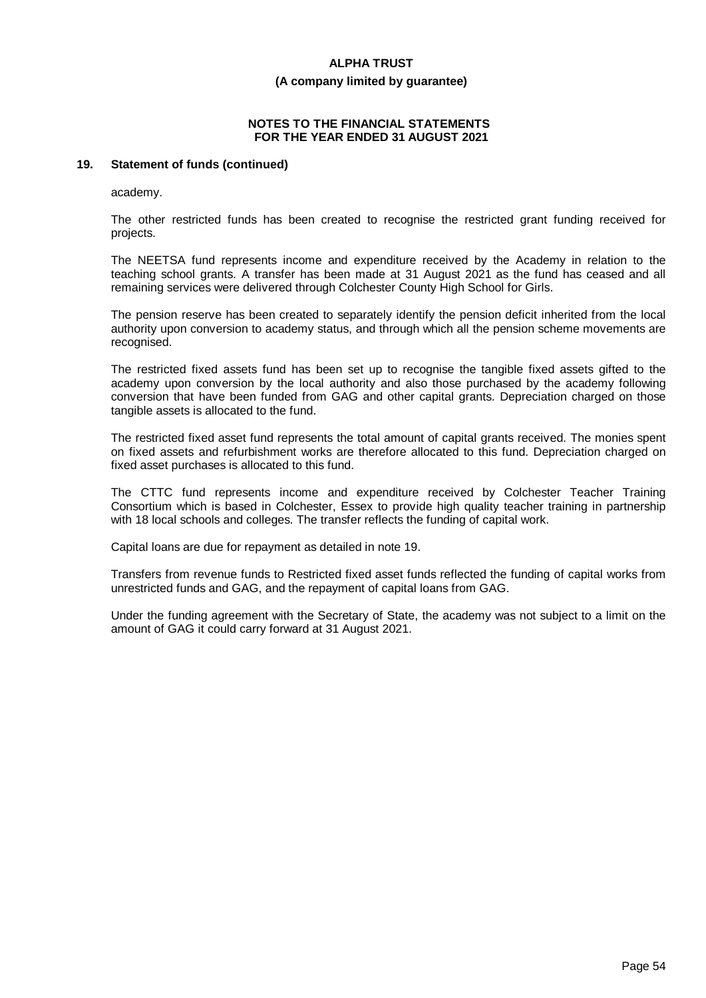#### **(A company limited by guarantee)**

#### **NOTES TO THE FINANCIAL STATEMENTS FOR THE YEAR ENDED 31 AUGUST 2021**

# **19. Statement of funds (continued)**

academy.

The other restricted funds has been created to recognise the restricted grant funding received for projects.

The NEETSA fund represents income and expenditure received by the Academy in relation to the teaching school grants. A transfer has been made at 31 August 2021 as the fund has ceased and all remaining services were delivered through Colchester County High School for Girls.

The pension reserve has been created to separately identify the pension deficit inherited from the local authority upon conversion to academy status, and through which all the pension scheme movements are recognised.

The restricted fixed assets fund has been set up to recognise the tangible fixed assets gifted to the academy upon conversion by the local authority and also those purchased by the academy following conversion that have been funded from GAG and other capital grants. Depreciation charged on those tangible assets is allocated to the fund.

The restricted fixed asset fund represents the total amount of capital grants received. The monies spent on fixed assets and refurbishment works are therefore allocated to this fund. Depreciation charged on fixed asset purchases is allocated to this fund.

The CTTC fund represents income and expenditure received by Colchester Teacher Training Consortium which is based in Colchester, Essex to provide high quality teacher training in partnership with 18 local schools and colleges. The transfer reflects the funding of capital work.

Capital loans are due for repayment as detailed in note 19.

Transfers from revenue funds to Restricted fixed asset funds reflected the funding of capital works from unrestricted funds and GAG, and the repayment of capital loans from GAG.

Under the funding agreement with the Secretary of State, the academy was not subject to a limit on the amount of GAG it could carry forward at 31 August 2021.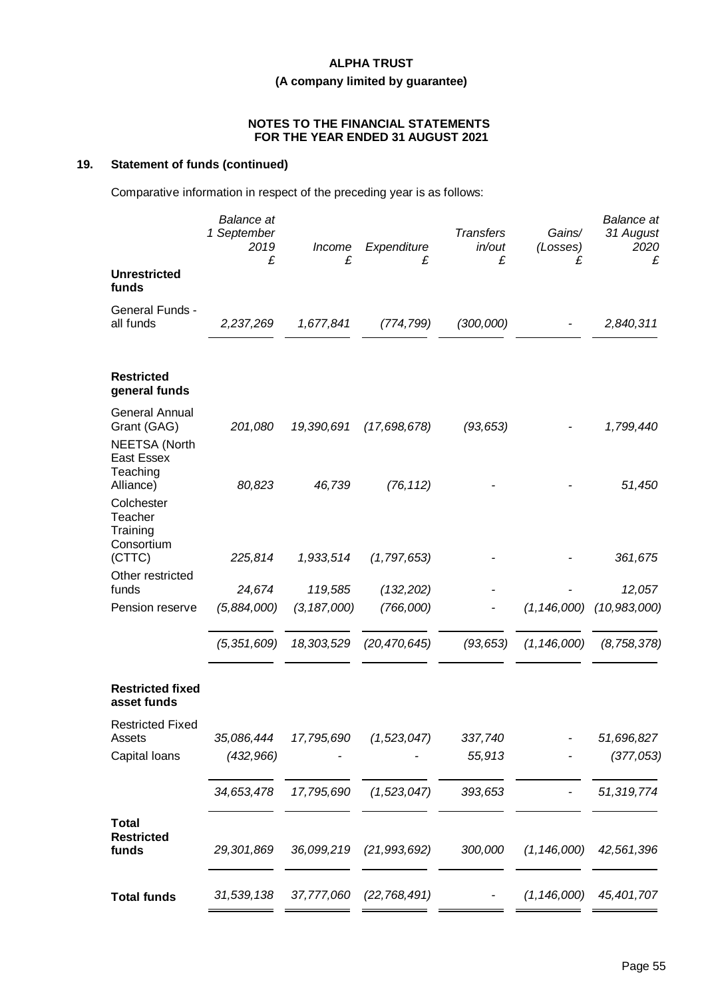# **(A company limited by guarantee)**

#### **NOTES TO THE FINANCIAL STATEMENTS FOR THE YEAR ENDED 31 AUGUST 2021**

# **19. Statement of funds (continued)**

Comparative information in respect of the preceding year is as follows:

|                                                              | <b>Balance</b> at<br>1 September<br>2019<br>£ | Income<br>£   | Expenditure<br>£ | <b>Transfers</b><br>in/out<br>£ | Gains/<br>(Losses)<br>£ | <b>Balance</b> at<br>31 August<br>2020<br>£ |
|--------------------------------------------------------------|-----------------------------------------------|---------------|------------------|---------------------------------|-------------------------|---------------------------------------------|
| <b>Unrestricted</b><br>funds                                 |                                               |               |                  |                                 |                         |                                             |
| General Funds -<br>all funds                                 | 2,237,269                                     | 1,677,841     | (774, 799)       | (300,000)                       |                         | 2,840,311                                   |
| <b>Restricted</b><br>general funds                           |                                               |               |                  |                                 |                         |                                             |
| <b>General Annual</b><br>Grant (GAG)<br><b>NEETSA (North</b> | 201,080                                       | 19,390,691    | (17,698,678)     | (93, 653)                       |                         | 1,799,440                                   |
| <b>East Essex</b><br>Teaching<br>Alliance)                   | 80,823                                        | 46,739        | (76, 112)        |                                 |                         | 51,450                                      |
| Colchester<br>Teacher<br>Training<br>Consortium              |                                               |               |                  |                                 |                         |                                             |
| (CTTC)                                                       | 225,814                                       | 1,933,514     | (1, 797, 653)    |                                 |                         | 361,675                                     |
| Other restricted<br>funds                                    | 24,674                                        | 119,585       | (132, 202)       |                                 |                         | 12,057                                      |
| Pension reserve                                              | (5,884,000)                                   | (3, 187, 000) | (766,000)        |                                 | (1, 146, 000)           | (10, 983, 000)                              |
|                                                              | (5, 351, 609)                                 | 18,303,529    | (20, 470, 645)   | (93, 653)                       | (1, 146, 000)           | (8, 758, 378)                               |
| <b>Restricted fixed</b><br>asset funds                       |                                               |               |                  |                                 |                         |                                             |
| <b>Restricted Fixed</b><br>Assets                            | 35,086,444                                    | 17,795,690    | (1,523,047)      | 337,740                         |                         | 51,696,827                                  |
| Capital Ioans                                                | (432, 966)                                    |               |                  | 55,913                          |                         | (377, 053)                                  |
|                                                              | 34,653,478                                    | 17,795,690    | (1,523,047)      | 393,653                         |                         | 51,319,774                                  |
| <b>Total</b><br><b>Restricted</b><br>funds                   | 29,301,869                                    | 36,099,219    | (21, 993, 692)   | 300,000                         | (1, 146, 000)           | 42,561,396                                  |
| <b>Total funds</b>                                           | 31,539,138                                    | 37,777,060    | (22, 768, 491)   |                                 | (1, 146, 000)           | 45,401,707                                  |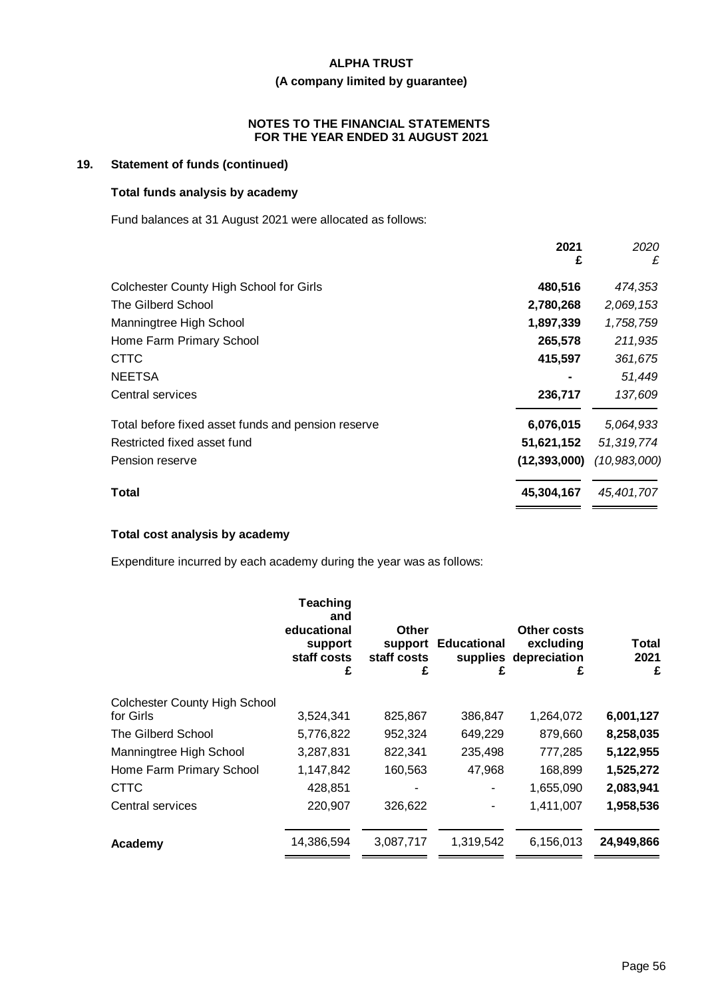# **(A company limited by guarantee)**

### **NOTES TO THE FINANCIAL STATEMENTS FOR THE YEAR ENDED 31 AUGUST 2021**

# **19. Statement of funds (continued)**

# **Total funds analysis by academy**

Fund balances at 31 August 2021 were allocated as follows:

|                                                    | 2021<br>£      | 2020<br>£    |
|----------------------------------------------------|----------------|--------------|
| <b>Colchester County High School for Girls</b>     | 480,516        | 474,353      |
| The Gilberd School                                 | 2,780,268      | 2,069,153    |
| Manningtree High School                            | 1,897,339      | 1,758,759    |
| Home Farm Primary School                           | 265,578        | 211,935      |
| <b>CTTC</b>                                        | 415,597        | 361,675      |
| <b>NEETSA</b>                                      |                | 51,449       |
| Central services                                   | 236,717        | 137,609      |
| Total before fixed asset funds and pension reserve | 6,076,015      | 5,064,933    |
| Restricted fixed asset fund                        | 51,621,152     | 51,319,774   |
| Pension reserve                                    | (12, 393, 000) | (10,983,000) |
| Total                                              | 45,304,167     | 45,401,707   |

# **Total cost analysis by academy**

Expenditure incurred by each academy during the year was as follows:

|                                      | <b>Teaching</b><br>and<br>educational<br>support<br>staff costs<br>£ | Other<br>support<br>staff costs<br>£ | <b>Educational</b><br>supplies<br>£ | Other costs<br>excluding<br>depreciation<br>£ | Total<br>2021<br>£ |
|--------------------------------------|----------------------------------------------------------------------|--------------------------------------|-------------------------------------|-----------------------------------------------|--------------------|
| <b>Colchester County High School</b> |                                                                      |                                      |                                     |                                               |                    |
| for Girls                            | 3,524,341                                                            | 825,867                              | 386,847                             | 1,264,072                                     | 6,001,127          |
| The Gilberd School                   | 5,776,822                                                            | 952,324                              | 649,229                             | 879,660                                       | 8,258,035          |
| Manningtree High School              | 3,287,831                                                            | 822,341                              | 235,498                             | 777,285                                       | 5,122,955          |
| Home Farm Primary School             | 1,147,842                                                            | 160,563                              | 47,968                              | 168,899                                       | 1,525,272          |
| <b>CTTC</b>                          | 428,851                                                              |                                      |                                     | 1,655,090                                     | 2,083,941          |
| Central services                     | 220,907                                                              | 326,622                              |                                     | 1,411,007                                     | 1,958,536          |
| Academy                              | 14,386,594                                                           | 3,087,717                            | 1,319,542                           | 6,156,013                                     | 24,949,866         |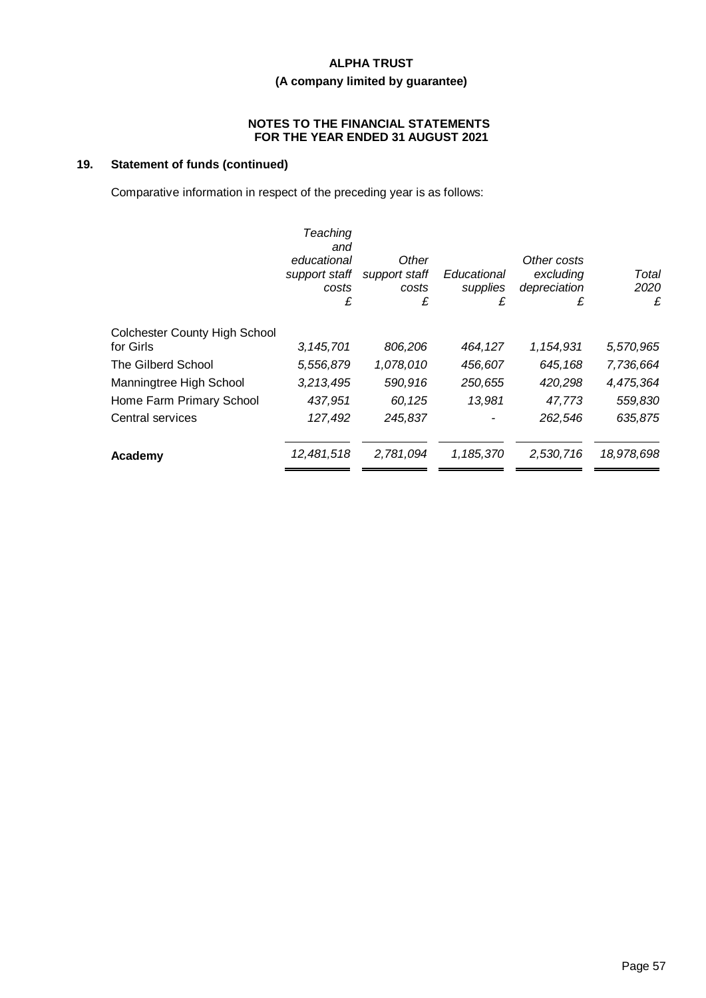# **(A company limited by guarantee)**

### **NOTES TO THE FINANCIAL STATEMENTS FOR THE YEAR ENDED 31 AUGUST 2021**

# **19. Statement of funds (continued)**

Comparative information in respect of the preceding year is as follows:

|                                      | Teaching<br>and<br>educational<br>support staff<br>costs<br>£ | Other<br>support staff<br>costs<br>£ | Educational<br>supplies<br>£ | Other costs<br>excluding<br>depreciation<br>£ | Total<br>2020<br>£ |
|--------------------------------------|---------------------------------------------------------------|--------------------------------------|------------------------------|-----------------------------------------------|--------------------|
| <b>Colchester County High School</b> |                                                               |                                      |                              |                                               |                    |
| for Girls                            | 3, 145, 701                                                   | 806,206                              | 464,127                      | 1,154,931                                     | 5,570,965          |
| The Gilberd School                   | 5,556,879                                                     | 1,078,010                            | 456,607                      | 645,168                                       | 7,736,664          |
| Manningtree High School              | 3,213,495                                                     | 590,916                              | 250,655                      | 420,298                                       | 4,475,364          |
| Home Farm Primary School             | 437,951                                                       | 60,125                               | 13,981                       | 47,773                                        | 559,830            |
| Central services                     | 127,492                                                       | 245,837                              |                              | 262,546                                       | 635,875            |
| Academy                              | 12,481,518                                                    | 2,781,094                            | 1,185,370                    | 2,530,716                                     | 18,978,698         |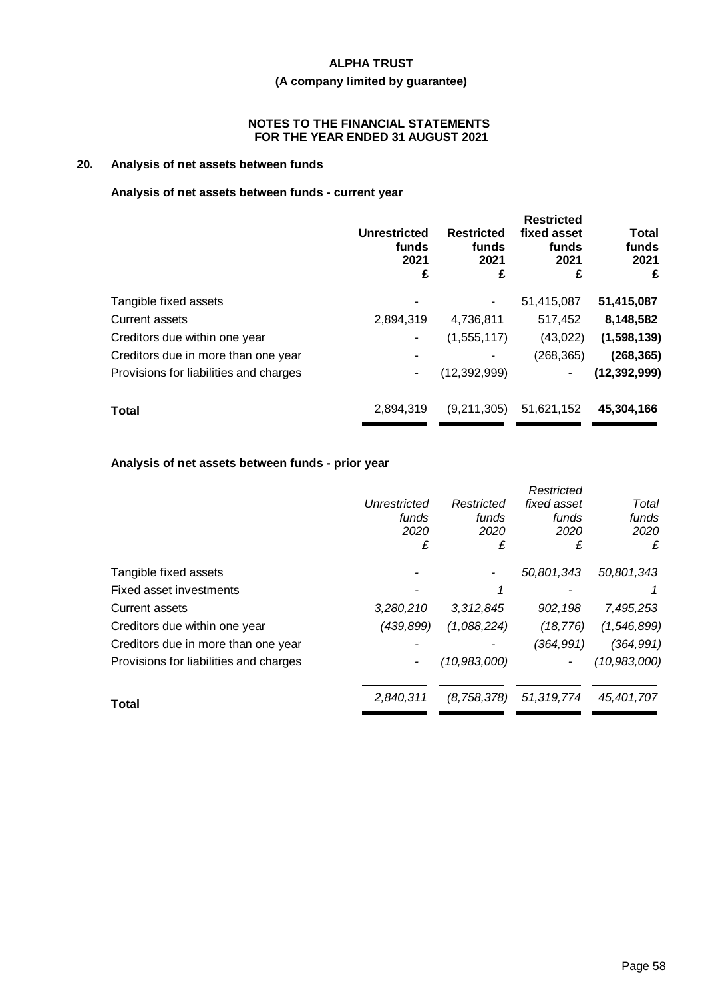# **(A company limited by guarantee)**

#### **NOTES TO THE FINANCIAL STATEMENTS FOR THE YEAR ENDED 31 AUGUST 2021**

# **20. Analysis of net assets between funds**

# **Analysis of net assets between funds - current year**

|                                        | <b>Unrestricted</b><br>funds<br>2021<br>£ | <b>Restricted</b><br>funds<br>2021<br>£ | <b>Restricted</b><br>fixed asset<br>funds<br>2021<br>£ | <b>Total</b><br>funds<br>2021<br>£ |
|----------------------------------------|-------------------------------------------|-----------------------------------------|--------------------------------------------------------|------------------------------------|
| Tangible fixed assets                  |                                           | ۰                                       | 51,415,087                                             | 51,415,087                         |
| Current assets                         | 2,894,319                                 | 4,736,811                               | 517,452                                                | 8,148,582                          |
| Creditors due within one year          |                                           | (1,555,117)                             | (43,022)                                               | (1,598,139)                        |
| Creditors due in more than one year    |                                           |                                         | (268, 365)                                             | (268, 365)                         |
| Provisions for liabilities and charges |                                           | (12, 392, 999)                          | ٠                                                      | (12, 392, 999)                     |
| <b>Total</b>                           | 2,894,319                                 | (9,211,305)                             | 51,621,152                                             | 45,304,166                         |
|                                        |                                           |                                         |                                                        |                                    |

# **Analysis of net assets between funds - prior year**

|                                        |              |                | Restricted  |                |
|----------------------------------------|--------------|----------------|-------------|----------------|
|                                        | Unrestricted | Restricted     | fixed asset | Total          |
|                                        | funds        | funds          | funds       | funds          |
|                                        | 2020         | 2020           | 2020        | 2020           |
|                                        | £            | £              | £           | £              |
| Tangible fixed assets                  |              |                | 50,801,343  | 50,801,343     |
| Fixed asset investments                |              |                |             |                |
| Current assets                         | 3,280,210    | 3,312,845      | 902,198     | 7,495,253      |
| Creditors due within one year          | (439, 899)   | (1,088,224)    | (18, 776)   | (1,546,899)    |
| Creditors due in more than one year    |              |                | (364,991)   | (364, 991)     |
| Provisions for liabilities and charges |              | (10, 983, 000) | ۰           | (10, 983, 000) |
| Total                                  | 2.840.311    | (8,758,378)    | 51,319,774  | 45.401.707     |
|                                        |              |                |             |                |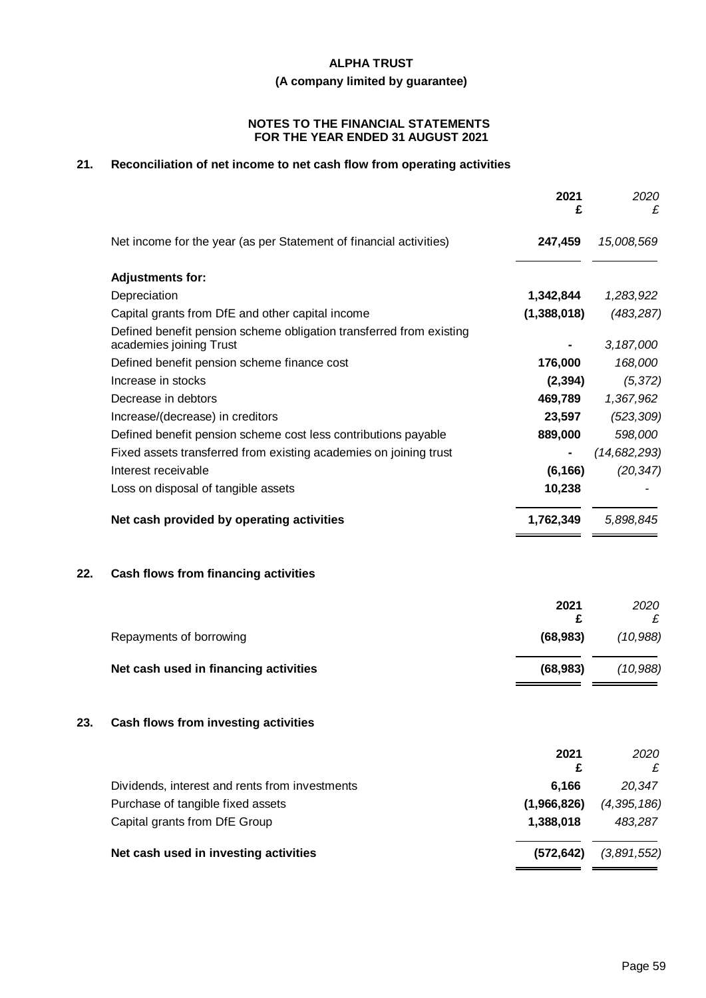**(A company limited by guarantee)**

#### **NOTES TO THE FINANCIAL STATEMENTS FOR THE YEAR ENDED 31 AUGUST 2021**

# **21. Reconciliation of net income to net cash flow from operating activities**

| Net income for the year (as per Statement of financial activities)<br>15,008,569<br>247,459<br><b>Adjustments for:</b><br>Depreciation<br>1,342,844<br>1,283,922<br>Capital grants from DfE and other capital income<br>(1,388,018)<br>(483, 287)<br>Defined benefit pension scheme obligation transferred from existing<br>academies joining Trust<br>3,187,000<br>Defined benefit pension scheme finance cost<br>176,000<br>168,000<br>Increase in stocks<br>(2, 394)<br>(5, 372)<br>Decrease in debtors<br>469,789<br>1,367,962<br>Increase/(decrease) in creditors<br>23,597<br>(523, 309)<br>889,000<br>598,000<br>Defined benefit pension scheme cost less contributions payable<br>Fixed assets transferred from existing academies on joining trust<br>Interest receivable<br>(6, 166)<br>(20, 347)<br>Loss on disposal of tangible assets<br>10,238<br>Net cash provided by operating activities<br>5,898,845<br>1,762,349<br>Cash flows from financing activities<br>2021<br>2020<br>£<br>£<br>(10, 988)<br>Repayments of borrowing<br>(68, 983)<br>Net cash used in financing activities<br>(68, 983)<br>(10, 988)<br>Cash flows from investing activities<br>2021<br>2020<br>£<br>£<br>6,166<br>Dividends, interest and rents from investments<br>20,347<br>Purchase of tangible fixed assets<br>(1,966,826)<br>(4, 395, 186)<br>Capital grants from DfE Group<br>1,388,018<br>483,287<br>Net cash used in investing activities<br>(3,891,552)<br>(572, 642) |     | 2021<br>£ | 2020<br>£ |
|--------------------------------------------------------------------------------------------------------------------------------------------------------------------------------------------------------------------------------------------------------------------------------------------------------------------------------------------------------------------------------------------------------------------------------------------------------------------------------------------------------------------------------------------------------------------------------------------------------------------------------------------------------------------------------------------------------------------------------------------------------------------------------------------------------------------------------------------------------------------------------------------------------------------------------------------------------------------------------------------------------------------------------------------------------------------------------------------------------------------------------------------------------------------------------------------------------------------------------------------------------------------------------------------------------------------------------------------------------------------------------------------------------------------------------------------------------------------------|-----|-----------|-----------|
|                                                                                                                                                                                                                                                                                                                                                                                                                                                                                                                                                                                                                                                                                                                                                                                                                                                                                                                                                                                                                                                                                                                                                                                                                                                                                                                                                                                                                                                                          |     |           |           |
| (14, 682, 293)                                                                                                                                                                                                                                                                                                                                                                                                                                                                                                                                                                                                                                                                                                                                                                                                                                                                                                                                                                                                                                                                                                                                                                                                                                                                                                                                                                                                                                                           |     |           |           |
|                                                                                                                                                                                                                                                                                                                                                                                                                                                                                                                                                                                                                                                                                                                                                                                                                                                                                                                                                                                                                                                                                                                                                                                                                                                                                                                                                                                                                                                                          |     |           |           |
|                                                                                                                                                                                                                                                                                                                                                                                                                                                                                                                                                                                                                                                                                                                                                                                                                                                                                                                                                                                                                                                                                                                                                                                                                                                                                                                                                                                                                                                                          |     |           |           |
|                                                                                                                                                                                                                                                                                                                                                                                                                                                                                                                                                                                                                                                                                                                                                                                                                                                                                                                                                                                                                                                                                                                                                                                                                                                                                                                                                                                                                                                                          |     |           |           |
|                                                                                                                                                                                                                                                                                                                                                                                                                                                                                                                                                                                                                                                                                                                                                                                                                                                                                                                                                                                                                                                                                                                                                                                                                                                                                                                                                                                                                                                                          |     |           |           |
|                                                                                                                                                                                                                                                                                                                                                                                                                                                                                                                                                                                                                                                                                                                                                                                                                                                                                                                                                                                                                                                                                                                                                                                                                                                                                                                                                                                                                                                                          |     |           |           |
|                                                                                                                                                                                                                                                                                                                                                                                                                                                                                                                                                                                                                                                                                                                                                                                                                                                                                                                                                                                                                                                                                                                                                                                                                                                                                                                                                                                                                                                                          |     |           |           |
|                                                                                                                                                                                                                                                                                                                                                                                                                                                                                                                                                                                                                                                                                                                                                                                                                                                                                                                                                                                                                                                                                                                                                                                                                                                                                                                                                                                                                                                                          |     |           |           |
|                                                                                                                                                                                                                                                                                                                                                                                                                                                                                                                                                                                                                                                                                                                                                                                                                                                                                                                                                                                                                                                                                                                                                                                                                                                                                                                                                                                                                                                                          |     |           |           |
|                                                                                                                                                                                                                                                                                                                                                                                                                                                                                                                                                                                                                                                                                                                                                                                                                                                                                                                                                                                                                                                                                                                                                                                                                                                                                                                                                                                                                                                                          |     |           |           |
|                                                                                                                                                                                                                                                                                                                                                                                                                                                                                                                                                                                                                                                                                                                                                                                                                                                                                                                                                                                                                                                                                                                                                                                                                                                                                                                                                                                                                                                                          |     |           |           |
|                                                                                                                                                                                                                                                                                                                                                                                                                                                                                                                                                                                                                                                                                                                                                                                                                                                                                                                                                                                                                                                                                                                                                                                                                                                                                                                                                                                                                                                                          |     |           |           |
|                                                                                                                                                                                                                                                                                                                                                                                                                                                                                                                                                                                                                                                                                                                                                                                                                                                                                                                                                                                                                                                                                                                                                                                                                                                                                                                                                                                                                                                                          |     |           |           |
|                                                                                                                                                                                                                                                                                                                                                                                                                                                                                                                                                                                                                                                                                                                                                                                                                                                                                                                                                                                                                                                                                                                                                                                                                                                                                                                                                                                                                                                                          | 22. |           |           |
|                                                                                                                                                                                                                                                                                                                                                                                                                                                                                                                                                                                                                                                                                                                                                                                                                                                                                                                                                                                                                                                                                                                                                                                                                                                                                                                                                                                                                                                                          |     |           |           |
|                                                                                                                                                                                                                                                                                                                                                                                                                                                                                                                                                                                                                                                                                                                                                                                                                                                                                                                                                                                                                                                                                                                                                                                                                                                                                                                                                                                                                                                                          |     |           |           |
|                                                                                                                                                                                                                                                                                                                                                                                                                                                                                                                                                                                                                                                                                                                                                                                                                                                                                                                                                                                                                                                                                                                                                                                                                                                                                                                                                                                                                                                                          |     |           |           |
|                                                                                                                                                                                                                                                                                                                                                                                                                                                                                                                                                                                                                                                                                                                                                                                                                                                                                                                                                                                                                                                                                                                                                                                                                                                                                                                                                                                                                                                                          | 23. |           |           |
|                                                                                                                                                                                                                                                                                                                                                                                                                                                                                                                                                                                                                                                                                                                                                                                                                                                                                                                                                                                                                                                                                                                                                                                                                                                                                                                                                                                                                                                                          |     |           |           |
|                                                                                                                                                                                                                                                                                                                                                                                                                                                                                                                                                                                                                                                                                                                                                                                                                                                                                                                                                                                                                                                                                                                                                                                                                                                                                                                                                                                                                                                                          |     |           |           |
|                                                                                                                                                                                                                                                                                                                                                                                                                                                                                                                                                                                                                                                                                                                                                                                                                                                                                                                                                                                                                                                                                                                                                                                                                                                                                                                                                                                                                                                                          |     |           |           |
|                                                                                                                                                                                                                                                                                                                                                                                                                                                                                                                                                                                                                                                                                                                                                                                                                                                                                                                                                                                                                                                                                                                                                                                                                                                                                                                                                                                                                                                                          |     |           |           |
|                                                                                                                                                                                                                                                                                                                                                                                                                                                                                                                                                                                                                                                                                                                                                                                                                                                                                                                                                                                                                                                                                                                                                                                                                                                                                                                                                                                                                                                                          |     |           |           |
|                                                                                                                                                                                                                                                                                                                                                                                                                                                                                                                                                                                                                                                                                                                                                                                                                                                                                                                                                                                                                                                                                                                                                                                                                                                                                                                                                                                                                                                                          |     |           |           |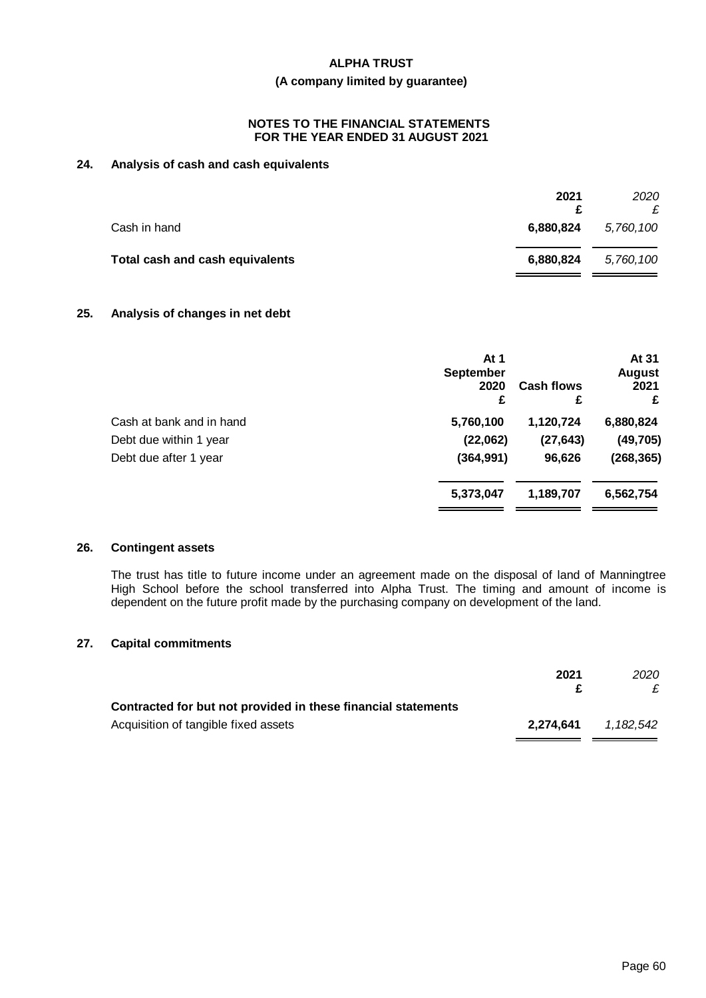### **(A company limited by guarantee)**

#### **NOTES TO THE FINANCIAL STATEMENTS FOR THE YEAR ENDED 31 AUGUST 2021**

# **24. Analysis of cash and cash equivalents**

| 2021      | 2020      |
|-----------|-----------|
| 6,880,824 | 5,760,100 |
| 6,880,824 | 5,760,100 |
|           |           |

# **25. Analysis of changes in net debt**

|                          | At 1<br><b>September</b><br>2020<br>£ | <b>Cash flows</b><br>£ | At 31<br><b>August</b><br>2021<br>£ |
|--------------------------|---------------------------------------|------------------------|-------------------------------------|
| Cash at bank and in hand | 5,760,100                             | 1,120,724              | 6,880,824                           |
| Debt due within 1 year   | (22,062)                              | (27, 643)              | (49, 705)                           |
| Debt due after 1 year    | (364, 991)                            | 96,626                 | (268, 365)                          |
|                          | 5,373,047                             | 1,189,707              | 6,562,754                           |
|                          |                                       |                        |                                     |

#### **26. Contingent assets**

The trust has title to future income under an agreement made on the disposal of land of Manningtree High School before the school transferred into Alpha Trust. The timing and amount of income is dependent on the future profit made by the purchasing company on development of the land.

# **27. Capital commitments**

|                                                               | 2021      | 2020      |
|---------------------------------------------------------------|-----------|-----------|
| Contracted for but not provided in these financial statements |           |           |
| Acquisition of tangible fixed assets                          | 2.274.641 | 1.182.542 |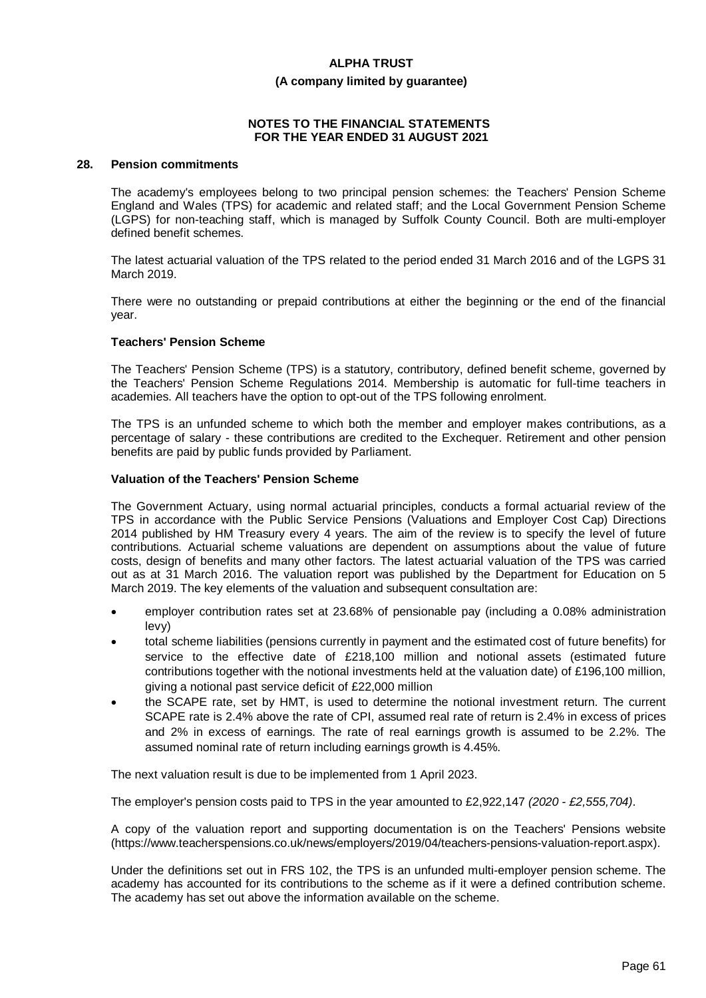#### **(A company limited by guarantee)**

#### **NOTES TO THE FINANCIAL STATEMENTS FOR THE YEAR ENDED 31 AUGUST 2021**

### **28. Pension commitments**

The academy's employees belong to two principal pension schemes: the Teachers' Pension Scheme England and Wales (TPS) for academic and related staff; and the Local Government Pension Scheme (LGPS) for non-teaching staff, which is managed by Suffolk County Council. Both are multi-employer defined benefit schemes.

The latest actuarial valuation of the TPS related to the period ended 31 March 2016 and of the LGPS 31 March 2019.

There were no outstanding or prepaid contributions at either the beginning or the end of the financial year.

#### **Teachers' Pension Scheme**

The Teachers' Pension Scheme (TPS) is a statutory, contributory, defined benefit scheme, governed by the Teachers' Pension Scheme Regulations 2014. Membership is automatic for full-time teachers in academies. All teachers have the option to opt-out of the TPS following enrolment.

The TPS is an unfunded scheme to which both the member and employer makes contributions, as a percentage of salary - these contributions are credited to the Exchequer. Retirement and other pension benefits are paid by public funds provided by Parliament.

#### **Valuation of the Teachers' Pension Scheme**

The Government Actuary, using normal actuarial principles, conducts a formal actuarial review of the TPS in accordance with the Public Service Pensions (Valuations and Employer Cost Cap) Directions 2014 published by HM Treasury every 4 years. The aim of the review is to specify the level of future contributions. Actuarial scheme valuations are dependent on assumptions about the value of future costs, design of benefits and many other factors. The latest actuarial valuation of the TPS was carried out as at 31 March 2016. The valuation report was published by the Department for Education on 5 March 2019. The key elements of the valuation and subsequent consultation are:

- · employer contribution rates set at 23.68% of pensionable pay (including a 0.08% administration levy)
- total scheme liabilities (pensions currently in payment and the estimated cost of future benefits) for service to the effective date of £218,100 million and notional assets (estimated future contributions together with the notional investments held at the valuation date) of £196,100 million, giving a notional past service deficit of £22,000 million
- · the SCAPE rate, set by HMT, is used to determine the notional investment return. The current SCAPE rate is 2.4% above the rate of CPI, assumed real rate of return is 2.4% in excess of prices and 2% in excess of earnings. The rate of real earnings growth is assumed to be 2.2%. The assumed nominal rate of return including earnings growth is 4.45%.

The next valuation result is due to be implemented from 1 April 2023.

The employer's pension costs paid to TPS in the year amounted to £2,922,147 *(2020 - £2,555,704)*.

A copy of the valuation report and supporting documentation is on the Teachers' Pensions website (https://www.teacherspensions.co.uk/news/employers/2019/04/teachers-pensions-valuation-report.aspx).

Under the definitions set out in FRS 102, the TPS is an unfunded multi-employer pension scheme. The academy has accounted for its contributions to the scheme as if it were a defined contribution scheme. The academy has set out above the information available on the scheme.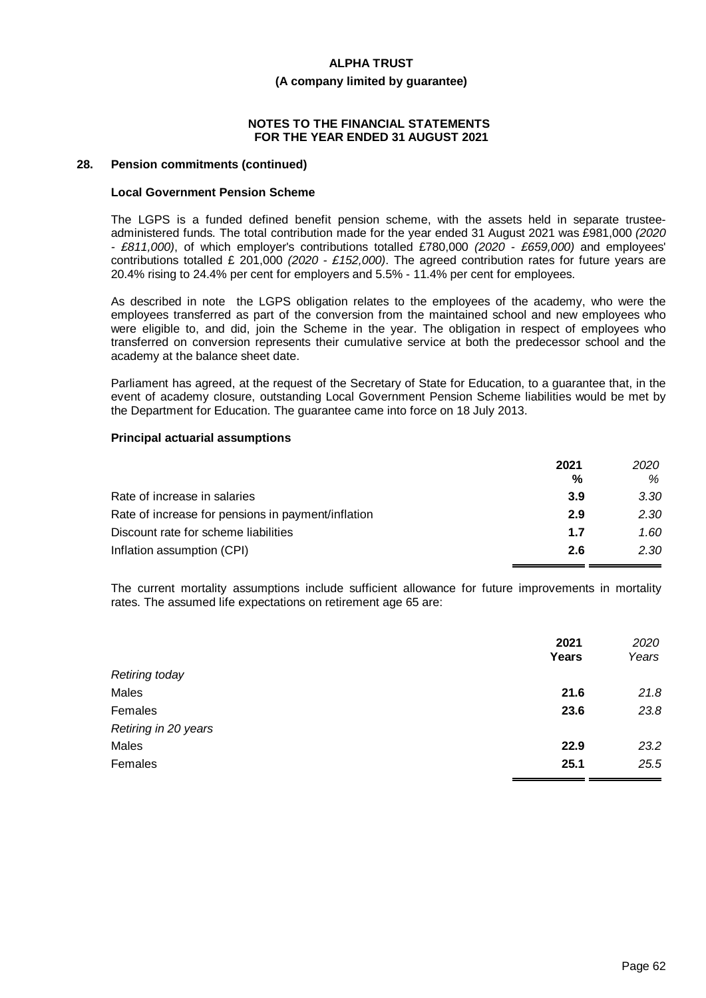#### **(A company limited by guarantee)**

#### **NOTES TO THE FINANCIAL STATEMENTS FOR THE YEAR ENDED 31 AUGUST 2021**

#### **28. Pension commitments (continued)**

#### **Local Government Pension Scheme**

The LGPS is a funded defined benefit pension scheme, with the assets held in separate trusteeadministered funds. The total contribution made for the year ended 31 August 2021 was £981,000 *(2020 - £811,000)*, of which employer's contributions totalled £780,000 *(2020 - £659,000)* and employees' contributions totalled £ 201,000 *(2020 - £152,000)*. The agreed contribution rates for future years are 20.4% rising to 24.4% per cent for employers and 5.5% - 11.4% per cent for employees.

As described in note the LGPS obligation relates to the employees of the academy, who were the employees transferred as part of the conversion from the maintained school and new employees who were eligible to, and did, join the Scheme in the year. The obligation in respect of employees who transferred on conversion represents their cumulative service at both the predecessor school and the academy at the balance sheet date.

Parliament has agreed, at the request of the Secretary of State for Education, to a guarantee that, in the event of academy closure, outstanding Local Government Pension Scheme liabilities would be met by the Department for Education. The guarantee came into force on 18 July 2013.

#### **Principal actuarial assumptions**

|                                                    | 2021 | 2020 |
|----------------------------------------------------|------|------|
|                                                    | %    | %    |
| Rate of increase in salaries                       | 3.9  | 3.30 |
| Rate of increase for pensions in payment/inflation | 2.9  | 2.30 |
| Discount rate for scheme liabilities               | 1.7  | 1.60 |
| Inflation assumption (CPI)                         | 2.6  | 2.30 |

The current mortality assumptions include sufficient allowance for future improvements in mortality rates. The assumed life expectations on retirement age 65 are:

|                       | 2021<br>Years | 2020<br>Years |
|-----------------------|---------------|---------------|
| <b>Retiring today</b> |               |               |
| Males                 | 21.6          | 21.8          |
| Females               | 23.6          | 23.8          |
| Retiring in 20 years  |               |               |
| Males                 | 22.9          | 23.2          |
| Females               | 25.1          | 25.5          |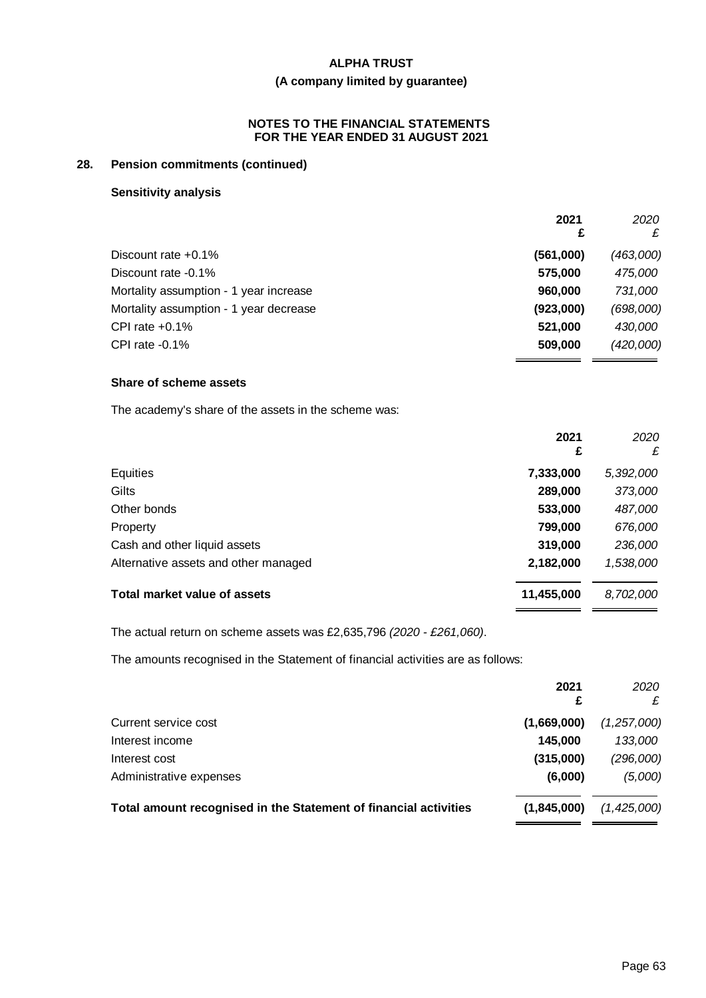# **(A company limited by guarantee)**

# **NOTES TO THE FINANCIAL STATEMENTS FOR THE YEAR ENDED 31 AUGUST 2021**

# **28. Pension commitments (continued)**

#### **Sensitivity analysis**

|                                        | 2021<br>£ | 2020<br>£ |
|----------------------------------------|-----------|-----------|
| Discount rate $+0.1\%$                 | (561,000) | (463,000) |
| Discount rate -0.1%                    | 575,000   | 475,000   |
| Mortality assumption - 1 year increase | 960,000   | 731,000   |
| Mortality assumption - 1 year decrease | (923,000) | (698,000) |
| CPI rate $+0.1\%$                      | 521,000   | 430,000   |
| CPI rate $-0.1\%$                      | 509,000   | (420,000) |

# **Share of scheme assets**

The academy's share of the assets in the scheme was:

|                                      | 2021<br>£  | 2020<br>£ |
|--------------------------------------|------------|-----------|
| Equities                             | 7,333,000  | 5,392,000 |
| Gilts                                | 289,000    | 373,000   |
| Other bonds                          | 533,000    | 487,000   |
| Property                             | 799,000    | 676,000   |
| Cash and other liquid assets         | 319,000    | 236,000   |
| Alternative assets and other managed | 2,182,000  | 1,538,000 |
| Total market value of assets         | 11,455,000 | 8,702,000 |

The actual return on scheme assets was £2,635,796 *(2020 - £261,060)*.

The amounts recognised in the Statement of financial activities are as follows:

|                                                                  | 2021        | 2020        |
|------------------------------------------------------------------|-------------|-------------|
| Current service cost                                             | (1,669,000) | (1,257,000) |
| Interest income                                                  | 145,000     | 133,000     |
| Interest cost                                                    | (315,000)   | (296,000)   |
| Administrative expenses                                          | (6,000)     | (5,000)     |
| Total amount recognised in the Statement of financial activities | (1,845,000) | (1,425,000) |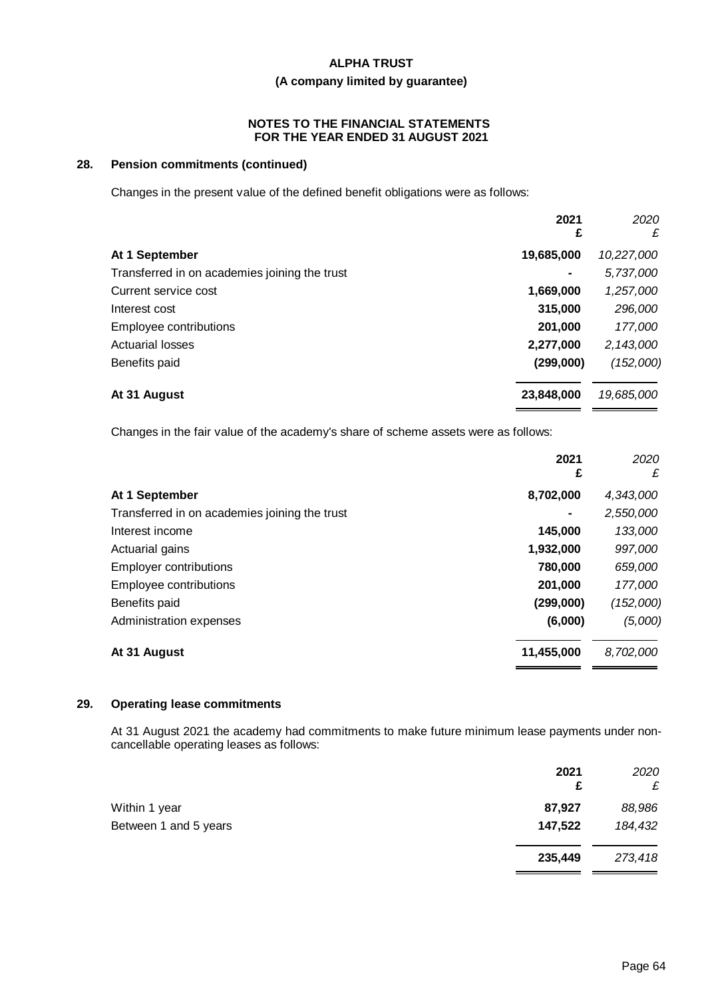# **(A company limited by guarantee)**

#### **NOTES TO THE FINANCIAL STATEMENTS FOR THE YEAR ENDED 31 AUGUST 2021**

# **28. Pension commitments (continued)**

Changes in the present value of the defined benefit obligations were as follows:

|                                               | 2021<br>£  | 2020<br>£  |
|-----------------------------------------------|------------|------------|
| At 1 September                                | 19,685,000 | 10,227,000 |
| Transferred in on academies joining the trust |            | 5,737,000  |
| Current service cost                          | 1,669,000  | 1,257,000  |
| Interest cost                                 | 315,000    | 296,000    |
| Employee contributions                        | 201,000    | 177,000    |
| <b>Actuarial losses</b>                       | 2,277,000  | 2,143,000  |
| Benefits paid                                 | (299,000)  | (152,000)  |
| At 31 August                                  | 23,848,000 | 19,685,000 |

Changes in the fair value of the academy's share of scheme assets were as follows:

|                                               | 2021<br>£  | 2020<br>£ |
|-----------------------------------------------|------------|-----------|
| At 1 September                                | 8,702,000  | 4,343,000 |
| Transferred in on academies joining the trust |            | 2,550,000 |
| Interest income                               | 145,000    | 133,000   |
| Actuarial gains                               | 1,932,000  | 997,000   |
| <b>Employer contributions</b>                 | 780,000    | 659,000   |
| Employee contributions                        | 201,000    | 177,000   |
| Benefits paid                                 | (299,000)  | (152,000) |
| Administration expenses                       | (6,000)    | (5,000)   |
| At 31 August                                  | 11,455,000 | 8,702,000 |

#### **29. Operating lease commitments**

At 31 August 2021 the academy had commitments to make future minimum lease payments under noncancellable operating leases as follows:

|                       | 2021<br>£ | 2020<br>£ |
|-----------------------|-----------|-----------|
| Within 1 year         | 87,927    | 88,986    |
| Between 1 and 5 years | 147,522   | 184,432   |
|                       | 235,449   | 273,418   |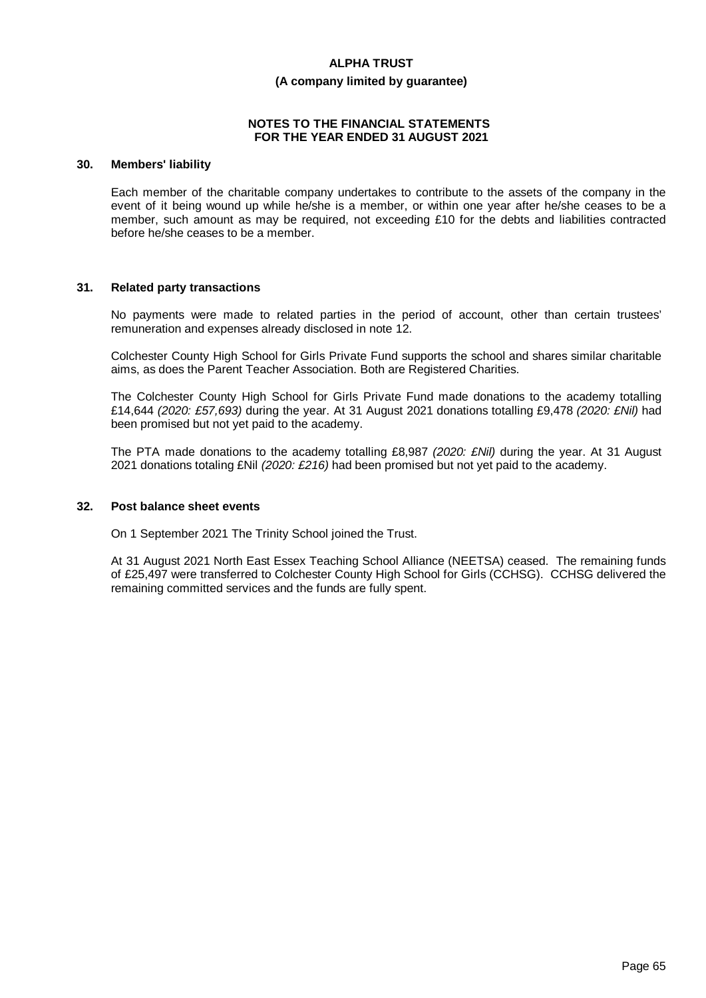#### **(A company limited by guarantee)**

#### **NOTES TO THE FINANCIAL STATEMENTS FOR THE YEAR ENDED 31 AUGUST 2021**

#### **30. Members' liability**

Each member of the charitable company undertakes to contribute to the assets of the company in the event of it being wound up while he/she is a member, or within one year after he/she ceases to be a member, such amount as may be required, not exceeding £10 for the debts and liabilities contracted before he/she ceases to be a member.

#### **31. Related party transactions**

No payments were made to related parties in the period of account, other than certain trustees' remuneration and expenses already disclosed in note 12.

Colchester County High School for Girls Private Fund supports the school and shares similar charitable aims, as does the Parent Teacher Association. Both are Registered Charities.

The Colchester County High School for Girls Private Fund made donations to the academy totalling £14,644 *(2020: £57,693)* during the year. At 31 August 2021 donations totalling £9,478 *(2020: £Nil)* had been promised but not yet paid to the academy.

The PTA made donations to the academy totalling £8,987 *(2020: £Nil)* during the year. At 31 August 2021 donations totaling £Nil *(2020: £216)* had been promised but not yet paid to the academy.

#### **32. Post balance sheet events**

On 1 September 2021 The Trinity School joined the Trust.

At 31 August 2021 North East Essex Teaching School Alliance (NEETSA) ceased. The remaining funds of £25,497 were transferred to Colchester County High School for Girls (CCHSG). CCHSG delivered the remaining committed services and the funds are fully spent.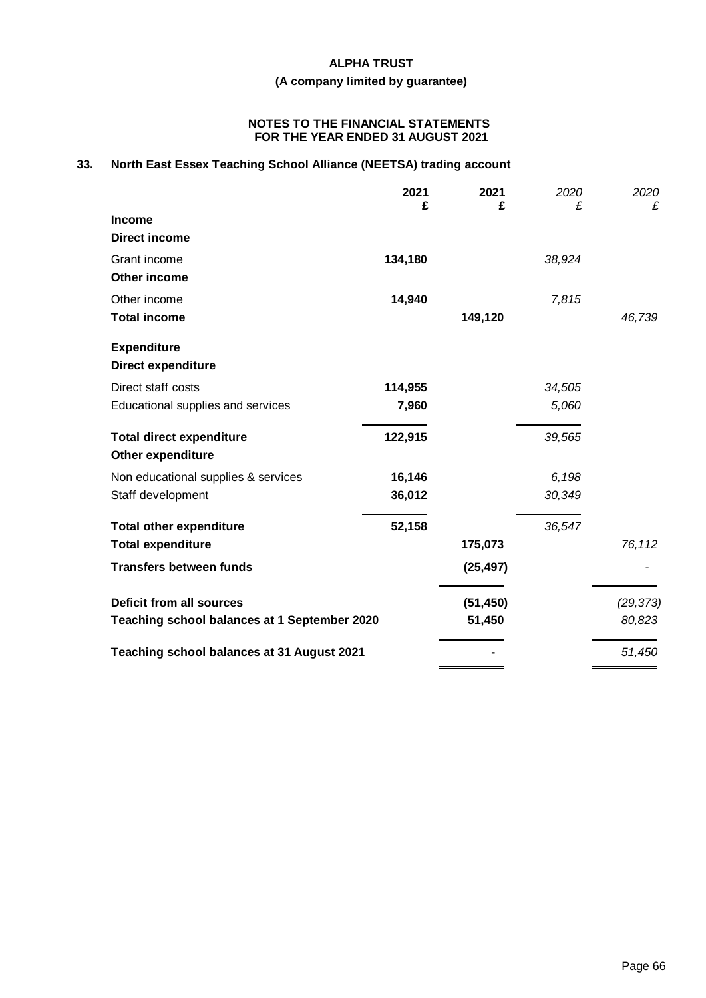# **(A company limited by guarantee)**

#### **NOTES TO THE FINANCIAL STATEMENTS FOR THE YEAR ENDED 31 AUGUST 2021**

# **33. North East Essex Teaching School Alliance (NEETSA) trading account**

|                                              | 2021<br>£ | 2021<br>£ | 2020<br>£ | 2020<br>£ |
|----------------------------------------------|-----------|-----------|-----------|-----------|
| <b>Income</b>                                |           |           |           |           |
| <b>Direct income</b>                         |           |           |           |           |
| Grant income                                 | 134,180   |           | 38,924    |           |
| Other income                                 |           |           |           |           |
| Other income                                 | 14,940    |           | 7,815     |           |
| <b>Total income</b>                          |           | 149,120   |           | 46,739    |
| <b>Expenditure</b>                           |           |           |           |           |
| Direct expenditure                           |           |           |           |           |
| Direct staff costs                           | 114,955   |           | 34,505    |           |
| Educational supplies and services            | 7,960     |           | 5,060     |           |
| <b>Total direct expenditure</b>              | 122,915   |           | 39,565    |           |
| <b>Other expenditure</b>                     |           |           |           |           |
| Non educational supplies & services          | 16,146    |           | 6,198     |           |
| Staff development                            | 36,012    |           | 30,349    |           |
| <b>Total other expenditure</b>               | 52,158    |           | 36,547    |           |
| <b>Total expenditure</b>                     |           | 175,073   |           | 76,112    |
| <b>Transfers between funds</b>               |           | (25, 497) |           |           |
| <b>Deficit from all sources</b>              |           | (51, 450) |           | (29, 373) |
| Teaching school balances at 1 September 2020 |           | 51,450    |           | 80,823    |
| Teaching school balances at 31 August 2021   |           |           |           | 51,450    |